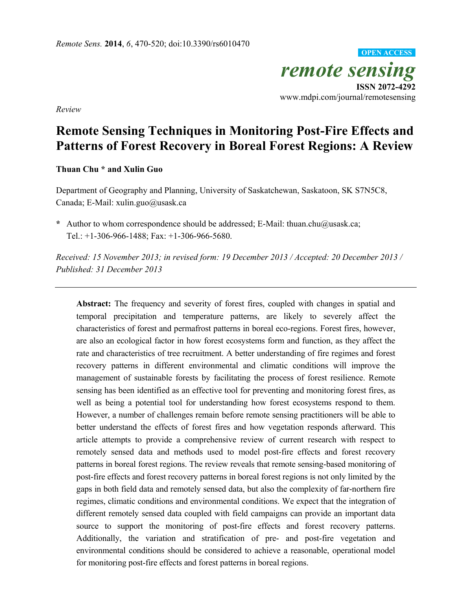*remote sensing*  **ISSN 2072-4292**  www.mdpi.com/journal/remotesensing **OPEN ACCESS**

*Review* 

# **Remote Sensing Techniques in Monitoring Post-Fire Effects and Patterns of Forest Recovery in Boreal Forest Regions: A Review**

**Thuan Chu \* and Xulin Guo** 

Department of Geography and Planning, University of Saskatchewan, Saskatoon, SK S7N5C8, Canada; E-Mail: xulin.guo@usask.ca

**\*** Author to whom correspondence should be addressed; E-Mail: thuan.chu@usask.ca; Tel.: +1-306-966-1488; Fax: +1-306-966-5680.

*Received: 15 November 2013; in revised form: 19 December 2013 / Accepted: 20 December 2013 / Published: 31 December 2013* 

**Abstract:** The frequency and severity of forest fires, coupled with changes in spatial and temporal precipitation and temperature patterns, are likely to severely affect the characteristics of forest and permafrost patterns in boreal eco-regions. Forest fires, however, are also an ecological factor in how forest ecosystems form and function, as they affect the rate and characteristics of tree recruitment. A better understanding of fire regimes and forest recovery patterns in different environmental and climatic conditions will improve the management of sustainable forests by facilitating the process of forest resilience. Remote sensing has been identified as an effective tool for preventing and monitoring forest fires, as well as being a potential tool for understanding how forest ecosystems respond to them. However, a number of challenges remain before remote sensing practitioners will be able to better understand the effects of forest fires and how vegetation responds afterward. This article attempts to provide a comprehensive review of current research with respect to remotely sensed data and methods used to model post-fire effects and forest recovery patterns in boreal forest regions. The review reveals that remote sensing-based monitoring of post-fire effects and forest recovery patterns in boreal forest regions is not only limited by the gaps in both field data and remotely sensed data, but also the complexity of far-northern fire regimes, climatic conditions and environmental conditions. We expect that the integration of different remotely sensed data coupled with field campaigns can provide an important data source to support the monitoring of post-fire effects and forest recovery patterns. Additionally, the variation and stratification of pre- and post-fire vegetation and environmental conditions should be considered to achieve a reasonable, operational model for monitoring post-fire effects and forest patterns in boreal regions.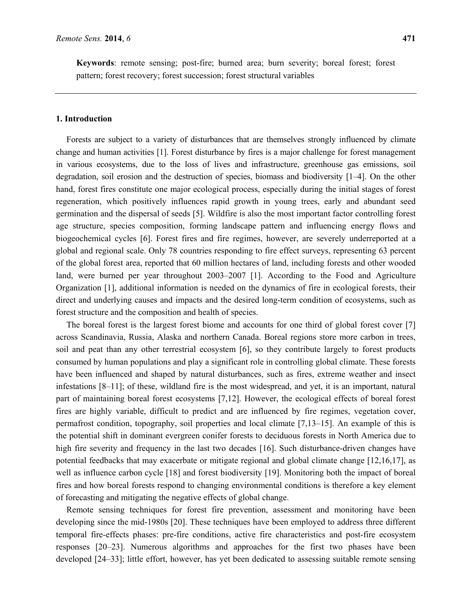**Keywords**: remote sensing; post-fire; burned area; burn severity; boreal forest; forest pattern; forest recovery; forest succession; forest structural variables

# **1. Introduction**

Forests are subject to a variety of disturbances that are themselves strongly influenced by climate change and human activities [1]. Forest disturbance by fires is a major challenge for forest management in various ecosystems, due to the loss of lives and infrastructure, greenhouse gas emissions, soil degradation, soil erosion and the destruction of species, biomass and biodiversity [1–4]. On the other hand, forest fires constitute one major ecological process, especially during the initial stages of forest regeneration, which positively influences rapid growth in young trees, early and abundant seed germination and the dispersal of seeds [5]. Wildfire is also the most important factor controlling forest age structure, species composition, forming landscape pattern and influencing energy flows and biogeochemical cycles [6]. Forest fires and fire regimes, however, are severely underreported at a global and regional scale. Only 78 countries responding to fire effect surveys, representing 63 percent of the global forest area, reported that 60 million hectares of land, including forests and other wooded land, were burned per year throughout 2003–2007 [1]. According to the Food and Agriculture Organization [1], additional information is needed on the dynamics of fire in ecological forests, their direct and underlying causes and impacts and the desired long-term condition of ecosystems, such as forest structure and the composition and health of species.

The boreal forest is the largest forest biome and accounts for one third of global forest cover [7] across Scandinavia, Russia, Alaska and northern Canada. Boreal regions store more carbon in trees, soil and peat than any other terrestrial ecosystem [6], so they contribute largely to forest products consumed by human populations and play a significant role in controlling global climate. These forests have been influenced and shaped by natural disturbances, such as fires, extreme weather and insect infestations [8–11]; of these, wildland fire is the most widespread, and yet, it is an important, natural part of maintaining boreal forest ecosystems [7,12]. However, the ecological effects of boreal forest fires are highly variable, difficult to predict and are influenced by fire regimes, vegetation cover, permafrost condition, topography, soil properties and local climate [7,13–15]. An example of this is the potential shift in dominant evergreen conifer forests to deciduous forests in North America due to high fire severity and frequency in the last two decades [16]. Such disturbance-driven changes have potential feedbacks that may exacerbate or mitigate regional and global climate change [12,16,17], as well as influence carbon cycle [18] and forest biodiversity [19]. Monitoring both the impact of boreal fires and how boreal forests respond to changing environmental conditions is therefore a key element of forecasting and mitigating the negative effects of global change.

Remote sensing techniques for forest fire prevention, assessment and monitoring have been developing since the mid-1980s [20]. These techniques have been employed to address three different temporal fire-effects phases: pre-fire conditions, active fire characteristics and post-fire ecosystem responses [20–23]. Numerous algorithms and approaches for the first two phases have been developed [24–33]; little effort, however, has yet been dedicated to assessing suitable remote sensing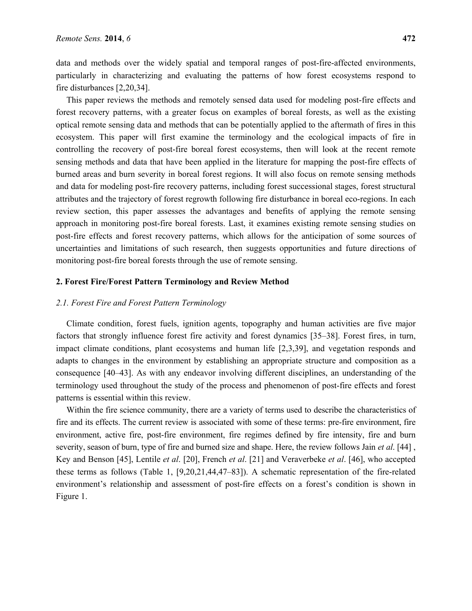data and methods over the widely spatial and temporal ranges of post-fire-affected environments, particularly in characterizing and evaluating the patterns of how forest ecosystems respond to fire disturbances [2,20,34].

This paper reviews the methods and remotely sensed data used for modeling post-fire effects and forest recovery patterns, with a greater focus on examples of boreal forests, as well as the existing optical remote sensing data and methods that can be potentially applied to the aftermath of fires in this ecosystem. This paper will first examine the terminology and the ecological impacts of fire in controlling the recovery of post-fire boreal forest ecosystems, then will look at the recent remote sensing methods and data that have been applied in the literature for mapping the post-fire effects of burned areas and burn severity in boreal forest regions. It will also focus on remote sensing methods and data for modeling post-fire recovery patterns, including forest successional stages, forest structural attributes and the trajectory of forest regrowth following fire disturbance in boreal eco-regions. In each review section, this paper assesses the advantages and benefits of applying the remote sensing approach in monitoring post-fire boreal forests. Last, it examines existing remote sensing studies on post-fire effects and forest recovery patterns, which allows for the anticipation of some sources of uncertainties and limitations of such research, then suggests opportunities and future directions of monitoring post-fire boreal forests through the use of remote sensing.

### **2. Forest Fire/Forest Pattern Terminology and Review Method**

# *2.1. Forest Fire and Forest Pattern Terminology*

Climate condition, forest fuels, ignition agents, topography and human activities are five major factors that strongly influence forest fire activity and forest dynamics [35–38]. Forest fires, in turn, impact climate conditions, plant ecosystems and human life [2,3,39], and vegetation responds and adapts to changes in the environment by establishing an appropriate structure and composition as a consequence [40–43]. As with any endeavor involving different disciplines, an understanding of the terminology used throughout the study of the process and phenomenon of post-fire effects and forest patterns is essential within this review.

Within the fire science community, there are a variety of terms used to describe the characteristics of fire and its effects. The current review is associated with some of these terms: pre-fire environment, fire environment, active fire, post-fire environment, fire regimes defined by fire intensity, fire and burn severity, season of burn, type of fire and burned size and shape. Here, the review follows Jain *et al*. [44] , Key and Benson [45], Lentile *et al*. [20], French *et al*. [21] and Veraverbeke *et al*. [46], who accepted these terms as follows (Table 1, [9,20,21,44,47–83]). A schematic representation of the fire-related environment's relationship and assessment of post-fire effects on a forest's condition is shown in Figure 1.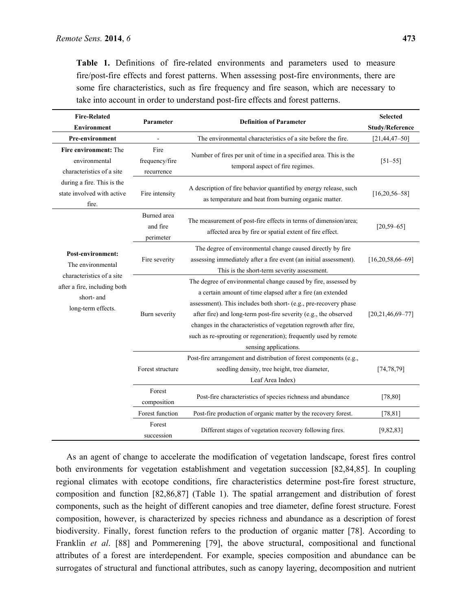**Table 1.** Definitions of fire-related environments and parameters used to measure fire/post-fire effects and forest patterns. When assessing post-fire environments, there are some fire characteristics, such as fire frequency and fire season, which are necessary to take into account in order to understand post-fire effects and forest patterns.

| <b>Fire-Related</b>                                                                                                                            | <b>Definition of Parameter</b><br>Parameter |                                                                                                                                                                                                                                                                                                                                                                                                                                        | <b>Selected</b>         |
|------------------------------------------------------------------------------------------------------------------------------------------------|---------------------------------------------|----------------------------------------------------------------------------------------------------------------------------------------------------------------------------------------------------------------------------------------------------------------------------------------------------------------------------------------------------------------------------------------------------------------------------------------|-------------------------|
| <b>Environment</b>                                                                                                                             |                                             |                                                                                                                                                                                                                                                                                                                                                                                                                                        | Study/Reference         |
| Pre-environment                                                                                                                                |                                             | The environmental characteristics of a site before the fire.                                                                                                                                                                                                                                                                                                                                                                           | $[21, 44, 47 - 50]$     |
| Fire environment: The<br>environmental<br>characteristics of a site<br>during a fire. This is the<br>state involved with active<br>fire.       | Fire<br>frequency/fire<br>recurrence        | Number of fires per unit of time in a specified area. This is the<br>temporal aspect of fire regimes.                                                                                                                                                                                                                                                                                                                                  | $[51 - 55]$             |
|                                                                                                                                                | Fire intensity                              | A description of fire behavior quantified by energy release, such<br>as temperature and heat from burning organic matter.                                                                                                                                                                                                                                                                                                              | $[16, 20, 56 - 58]$     |
| <b>Post-environment:</b><br>The environmental<br>characteristics of a site<br>after a fire, including both<br>short- and<br>long-term effects. | Burned area<br>and fire<br>perimeter        | The measurement of post-fire effects in terms of dimension/area;<br>affected area by fire or spatial extent of fire effect.                                                                                                                                                                                                                                                                                                            | $[20, 59 - 65]$         |
|                                                                                                                                                | Fire severity                               | The degree of environmental change caused directly by fire<br>assessing immediately after a fire event (an initial assessment).<br>This is the short-term severity assessment.                                                                                                                                                                                                                                                         | $[16,20,58,66-69]$      |
|                                                                                                                                                | Burn severity                               | The degree of environmental change caused by fire, assessed by<br>a certain amount of time elapsed after a fire (an extended<br>assessment). This includes both short- (e.g., pre-recovery phase<br>after fire) and long-term post-fire severity (e.g., the observed<br>changes in the characteristics of vegetation regrowth after fire,<br>such as re-sprouting or regeneration); frequently used by remote<br>sensing applications. | $[20, 21, 46, 69 - 77]$ |
|                                                                                                                                                | Forest structure                            | Post-fire arrangement and distribution of forest components (e.g.,<br>seedling density, tree height, tree diameter,<br>Leaf Area Index)                                                                                                                                                                                                                                                                                                | [74, 78, 79]            |
|                                                                                                                                                | Forest<br>composition                       | Post-fire characteristics of species richness and abundance                                                                                                                                                                                                                                                                                                                                                                            | [78, 80]                |
|                                                                                                                                                | Forest function                             | Post-fire production of organic matter by the recovery forest.                                                                                                                                                                                                                                                                                                                                                                         | [78,81]                 |
|                                                                                                                                                | Forest<br>succession                        | Different stages of vegetation recovery following fires.                                                                                                                                                                                                                                                                                                                                                                               | [9,82,83]               |

As an agent of change to accelerate the modification of vegetation landscape, forest fires control both environments for vegetation establishment and vegetation succession [82,84,85]. In coupling regional climates with ecotope conditions, fire characteristics determine post-fire forest structure, composition and function [82,86,87] (Table 1). The spatial arrangement and distribution of forest components, such as the height of different canopies and tree diameter, define forest structure. Forest composition, however, is characterized by species richness and abundance as a description of forest biodiversity. Finally, forest function refers to the production of organic matter [78]. According to Franklin *et al*. [88] and Pommerening [79], the above structural, compositional and functional attributes of a forest are interdependent. For example, species composition and abundance can be surrogates of structural and functional attributes, such as canopy layering, decomposition and nutrient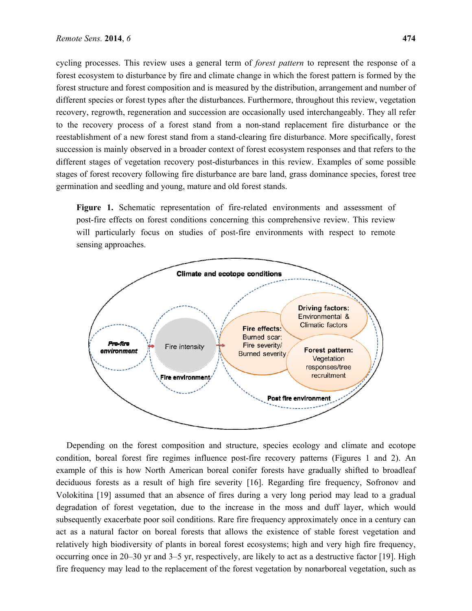cycling processes. This review uses a general term of *forest pattern* to represent the response of a forest ecosystem to disturbance by fire and climate change in which the forest pattern is formed by the forest structure and forest composition and is measured by the distribution, arrangement and number of different species or forest types after the disturbances. Furthermore, throughout this review, vegetation recovery, regrowth, regeneration and succession are occasionally used interchangeably. They all refer to the recovery process of a forest stand from a non-stand replacement fire disturbance or the reestablishment of a new forest stand from a stand-clearing fire disturbance. More specifically, forest succession is mainly observed in a broader context of forest ecosystem responses and that refers to the different stages of vegetation recovery post-disturbances in this review. Examples of some possible stages of forest recovery following fire disturbance are bare land, grass dominance species, forest tree germination and seedling and young, mature and old forest stands.

**Figure 1.** Schematic representation of fire-related environments and assessment of post-fire effects on forest conditions concerning this comprehensive review. This review will particularly focus on studies of post-fire environments with respect to remote sensing approaches.



Depending on the forest composition and structure, species ecology and climate and ecotope condition, boreal forest fire regimes influence post-fire recovery patterns (Figures 1 and 2). An example of this is how North American boreal conifer forests have gradually shifted to broadleaf deciduous forests as a result of high fire severity [16]. Regarding fire frequency, Sofronov and Volokitina [19] assumed that an absence of fires during a very long period may lead to a gradual degradation of forest vegetation, due to the increase in the moss and duff layer, which would subsequently exacerbate poor soil conditions. Rare fire frequency approximately once in a century can act as a natural factor on boreal forests that allows the existence of stable forest vegetation and relatively high biodiversity of plants in boreal forest ecosystems; high and very high fire frequency, occurring once in 20–30 yr and 3–5 yr, respectively, are likely to act as a destructive factor [19]. High fire frequency may lead to the replacement of the forest vegetation by nonarboreal vegetation, such as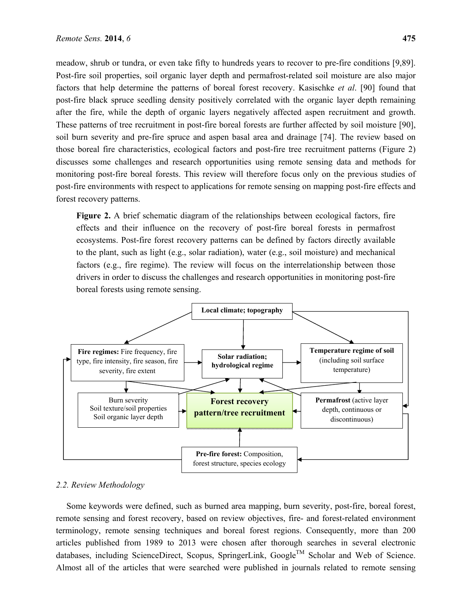meadow, shrub or tundra, or even take fifty to hundreds years to recover to pre-fire conditions [9,89]. Post-fire soil properties, soil organic layer depth and permafrost-related soil moisture are also major factors that help determine the patterns of boreal forest recovery. Kasischke *et al*. [90] found that post-fire black spruce seedling density positively correlated with the organic layer depth remaining after the fire, while the depth of organic layers negatively affected aspen recruitment and growth. These patterns of tree recruitment in post-fire boreal forests are further affected by soil moisture [90], soil burn severity and pre-fire spruce and aspen basal area and drainage [74]. The review based on those boreal fire characteristics, ecological factors and post-fire tree recruitment patterns (Figure 2) discusses some challenges and research opportunities using remote sensing data and methods for monitoring post-fire boreal forests. This review will therefore focus only on the previous studies of post-fire environments with respect to applications for remote sensing on mapping post-fire effects and forest recovery patterns.

**Figure 2.** A brief schematic diagram of the relationships between ecological factors, fire effects and their influence on the recovery of post-fire boreal forests in permafrost ecosystems. Post-fire forest recovery patterns can be defined by factors directly available to the plant, such as light (e.g., solar radiation), water (e.g., soil moisture) and mechanical factors (e.g., fire regime). The review will focus on the interrelationship between those drivers in order to discuss the challenges and research opportunities in monitoring post-fire boreal forests using remote sensing.



#### *2.2. Review Methodology*

Some keywords were defined, such as burned area mapping, burn severity, post-fire, boreal forest, remote sensing and forest recovery, based on review objectives, fire- and forest-related environment terminology, remote sensing techniques and boreal forest regions. Consequently, more than 200 articles published from 1989 to 2013 were chosen after thorough searches in several electronic databases, including ScienceDirect, Scopus, SpringerLink, Google<sup>TM</sup> Scholar and Web of Science. Almost all of the articles that were searched were published in journals related to remote sensing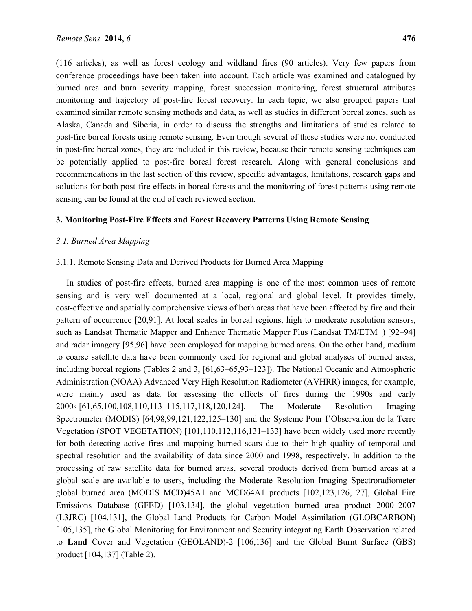(116 articles), as well as forest ecology and wildland fires (90 articles). Very few papers from conference proceedings have been taken into account. Each article was examined and catalogued by burned area and burn severity mapping, forest succession monitoring, forest structural attributes monitoring and trajectory of post-fire forest recovery. In each topic, we also grouped papers that examined similar remote sensing methods and data, as well as studies in different boreal zones, such as Alaska, Canada and Siberia, in order to discuss the strengths and limitations of studies related to post-fire boreal forests using remote sensing. Even though several of these studies were not conducted in post-fire boreal zones, they are included in this review, because their remote sensing techniques can be potentially applied to post-fire boreal forest research. Along with general conclusions and recommendations in the last section of this review, specific advantages, limitations, research gaps and solutions for both post-fire effects in boreal forests and the monitoring of forest patterns using remote sensing can be found at the end of each reviewed section.

#### **3. Monitoring Post-Fire Effects and Forest Recovery Patterns Using Remote Sensing**

### *3.1. Burned Area Mapping*

#### 3.1.1. Remote Sensing Data and Derived Products for Burned Area Mapping

In studies of post-fire effects, burned area mapping is one of the most common uses of remote sensing and is very well documented at a local, regional and global level. It provides timely, cost-effective and spatially comprehensive views of both areas that have been affected by fire and their pattern of occurrence [20,91]. At local scales in boreal regions, high to moderate resolution sensors, such as Landsat Thematic Mapper and Enhance Thematic Mapper Plus (Landsat TM/ETM+) [92–94] and radar imagery [95,96] have been employed for mapping burned areas. On the other hand, medium to coarse satellite data have been commonly used for regional and global analyses of burned areas, including boreal regions (Tables 2 and 3, [61,63–65,93–123]). The National Oceanic and Atmospheric Administration (NOAA) Advanced Very High Resolution Radiometer (AVHRR) images, for example, were mainly used as data for assessing the effects of fires during the 1990s and early 2000s [61,65,100,108,110,113–115,117,118,120,124]. The Moderate Resolution Imaging Spectrometer (MODIS) [64,98,99,121,122,125–130] and the Systeme Pour I'Observation de la Terre Vegetation (SPOT VEGETATION) [101,110,112,116,131–133] have been widely used more recently for both detecting active fires and mapping burned scars due to their high quality of temporal and spectral resolution and the availability of data since 2000 and 1998, respectively. In addition to the processing of raw satellite data for burned areas, several products derived from burned areas at a global scale are available to users, including the Moderate Resolution Imaging Spectroradiometer global burned area (MODIS MCD)45A1 and MCD64A1 products [102,123,126,127], Global Fire Emissions Database (GFED) [103,134], the global vegetation burned area product 2000–2007 (L3JRC) [104,131], the Global Land Products for Carbon Model Assimilation (GLOBCARBON) [105,135], the **G**lobal Monitoring for Environment and Security integrating **E**arth **O**bservation related to **Land** Cover and Vegetation (GEOLAND)-2 [106,136] and the Global Burnt Surface (GBS) product [104,137] (Table 2).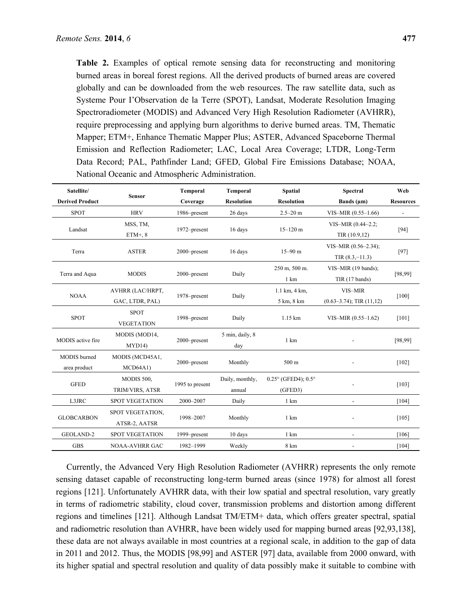**Table 2.** Examples of optical remote sensing data for reconstructing and monitoring burned areas in boreal forest regions. All the derived products of burned areas are covered globally and can be downloaded from the web resources. The raw satellite data, such as Systeme Pour I'Observation de la Terre (SPOT), Landsat, Moderate Resolution Imaging Spectroradiometer (MODIS) and Advanced Very High Resolution Radiometer (AVHRR), require preprocessing and applying burn algorithms to derive burned areas. TM, Thematic Mapper; ETM+, Enhance Thematic Mapper Plus; ASTER, Advanced Spaceborne Thermal Emission and Reflection Radiometer; LAC, Local Area Coverage; LTDR, Long-Term Data Record; PAL, Pathfinder Land; GFED, Global Fire Emissions Database; NOAA, National Oceanic and Atmospheric Administration.

| Satellite/             |                        | Temporal        | <b>Temporal</b>   | <b>Spatial</b>                        | <b>Spectral</b>               | Web              |  |
|------------------------|------------------------|-----------------|-------------------|---------------------------------------|-------------------------------|------------------|--|
| <b>Derived Product</b> | <b>Sensor</b>          | Coverage        | <b>Resolution</b> | <b>Resolution</b>                     | Bands (um)                    | <b>Resources</b> |  |
| <b>SPOT</b>            | <b>HRV</b>             | 1986–present    | 26 days           | $2.5 - 20$ m                          | VIS-MIR (0.55-1.66)           |                  |  |
|                        | MSS, TM,               |                 |                   |                                       | VIS-MIR $(0.44-2.2)$ ;        |                  |  |
| Landsat                | $ETM+$ , $8$           | 1972–present    | 16 days           | $15 - 120$ m                          | TIR(10.9,12)                  | $[94]$           |  |
|                        |                        |                 |                   |                                       | VIS-MIR (0.56-2.34);          |                  |  |
| Terra                  | <b>ASTER</b>           | 2000-present    | 16 days           | $15 - 90$ m                           | TIR $(8.3,-11.3)$             | $[97]$           |  |
|                        |                        |                 |                   | 250 m, 500 m.                         | VIS-MIR (19 bands);           |                  |  |
| Terra and Aqua         | <b>MODIS</b>           | 2000-present    | Daily             | 1 km                                  | TIR (17 bands)                | [98, 99]         |  |
|                        | AVHRR (LAC/HRPT,       |                 |                   | $1.1 \text{ km}$ , 4 km,              | VIS-MIR                       |                  |  |
| <b>NOAA</b>            | GAC, LTDR, PAL)        | 1978-present    | Daily             | 5 km, 8 km                            | $(0.63-3.74)$ ; TIR $(11,12)$ | $[100]$          |  |
|                        | <b>SPOT</b>            |                 | Daily             |                                       |                               |                  |  |
| <b>SPOT</b>            | <b>VEGETATION</b>      | 1998–present    |                   | 1.15 km                               | VIS-MIR $(0.55-1.62)$         | [101]            |  |
|                        | MODIS (MOD14,          |                 | 5 min, daily, 8   |                                       |                               |                  |  |
| MODIS active fire      | MYD14)                 | 2000-present    | day               | 1 km                                  |                               | [98, 99]         |  |
| MODIS burned           | MODIS (MCD45A1,        |                 |                   |                                       |                               |                  |  |
| area product           | MCD64A1)               | 2000-present    | Monthly           | 500 m                                 |                               | $[102]$          |  |
|                        | MODIS 500,             |                 | Daily, monthly,   | $0.25^{\circ}$ (GFED4); $0.5^{\circ}$ |                               |                  |  |
| <b>GFED</b>            | TRIM/VIRS, ATSR        | 1995 to present | annual            | (GFED3)                               |                               | [103]            |  |
| L3JRC                  | <b>SPOT VEGETATION</b> | 2000-2007       | Daily             | 1 km                                  |                               | $[104]$          |  |
|                        | SPOT VEGETATION,       |                 |                   |                                       |                               | [105]            |  |
| <b>GLOBCARBON</b>      | ATSR-2, AATSR          | 1998-2007       | Monthly           | 1 km                                  |                               |                  |  |
| GEOLAND-2              | <b>SPOT VEGETATION</b> | 1999–present    | 10 days           | 1 km                                  |                               | $[106]$          |  |
| <b>GBS</b>             | <b>NOAA-AVHRR GAC</b>  | 1982-1999       | Weekly            | 8 km                                  |                               | $[104]$          |  |

Currently, the Advanced Very High Resolution Radiometer (AVHRR) represents the only remote sensing dataset capable of reconstructing long-term burned areas (since 1978) for almost all forest regions [121]. Unfortunately AVHRR data, with their low spatial and spectral resolution, vary greatly in terms of radiometric stability, cloud cover, transmission problems and distortion among different regions and timelines [121]. Although Landsat TM/ETM+ data, which offers greater spectral, spatial and radiometric resolution than AVHRR, have been widely used for mapping burned areas [92,93,138], these data are not always available in most countries at a regional scale, in addition to the gap of data in 2011 and 2012. Thus, the MODIS [98,99] and ASTER [97] data, available from 2000 onward, with its higher spatial and spectral resolution and quality of data possibly make it suitable to combine with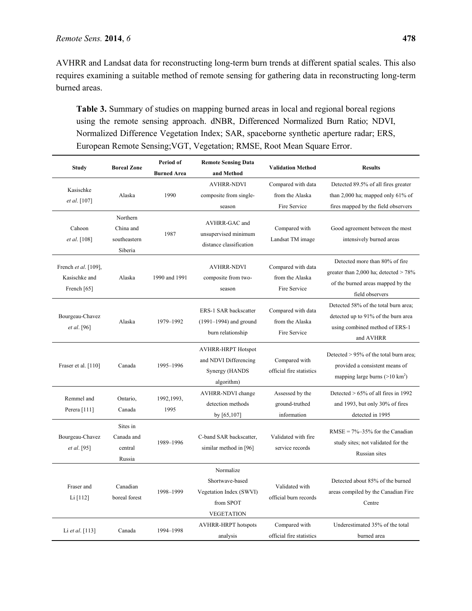AVHRR and Landsat data for reconstructing long-term burn trends at different spatial scales. This also requires examining a suitable method of remote sensing for gathering data in reconstructing long-term burned areas.

**Table 3.** Summary of studies on mapping burned areas in local and regional boreal regions using the remote sensing approach. dNBR, Differenced Normalized Burn Ratio; NDVI, Normalized Difference Vegetation Index; SAR, spaceborne synthetic aperture radar; ERS, European Remote Sensing;VGT, Vegetation; RMSE, Root Mean Square Error.

| <b>Study</b>                                         | <b>Boreal Zone</b>                               | Period of<br><b>Burned Area</b> | <b>Remote Sensing Data</b><br>and Method                                                  | <b>Validation Method</b>                              | <b>Results</b>                                                                                                                     |
|------------------------------------------------------|--------------------------------------------------|---------------------------------|-------------------------------------------------------------------------------------------|-------------------------------------------------------|------------------------------------------------------------------------------------------------------------------------------------|
| Kasischke<br>et al. [107]                            | Alaska                                           | 1990                            | <b>AVHRR-NDVI</b><br>composite from single-<br>season                                     | Compared with data<br>from the Alaska<br>Fire Service | Detected 89.5% of all fires greater<br>than 2,000 ha; mapped only $61\%$ of<br>fires mapped by the field observers                 |
| Cahoon<br>et al. [108]                               | Northern<br>China and<br>southeastern<br>Siberia | 1987                            | AVHRR-GAC and<br>unsupervised minimum<br>distance classification                          | Compared with<br>Landsat TM image                     | Good agreement between the most<br>intensively burned areas                                                                        |
| French et al. [109],<br>Kasischke and<br>French [65] | Alaska                                           | 1990 and 1991                   | <b>AVHRR-NDVI</b><br>composite from two-<br>season                                        | Compared with data<br>from the Alaska<br>Fire Service | Detected more than 80% of fire<br>greater than 2,000 ha; detected $> 78\%$<br>of the burned areas mapped by the<br>field observers |
| Bourgeau-Chavez<br>et al. [96]                       | Alaska                                           | 1979-1992                       | ERS-1 SAR backscatter<br>$(1991-1994)$ and ground<br>burn relationship                    | Compared with data<br>from the Alaska<br>Fire Service | Detected 58% of the total burn area;<br>detected up to 91% of the burn area<br>using combined method of ERS-1<br>and AVHRR         |
| Fraser et al. [110]                                  | Canada                                           | 1995-1996                       | <b>AVHRR-HRPT Hotspot</b><br>and NDVI Differencing<br>Synergy (HANDS<br>algorithm)        | Compared with<br>official fire statistics             | Detected $> 95\%$ of the total burn area;<br>provided a consistent means of<br>mapping large burns $(>10 \text{ km}^2)$            |
| Remmel and<br>Perera [111]                           | Ontario.<br>Canada                               | 1992, 1993,<br>1995             | AVHRR-NDVI change<br>detection methods<br>by $[65, 107]$                                  | Assessed by the<br>ground-truthed<br>information      | Detected $> 65\%$ of all fires in 1992<br>and 1993, but only 30% of fires<br>detected in 1995                                      |
| Bourgeau-Chavez<br>et al. [95]                       | Sites in<br>Canada and<br>central<br>Russia      | 1989-1996                       | C-band SAR backscatter,<br>similar method in [96]                                         | Validated with fire<br>service records                | $RMSE = 7\% - 35\%$ for the Canadian<br>study sites; not validated for the<br>Russian sites                                        |
| Fraser and<br>Li[112]                                | Canadian<br>boreal forest                        | 1998-1999                       | Normalize<br>Shortwave-based<br>Vegetation Index (SWVI)<br>from SPOT<br><b>VEGETATION</b> | Validated with<br>official burn records               | Detected about 85% of the burned<br>areas compiled by the Canadian Fire<br>Centre                                                  |
| Li et al. $[113]$                                    | Canada                                           | 1994-1998                       | <b>AVHRR-HRPT</b> hotspots<br>analysis                                                    | Compared with<br>official fire statistics             | Underestimated 35% of the total<br>burned area                                                                                     |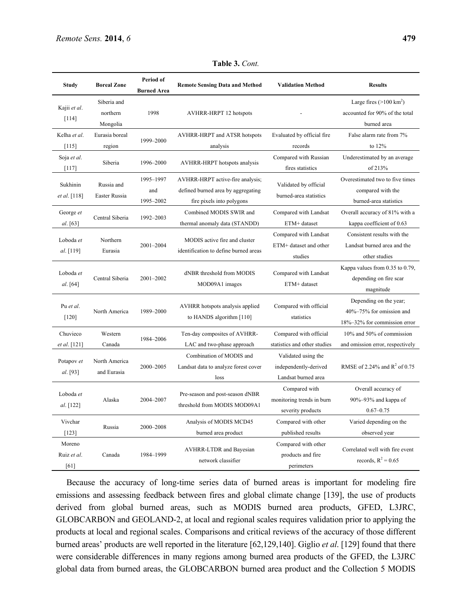*al*. [122]

Vivchar [123]

Moreno Ruiz *et al*. [61]

Alaska 2004–2007

Russia 2000–2008

Canada 1984–1999

| Study                    | <b>Boreal Zone</b>                  | Period of<br><b>Burned Area</b> | <b>Remote Sensing Data and Method</b>                                                               | <b>Validation Method</b>                                            | <b>Results</b>                                                                     |
|--------------------------|-------------------------------------|---------------------------------|-----------------------------------------------------------------------------------------------------|---------------------------------------------------------------------|------------------------------------------------------------------------------------|
| Kajii et al.<br>$[114]$  | Siberia and<br>northern<br>Mongolia | 1998                            | <b>AVHRR-HRPT 12 hotspots</b>                                                                       |                                                                     | Large fires $(>100 \text{ km}^2)$<br>accounted for 90% of the total<br>burned area |
| Kelha et al.<br>[115]    | Eurasia boreal<br>region            | 1999-2000                       | AVHRR-HRPT and ATSR hotspots<br>analysis                                                            | Evaluated by official fire<br>records                               | False alarm rate from 7%<br>to 12%                                                 |
| Soja et al.<br>[117]     | Siberia                             | 1996-2000                       | AVHRR-HRPT hotspots analysis                                                                        | Compared with Russian<br>fires statistics                           | Underestimated by an average<br>of 213%                                            |
| Sukhinin<br>et al. [118] | Russia and<br>Easter Russia         | 1995-1997<br>and<br>1995-2002   | AVHRR-HRPT active-fire analysis;<br>defined burned area by aggregating<br>fire pixels into polygons | Validated by official<br>burned-area statistics                     | Overestimated two to five times<br>compared with the<br>burned-area statistics     |
| George et<br>al. [63]    | Central Siberia                     | 1992-2003                       | Combined MODIS SWIR and<br>thermal anomaly data (STANDD)                                            | Compared with Landsat<br>ETM+ dataset                               | Overall accuracy of 81% with a<br>kappa coefficient of 0.63                        |
| Loboda et<br>al. [119]   | Northern<br>Eurasia                 | 2001-2004                       | MODIS active fire and cluster<br>identification to define burned areas                              | Compared with Landsat<br>ETM+ dataset and other<br>studies          | Consistent results with the<br>Landsat burned area and the<br>other studies        |
| Loboda et<br>al. [64]    | Central Siberia                     | 2001-2002                       | dNBR threshold from MODIS<br>MOD09A1 images                                                         | Compared with Landsat<br>ETM+ dataset                               | Kappa values from 0.35 to 0.79,<br>depending on fire scar<br>magnitude             |
| Pu et al.<br>$[120]$     | North America                       | 1989-2000                       | AVHRR hotspots analysis applied<br>to HANDS algorithm [110]                                         | Compared with official<br>statistics                                | Depending on the year;<br>40%-75% for omission and<br>18%-32% for commission error |
| Chuvieco<br>et al. [121] | Western<br>Canada                   | 1984-2006                       | Ten-day composites of AVHRR-<br>LAC and two-phase approach                                          | Compared with official<br>statistics and other studies              | 10% and 50% of commission<br>and omission error, respectively                      |
| Potapov et<br>al. [93]   | North America<br>and Eurasia        | 2000-2005                       | Combination of MODIS and<br>Landsat data to analyze forest cover<br>loss                            | Validated using the<br>independently-derived<br>Landsat burned area | RMSE of 2.24% and $R^2$ of 0.75                                                    |
| Loboda et                |                                     |                                 | Pre-season and post-season dNBR                                                                     | Compared with                                                       | Overall accuracy of                                                                |

**Table 3.** *Cont.*

Because the accuracy of long-time series data of burned areas is important for modeling fire emissions and assessing feedback between fires and global climate change [139], the use of products derived from global burned areas, such as MODIS burned area products, GFED, L3JRC, GLOBCARBON and GEOLAND-2, at local and regional scales requires validation prior to applying the products at local and regional scales. Comparisons and critical reviews of the accuracy of those different burned areas' products are well reported in the literature [62,129,140]. Giglio *et al*. [129] found that there were considerable differences in many regions among burned area products of the GFED, the L3JRC global data from burned areas, the GLOBCARBON burned area product and the Collection 5 MODIS

threshold from MODIS MOD09A1

Analysis of MODIS MCD45 burned area product

AVHRR-LTDR and Bayesian network classifier

monitoring trends in burn severity products

Compared with other published results

Compared with other products and fire perimeters

90%–93% and kappa of 0.67–0.75

Varied depending on the observed year

Correlated well with fire event records,  $R^2 = 0.65$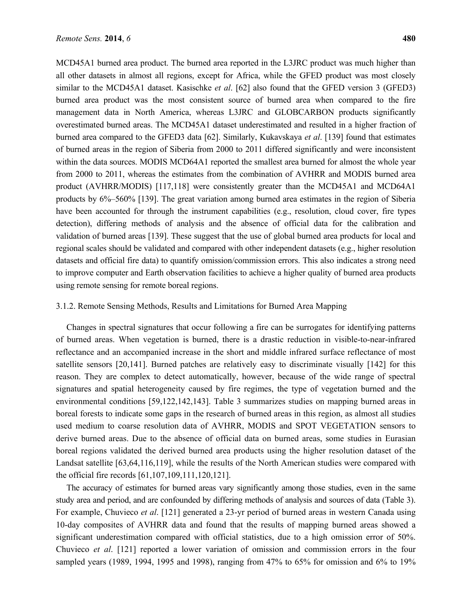MCD45A1 burned area product. The burned area reported in the L3JRC product was much higher than all other datasets in almost all regions, except for Africa, while the GFED product was most closely similar to the MCD45A1 dataset. Kasischke *et al*. [62] also found that the GFED version 3 (GFED3) burned area product was the most consistent source of burned area when compared to the fire management data in North America, whereas L3JRC and GLOBCARBON products significantly overestimated burned areas. The MCD45A1 dataset underestimated and resulted in a higher fraction of burned area compared to the GFED3 data [62]. Similarly, Kukavskaya *et al*. [139] found that estimates of burned areas in the region of Siberia from 2000 to 2011 differed significantly and were inconsistent within the data sources. MODIS MCD64A1 reported the smallest area burned for almost the whole year from 2000 to 2011, whereas the estimates from the combination of AVHRR and MODIS burned area product (AVHRR/MODIS) [117,118] were consistently greater than the MCD45A1 and MCD64A1 products by 6%–560% [139]. The great variation among burned area estimates in the region of Siberia have been accounted for through the instrument capabilities (e.g., resolution, cloud cover, fire types detection), differing methods of analysis and the absence of official data for the calibration and validation of burned areas [139]. These suggest that the use of global burned area products for local and regional scales should be validated and compared with other independent datasets (e.g., higher resolution datasets and official fire data) to quantify omission/commission errors. This also indicates a strong need to improve computer and Earth observation facilities to achieve a higher quality of burned area products using remote sensing for remote boreal regions.

# 3.1.2. Remote Sensing Methods, Results and Limitations for Burned Area Mapping

Changes in spectral signatures that occur following a fire can be surrogates for identifying patterns of burned areas. When vegetation is burned, there is a drastic reduction in visible-to-near-infrared reflectance and an accompanied increase in the short and middle infrared surface reflectance of most satellite sensors [20,141]. Burned patches are relatively easy to discriminate visually [142] for this reason. They are complex to detect automatically, however, because of the wide range of spectral signatures and spatial heterogeneity caused by fire regimes, the type of vegetation burned and the environmental conditions [59,122,142,143]. Table 3 summarizes studies on mapping burned areas in boreal forests to indicate some gaps in the research of burned areas in this region, as almost all studies used medium to coarse resolution data of AVHRR, MODIS and SPOT VEGETATION sensors to derive burned areas. Due to the absence of official data on burned areas, some studies in Eurasian boreal regions validated the derived burned area products using the higher resolution dataset of the Landsat satellite [63,64,116,119], while the results of the North American studies were compared with the official fire records [61,107,109,111,120,121].

The accuracy of estimates for burned areas vary significantly among those studies, even in the same study area and period, and are confounded by differing methods of analysis and sources of data (Table 3). For example, Chuvieco *et al*. [121] generated a 23-yr period of burned areas in western Canada using 10-day composites of AVHRR data and found that the results of mapping burned areas showed a significant underestimation compared with official statistics, due to a high omission error of 50%. Chuvieco *et al*. [121] reported a lower variation of omission and commission errors in the four sampled years (1989, 1994, 1995 and 1998), ranging from 47% to 65% for omission and 6% to 19%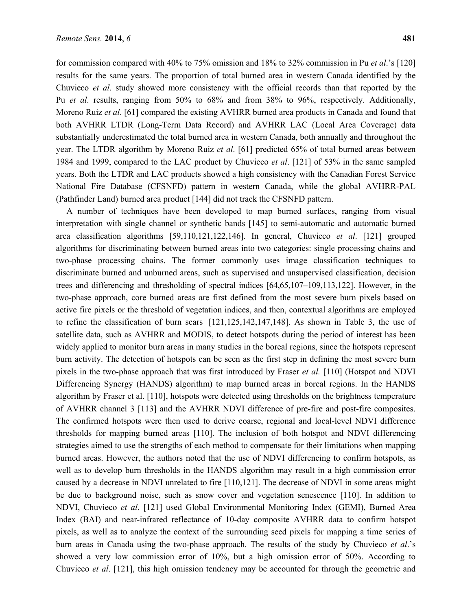for commission compared with 40% to 75% omission and 18% to 32% commission in Pu *et al*.'s [120] results for the same years. The proportion of total burned area in western Canada identified by the Chuvieco *et al*. study showed more consistency with the official records than that reported by the Pu *et al*. results, ranging from 50% to 68% and from 38% to 96%, respectively. Additionally, Moreno Ruiz *et al*. [61] compared the existing AVHRR burned area products in Canada and found that both AVHRR LTDR (Long-Term Data Record) and AVHRR LAC (Local Area Coverage) data substantially underestimated the total burned area in western Canada, both annually and throughout the year. The LTDR algorithm by Moreno Ruiz *et al*. [61] predicted 65% of total burned areas between 1984 and 1999, compared to the LAC product by Chuvieco *et al*. [121] of 53% in the same sampled years. Both the LTDR and LAC products showed a high consistency with the Canadian Forest Service National Fire Database (CFSNFD) pattern in western Canada, while the global AVHRR-PAL (Pathfinder Land) burned area product [144] did not track the CFSNFD pattern.

A number of techniques have been developed to map burned surfaces, ranging from visual interpretation with single channel or synthetic bands [145] to semi-automatic and automatic burned area classification algorithms [59,110,121,122,146]. In general, Chuvieco *et al*. [121] grouped algorithms for discriminating between burned areas into two categories: single processing chains and two-phase processing chains. The former commonly uses image classification techniques to discriminate burned and unburned areas, such as supervised and unsupervised classification, decision trees and differencing and thresholding of spectral indices [64,65,107–109,113,122]. However, in the two-phase approach, core burned areas are first defined from the most severe burn pixels based on active fire pixels or the threshold of vegetation indices, and then, contextual algorithms are employed to refine the classification of burn scars [121,125,142,147,148]. As shown in Table 3, the use of satellite data, such as AVHRR and MODIS, to detect hotspots during the period of interest has been widely applied to monitor burn areas in many studies in the boreal regions, since the hotspots represent burn activity. The detection of hotspots can be seen as the first step in defining the most severe burn pixels in the two-phase approach that was first introduced by Fraser *et al.* [110] (Hotspot and NDVI Differencing Synergy (HANDS) algorithm) to map burned areas in boreal regions. In the HANDS algorithm by Fraser et al. [110], hotspots were detected using thresholds on the brightness temperature of AVHRR channel 3 [113] and the AVHRR NDVI difference of pre-fire and post-fire composites. The confirmed hotspots were then used to derive coarse, regional and local-level NDVI difference thresholds for mapping burned areas [110]. The inclusion of both hotspot and NDVI differencing strategies aimed to use the strengths of each method to compensate for their limitations when mapping burned areas. However, the authors noted that the use of NDVI differencing to confirm hotspots, as well as to develop burn thresholds in the HANDS algorithm may result in a high commission error caused by a decrease in NDVI unrelated to fire [110,121]. The decrease of NDVI in some areas might be due to background noise, such as snow cover and vegetation senescence [110]. In addition to NDVI, Chuvieco *et al*. [121] used Global Environmental Monitoring Index (GEMI), Burned Area Index (BAI) and near-infrared reflectance of 10-day composite AVHRR data to confirm hotspot pixels, as well as to analyze the context of the surrounding seed pixels for mapping a time series of burn areas in Canada using the two-phase approach. The results of the study by Chuvieco *et al*.'s showed a very low commission error of 10%, but a high omission error of 50%. According to Chuvieco *et al*. [121], this high omission tendency may be accounted for through the geometric and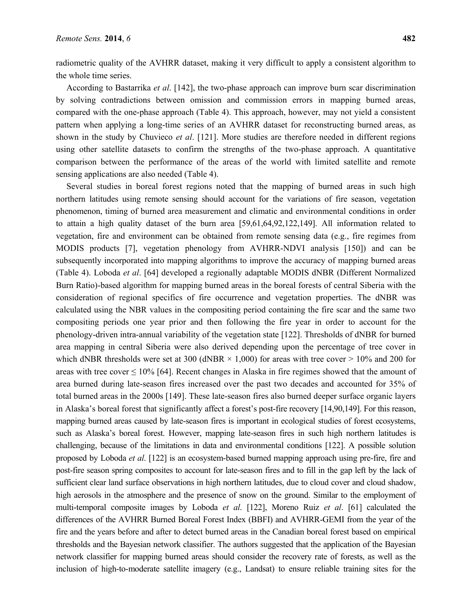radiometric quality of the AVHRR dataset, making it very difficult to apply a consistent algorithm to the whole time series.

According to Bastarrika *et al*. [142], the two-phase approach can improve burn scar discrimination by solving contradictions between omission and commission errors in mapping burned areas, compared with the one-phase approach (Table 4). This approach, however, may not yield a consistent pattern when applying a long-time series of an AVHRR dataset for reconstructing burned areas, as shown in the study by Chuvieco *et al*. [121]. More studies are therefore needed in different regions using other satellite datasets to confirm the strengths of the two-phase approach. A quantitative comparison between the performance of the areas of the world with limited satellite and remote sensing applications are also needed (Table 4).

Several studies in boreal forest regions noted that the mapping of burned areas in such high northern latitudes using remote sensing should account for the variations of fire season, vegetation phenomenon, timing of burned area measurement and climatic and environmental conditions in order to attain a high quality dataset of the burn area [59,61,64,92,122,149]. All information related to vegetation, fire and environment can be obtained from remote sensing data (e.g., fire regimes from MODIS products [7], vegetation phenology from AVHRR-NDVI analysis [150]) and can be subsequently incorporated into mapping algorithms to improve the accuracy of mapping burned areas (Table 4). Loboda *et al*. [64] developed a regionally adaptable MODIS dNBR (Different Normalized Burn Ratio)-based algorithm for mapping burned areas in the boreal forests of central Siberia with the consideration of regional specifics of fire occurrence and vegetation properties. The dNBR was calculated using the NBR values in the compositing period containing the fire scar and the same two compositing periods one year prior and then following the fire year in order to account for the phenology-driven intra-annual variability of the vegetation state [122]. Thresholds of dNBR for burned area mapping in central Siberia were also derived depending upon the percentage of tree cover in which dNBR thresholds were set at 300 (dNBR  $\times$  1,000) for areas with tree cover  $> 10\%$  and 200 for areas with tree cover  $\leq 10\%$  [64]. Recent changes in Alaska in fire regimes showed that the amount of area burned during late-season fires increased over the past two decades and accounted for 35% of total burned areas in the 2000s [149]. These late-season fires also burned deeper surface organic layers in Alaska's boreal forest that significantly affect a forest's post-fire recovery [14,90,149]. For this reason, mapping burned areas caused by late-season fires is important in ecological studies of forest ecosystems, such as Alaska's boreal forest. However, mapping late-season fires in such high northern latitudes is challenging, because of the limitations in data and environmental conditions [122]. A possible solution proposed by Loboda *et al*. [122] is an ecosystem-based burned mapping approach using pre-fire, fire and post-fire season spring composites to account for late-season fires and to fill in the gap left by the lack of sufficient clear land surface observations in high northern latitudes, due to cloud cover and cloud shadow, high aerosols in the atmosphere and the presence of snow on the ground. Similar to the employment of multi-temporal composite images by Loboda *et al*. [122], Moreno Ruiz *et al*. [61] calculated the differences of the AVHRR Burned Boreal Forest Index (BBFI) and AVHRR-GEMI from the year of the fire and the years before and after to detect burned areas in the Canadian boreal forest based on empirical thresholds and the Bayesian network classifier. The authors suggested that the application of the Bayesian network classifier for mapping burned areas should consider the recovery rate of forests, as well as the inclusion of high-to-moderate satellite imagery (e.g., Landsat) to ensure reliable training sites for the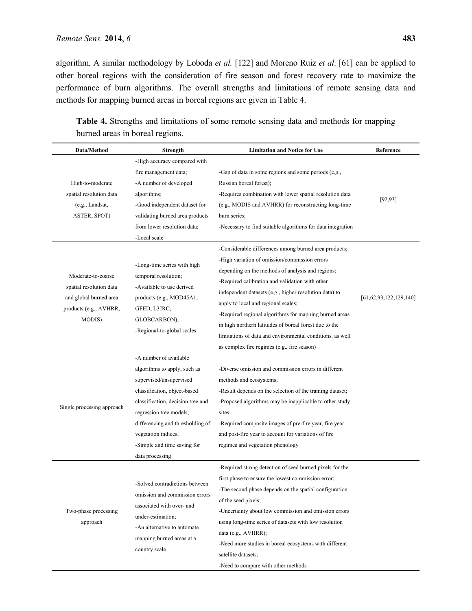algorithm. A similar methodology by Loboda *et al.* [122] and Moreno Ruiz *et al*. [61] can be applied to other boreal regions with the consideration of fire season and forest recovery rate to maximize the performance of burn algorithms. The overall strengths and limitations of remote sensing data and methods for mapping burned areas in boreal regions are given in Table 4.

| Data/Method                      | <b>Strength</b>                                                                 | <b>Limitation and Notice for Use</b>                                                                         | Reference                   |
|----------------------------------|---------------------------------------------------------------------------------|--------------------------------------------------------------------------------------------------------------|-----------------------------|
| High-to-moderate                 | -High accuracy compared with<br>fire management data;<br>-A number of developed | -Gap of data in some regions and some periods (e.g.,<br>Russian boreal forest);                              |                             |
| spatial resolution data          | algorithms;                                                                     | -Requires combination with lower spatial resolution data                                                     |                             |
| (e.g., Landsat,                  | -Good independent dataset for                                                   | (e.g., MODIS and AVHRR) for reconstructing long-time                                                         | [92, 93]                    |
| ASTER, SPOT)                     | validating burned area products                                                 | burn series;                                                                                                 |                             |
|                                  | from lower resolution data;                                                     | -Necessary to find suitable algorithms for data integration                                                  |                             |
|                                  | -Local scale                                                                    |                                                                                                              |                             |
|                                  |                                                                                 | -Considerable differences among burned area products;<br>-High variation of omission/commission errors       |                             |
|                                  | -Long-time series with high                                                     | depending on the methods of analysis and regions;                                                            |                             |
| Moderate-to-coarse               | temporal resolution;                                                            | -Required calibration and validation with other                                                              |                             |
| spatial resolution data          | -Available to use derived                                                       | independent datasets (e.g., higher resolution data) to                                                       |                             |
| and global burned area           | products (e.g., MOD45A1,                                                        | apply to local and regional scales;                                                                          | [61, 62, 93, 122, 129, 140] |
| products (e.g., AVHRR,<br>MODIS) | GFED, L3JRC,<br>GLOBCARBON);                                                    | -Required regional algorithms for mapping burned areas                                                       |                             |
|                                  | -Regional-to-global scales                                                      | in high northern latitudes of boreal forest due to the                                                       |                             |
|                                  |                                                                                 | limitations of data and environmental conditions, as well                                                    |                             |
|                                  |                                                                                 | as complex fire regimes (e.g., fire season)                                                                  |                             |
|                                  | -A number of available<br>algorithms to apply, such as                          | -Diverse omission and commission errors in different                                                         |                             |
|                                  | supervised/unsupervised                                                         | methods and ecosystems;                                                                                      |                             |
|                                  | classification, object-based                                                    | -Result depends on the selection of the training dataset;                                                    |                             |
|                                  | classification, decision tree and                                               | -Proposed algorithms may be inapplicable to other study                                                      |                             |
| Single processing approach       | regression tree models;                                                         | sites;                                                                                                       |                             |
|                                  | differencing and thresholding of                                                | -Required composite images of pre-fire year, fire year                                                       |                             |
|                                  | vegetation indices;                                                             | and post-fire year to account for variations of fire                                                         |                             |
|                                  | -Simple and time saving for                                                     | regimes and vegetation phenology                                                                             |                             |
|                                  | data processing                                                                 |                                                                                                              |                             |
|                                  |                                                                                 | -Required strong detection of seed burned pixels for the                                                     |                             |
|                                  | -Solved contradictions between                                                  | first phase to ensure the lowest commission error;<br>-The second phase depends on the spatial configuration |                             |
|                                  | omission and commission errors                                                  | of the seed pixels:                                                                                          |                             |
| Two-phase processing             | associated with over- and                                                       | -Uncertainty about low commission and omission errors                                                        |                             |
| approach                         | under-estimation;                                                               | using long-time series of datasets with low resolution                                                       |                             |
|                                  | -An alternative to automate                                                     | data (e.g., AVHRR);                                                                                          |                             |
|                                  | mapping burned areas at a<br>country scale                                      | -Need more studies in boreal ecosystems with different                                                       |                             |
|                                  |                                                                                 | satellite datasets;                                                                                          |                             |
|                                  |                                                                                 | -Need to compare with other methods                                                                          |                             |

**Table 4.** Strengths and limitations of some remote sensing data and methods for mapping burned areas in boreal regions.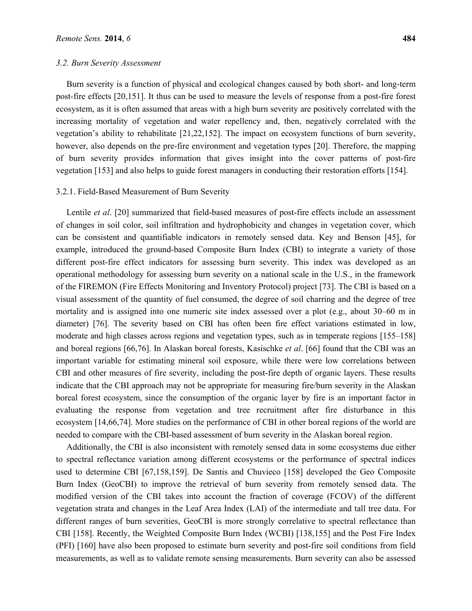#### *3.2. Burn Severity Assessment*

Burn severity is a function of physical and ecological changes caused by both short- and long-term post-fire effects [20,151]. It thus can be used to measure the levels of response from a post-fire forest ecosystem, as it is often assumed that areas with a high burn severity are positively correlated with the increasing mortality of vegetation and water repellency and, then, negatively correlated with the vegetation's ability to rehabilitate [21,22,152]. The impact on ecosystem functions of burn severity, however, also depends on the pre-fire environment and vegetation types [20]. Therefore, the mapping of burn severity provides information that gives insight into the cover patterns of post-fire vegetation [153] and also helps to guide forest managers in conducting their restoration efforts [154].

#### 3.2.1. Field-Based Measurement of Burn Severity

Lentile *et al*. [20] summarized that field-based measures of post-fire effects include an assessment of changes in soil color, soil infiltration and hydrophobicity and changes in vegetation cover, which can be consistent and quantifiable indicators in remotely sensed data. Key and Benson [45], for example, introduced the ground-based Composite Burn Index (CBI) to integrate a variety of those different post-fire effect indicators for assessing burn severity. This index was developed as an operational methodology for assessing burn severity on a national scale in the U.S., in the framework of the FIREMON (Fire Effects Monitoring and Inventory Protocol) project [73]. The CBI is based on a visual assessment of the quantity of fuel consumed, the degree of soil charring and the degree of tree mortality and is assigned into one numeric site index assessed over a plot (e.g., about 30–60 m in diameter) [76]. The severity based on CBI has often been fire effect variations estimated in low, moderate and high classes across regions and vegetation types, such as in temperate regions [155–158] and boreal regions [66,76]. In Alaskan boreal forests, Kasischke *et al*. [66] found that the CBI was an important variable for estimating mineral soil exposure, while there were low correlations between CBI and other measures of fire severity, including the post-fire depth of organic layers. These results indicate that the CBI approach may not be appropriate for measuring fire/burn severity in the Alaskan boreal forest ecosystem, since the consumption of the organic layer by fire is an important factor in evaluating the response from vegetation and tree recruitment after fire disturbance in this ecosystem [14,66,74]. More studies on the performance of CBI in other boreal regions of the world are needed to compare with the CBI-based assessment of burn severity in the Alaskan boreal region.

Additionally, the CBI is also inconsistent with remotely sensed data in some ecosystems due either to spectral reflectance variation among different ecosystems or the performance of spectral indices used to determine CBI [67,158,159]. De Santis and Chuvieco [158] developed the Geo Composite Burn Index (GeoCBI) to improve the retrieval of burn severity from remotely sensed data. The modified version of the CBI takes into account the fraction of coverage (FCOV) of the different vegetation strata and changes in the Leaf Area Index (LAI) of the intermediate and tall tree data. For different ranges of burn severities, GeoCBI is more strongly correlative to spectral reflectance than CBI [158]. Recently, the Weighted Composite Burn Index (WCBI) [138,155] and the Post Fire Index (PFI) [160] have also been proposed to estimate burn severity and post-fire soil conditions from field measurements, as well as to validate remote sensing measurements. Burn severity can also be assessed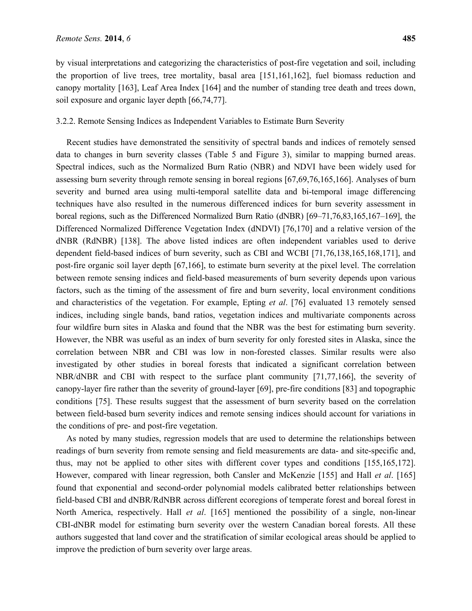by visual interpretations and categorizing the characteristics of post-fire vegetation and soil, including the proportion of live trees, tree mortality, basal area [151,161,162], fuel biomass reduction and canopy mortality [163], Leaf Area Index [164] and the number of standing tree death and trees down, soil exposure and organic layer depth [66,74,77].

# 3.2.2. Remote Sensing Indices as Independent Variables to Estimate Burn Severity

Recent studies have demonstrated the sensitivity of spectral bands and indices of remotely sensed data to changes in burn severity classes (Table 5 and Figure 3), similar to mapping burned areas. Spectral indices, such as the Normalized Burn Ratio (NBR) and NDVI have been widely used for assessing burn severity through remote sensing in boreal regions [67,69,76,165,166]. Analyses of burn severity and burned area using multi-temporal satellite data and bi-temporal image differencing techniques have also resulted in the numerous differenced indices for burn severity assessment in boreal regions, such as the Differenced Normalized Burn Ratio (dNBR) [69–71,76,83,165,167–169], the Differenced Normalized Difference Vegetation Index (dNDVI) [76,170] and a relative version of the dNBR (RdNBR) [138]. The above listed indices are often independent variables used to derive dependent field-based indices of burn severity, such as CBI and WCBI [71,76,138,165,168,171], and post-fire organic soil layer depth [67,166], to estimate burn severity at the pixel level. The correlation between remote sensing indices and field-based measurements of burn severity depends upon various factors, such as the timing of the assessment of fire and burn severity, local environment conditions and characteristics of the vegetation. For example, Epting *et al*. [76] evaluated 13 remotely sensed indices, including single bands, band ratios, vegetation indices and multivariate components across four wildfire burn sites in Alaska and found that the NBR was the best for estimating burn severity. However, the NBR was useful as an index of burn severity for only forested sites in Alaska, since the correlation between NBR and CBI was low in non-forested classes. Similar results were also investigated by other studies in boreal forests that indicated a significant correlation between NBR/dNBR and CBI with respect to the surface plant community [71,77,166], the severity of canopy-layer fire rather than the severity of ground-layer [69], pre-fire conditions [83] and topographic conditions [75]. These results suggest that the assessment of burn severity based on the correlation between field-based burn severity indices and remote sensing indices should account for variations in the conditions of pre- and post-fire vegetation.

As noted by many studies, regression models that are used to determine the relationships between readings of burn severity from remote sensing and field measurements are data- and site-specific and, thus, may not be applied to other sites with different cover types and conditions [155,165,172]. However, compared with linear regression, both Cansler and McKenzie [155] and Hall *et al*. [165] found that exponential and second-order polynomial models calibrated better relationships between field-based CBI and dNBR/RdNBR across different ecoregions of temperate forest and boreal forest in North America, respectively. Hall *et al*. [165] mentioned the possibility of a single, non-linear CBI-dNBR model for estimating burn severity over the western Canadian boreal forests. All these authors suggested that land cover and the stratification of similar ecological areas should be applied to improve the prediction of burn severity over large areas.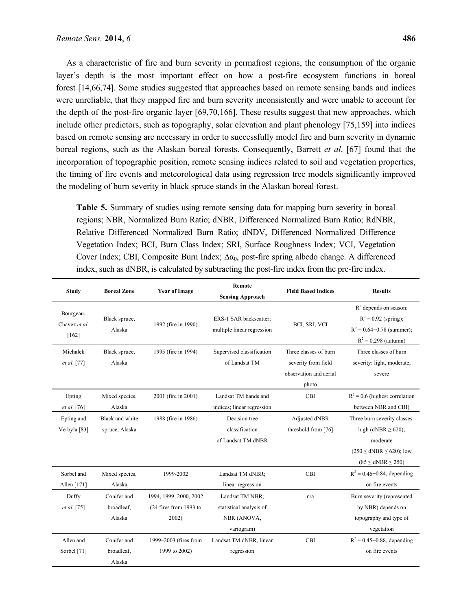As a characteristic of fire and burn severity in permafrost regions, the consumption of the organic layer's depth is the most important effect on how a post-fire ecosystem functions in boreal forest [14,66,74]. Some studies suggested that approaches based on remote sensing bands and indices were unreliable, that they mapped fire and burn severity inconsistently and were unable to account for the depth of the post-fire organic layer [69,70,166]. These results suggest that new approaches, which include other predictors, such as topography, solar elevation and plant phenology [75,159] into indices based on remote sensing are necessary in order to successfully model fire and burn severity in dynamic boreal regions, such as the Alaskan boreal forests. Consequently, Barrett *et al*. [67] found that the incorporation of topographic position, remote sensing indices related to soil and vegetation properties, the timing of fire events and meteorological data using regression tree models significantly improved the modeling of burn severity in black spruce stands in the Alaskan boreal forest.

**Table 5.** Summary of studies using remote sensing data for mapping burn severity in boreal regions; NBR, Normalized Burn Ratio; dNBR, Differenced Normalized Burn Ratio; RdNBR, Relative Differenced Normalized Burn Ratio; dNDV, Differenced Normalized Difference Vegetation Index; BCI, Burn Class Index; SRI, Surface Roughness Index; VCI, Vegetation Cover Index; CBI, Composite Burn Index;  $\Delta \alpha_0$ , post-fire spring albedo change. A differenced index, such as dNBR, is calculated by subtracting the post-fire index from the pre-fire index.

| <b>Study</b>                          | <b>Boreal Zone</b>                  | <b>Year of Image</b>                                        | <b>Remote</b><br><b>Sensing Approach</b>                                | <b>Field Based Indices</b>                                                      | <b>Results</b>                                                                                                                     |
|---------------------------------------|-------------------------------------|-------------------------------------------------------------|-------------------------------------------------------------------------|---------------------------------------------------------------------------------|------------------------------------------------------------------------------------------------------------------------------------|
| Bourgeau-<br>Chavez et al.<br>$[162]$ | Black spruce,<br>Alaska             | 1992 (fire in 1990)                                         | ERS-1 SAR backscatter:<br>multiple linear regression                    | BCI, SRI, VCI                                                                   | $R2$ depends on season:<br>$R^2 = 0.92$ (spring);<br>$R^2$ = 0.64–0.78 (summer);<br>$R^2 = 0.298$ (autumn)                         |
| Michalek<br>et al. [77]               | Black spruce,<br>Alaska             | 1995 (fire in 1994)                                         | Supervised classification<br>of Landsat TM                              | Three classes of burn<br>severity from field<br>observation and aerial<br>photo | Three classes of burn<br>severity: light, moderate,<br>severe                                                                      |
| Epting<br><i>et al.</i> [76]          | Mixed species,<br>Alaska            | 2001 (fire in 2001)                                         | Landsat TM bands and<br>indices; linear regression                      | <b>CBI</b>                                                                      | $R^2$ = 0.6 (highest correlation<br>between NBR and CBI)                                                                           |
| Epting and<br>Verbyla [83]            | Black and white<br>spruce, Alaska   | 1988 (fire in 1986)                                         | Decision tree<br>classification<br>of Landsat TM dNBR                   | Adjusted dNBR<br>threshold from [76]                                            | Three burn severity classes:<br>high (dNBR $\geq$ 620);<br>moderate<br>$(250 \le dNBR \le 620)$ ; low<br>$(85 \leq dNBR \leq 250)$ |
| Sorbel and<br>Allen [171]             | Mixed species,<br>Alaska            | 1999-2002                                                   | Landsat TM dNBR;<br>linear regression                                   | <b>CBI</b>                                                                      | $R^2 = 0.46 - 0.84$ , depending<br>on fire events                                                                                  |
| Duffy<br>et al. [75]                  | Conifer and<br>broadleaf.<br>Alaska | 1994, 1999, 2000, 2002<br>$(24$ fires from 1993 to<br>2002) | Landsat TM NBR;<br>statistical analysis of<br>NBR (ANOVA,<br>variogram) | n/a                                                                             | Burn severity (represented<br>by NBR) depends on<br>topography and type of<br>vegetation                                           |
| Allen and<br>Sorbel [71]              | Conifer and<br>broadleaf.<br>Alaska | 1999-2003 (fires from<br>1999 to 2002)                      | Landsat TM dNBR, linear<br>regression                                   | <b>CBI</b>                                                                      | $R^2 = 0.45 - 0.88$ , depending<br>on fire events                                                                                  |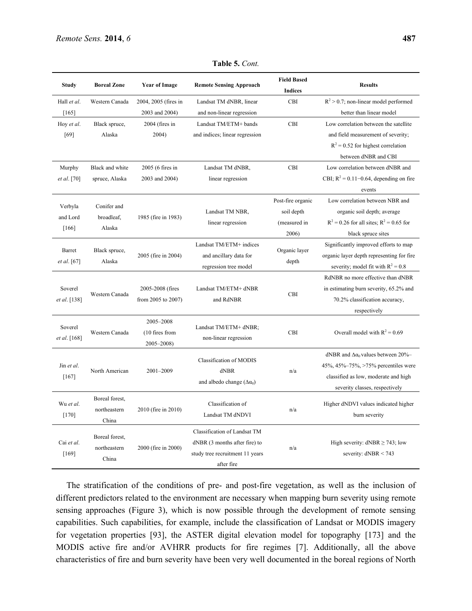| <b>Study</b>       | <b>Boreal Zone</b>        | <b>Year of Image</b>                          | <b>Remote Sensing Approach</b>        | <b>Field Based</b><br><b>Indices</b> | <b>Results</b>                                |
|--------------------|---------------------------|-----------------------------------------------|---------------------------------------|--------------------------------------|-----------------------------------------------|
| Hall et al.        | Western Canada            | 2004, 2005 (fires in                          | Landsat TM dNBR, linear               | <b>CBI</b>                           | $R^2$ > 0.7; non-linear model performed       |
| [165]              |                           | 2003 and 2004)                                | and non-linear regression             |                                      | better than linear model                      |
| Hoy et al.         | Black spruce,             | 2004 (fires in                                | Landsat TM/ETM+ bands                 | <b>CBI</b>                           | Low correlation between the satellite         |
| [69]               | Alaska                    | 2004)                                         | and indices; linear regression        |                                      | and field measurement of severity;            |
|                    |                           |                                               |                                       |                                      | $R^2$ = 0.52 for highest correlation          |
|                    |                           |                                               |                                       |                                      | between dNBR and CBI                          |
| Murphy             | Black and white           | 2005 (6 fires in                              | Landsat TM dNBR,                      | <b>CBI</b>                           | Low correlation between dNBR and              |
| et al. [70]        | spruce, Alaska            | 2003 and 2004)                                | linear regression                     |                                      | CBI; $R^2 = 0.11 - 0.64$ , depending on fire  |
|                    |                           |                                               |                                       |                                      | events                                        |
|                    |                           |                                               |                                       | Post-fire organic                    | Low correlation between NBR and               |
| Verbyla            | Conifer and               |                                               | Landsat TM NBR,                       | soil depth                           | organic soil depth; average                   |
| and Lord           | broadleaf,                | 1985 (fire in 1983)                           | linear regression                     | (measured in                         | $R^2 = 0.26$ for all sites; $R^2 = 0.65$ for  |
| [166]              | Alaska                    |                                               |                                       | 2006)                                | black spruce sites                            |
|                    |                           |                                               | Landsat TM/ETM+ indices               |                                      | Significantly improved efforts to map         |
| Barret             | Black spruce,             | 2005 (fire in 2004)<br>and ancillary data for |                                       | Organic layer                        | organic layer depth representing for fire     |
| <i>et al.</i> [67] | Alaska                    |                                               | regression tree model                 | depth                                | severity; model fit with $R^2 = 0.8$          |
|                    |                           |                                               |                                       |                                      | RdNBR no more effective than dNBR             |
| Soverel            |                           | 2005-2008 (fires                              | Landsat TM/ETM+ dNBR                  |                                      | in estimating burn severity, 65.2% and        |
| et al. [138]       | Western Canada            | from 2005 to 2007)                            | and RdNBR                             | <b>CBI</b>                           | 70.2% classification accuracy,                |
|                    |                           |                                               |                                       |                                      | respectively                                  |
|                    |                           | 2005-2008                                     |                                       |                                      |                                               |
| Soverel            | Western Canada            | (10 fires from                                | Landsat TM/ETM+ dNBR;                 | <b>CBI</b>                           | Overall model with $R^2 = 0.69$               |
| et al. [168]       |                           | $2005 - 2008$                                 | non-linear regression                 |                                      |                                               |
|                    |                           |                                               |                                       |                                      | dNBR and $\Delta\alpha_0$ values between 20%- |
| Jin et al.         |                           |                                               | <b>Classification of MODIS</b>        |                                      | 45%, 45%-75%, >75% percentiles were           |
| $[167]$            | North American            | 2001-2009                                     | dNBR                                  | n/a                                  | classified as low, moderate and high          |
|                    |                           |                                               | and albedo change $(\Delta \alpha_0)$ |                                      | severity classes, respectively                |
|                    | Boreal forest,            |                                               |                                       |                                      |                                               |
| Wu et al.          | northeastern              | 2010 (fire in 2010)                           | Classification of                     | n/a                                  | Higher dNDVI values indicated higher          |
| $[170]$            | Landsat TM dNDVI<br>China |                                               |                                       | burn severity                        |                                               |
|                    |                           |                                               | Classification of Landsat TM          |                                      |                                               |
| Cai et al.         | Boreal forest,            |                                               | dNBR (3 months after fire) to         |                                      | High severity: $dNBR \geq 743$ ; low          |
| [169]              | northeastern              | 2000 (fire in 2000)                           | study tree recruitment 11 years       | n/a                                  | severity: $dNBR < 743$                        |
|                    | China                     |                                               | after fire                            |                                      |                                               |

**Table 5.** *Cont.*

The stratification of the conditions of pre- and post-fire vegetation, as well as the inclusion of different predictors related to the environment are necessary when mapping burn severity using remote sensing approaches (Figure 3), which is now possible through the development of remote sensing capabilities. Such capabilities, for example, include the classification of Landsat or MODIS imagery for vegetation properties [93], the ASTER digital elevation model for topography [173] and the MODIS active fire and/or AVHRR products for fire regimes [7]. Additionally, all the above characteristics of fire and burn severity have been very well documented in the boreal regions of North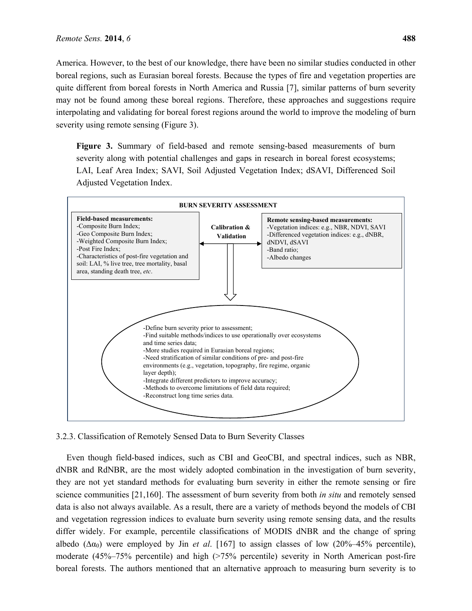America. However, to the best of our knowledge, there have been no similar studies conducted in other boreal regions, such as Eurasian boreal forests. Because the types of fire and vegetation properties are quite different from boreal forests in North America and Russia [7], similar patterns of burn severity may not be found among these boreal regions. Therefore, these approaches and suggestions require interpolating and validating for boreal forest regions around the world to improve the modeling of burn severity using remote sensing (Figure 3).

**Figure 3.** Summary of field-based and remote sensing-based measurements of burn severity along with potential challenges and gaps in research in boreal forest ecosystems; LAI, Leaf Area Index; SAVI, Soil Adjusted Vegetation Index; dSAVI, Differenced Soil Adjusted Vegetation Index.



3.2.3. Classification of Remotely Sensed Data to Burn Severity Classes

Even though field-based indices, such as CBI and GeoCBI, and spectral indices, such as NBR, dNBR and RdNBR, are the most widely adopted combination in the investigation of burn severity, they are not yet standard methods for evaluating burn severity in either the remote sensing or fire science communities [21,160]. The assessment of burn severity from both *in situ* and remotely sensed data is also not always available. As a result, there are a variety of methods beyond the models of CBI and vegetation regression indices to evaluate burn severity using remote sensing data, and the results differ widely. For example, percentile classifications of MODIS dNBR and the change of spring albedo ( $\Delta \alpha_0$ ) were employed by Jin *et al.* [167] to assign classes of low (20%–45% percentile), moderate (45%–75% percentile) and high (>75% percentile) severity in North American post-fire boreal forests. The authors mentioned that an alternative approach to measuring burn severity is to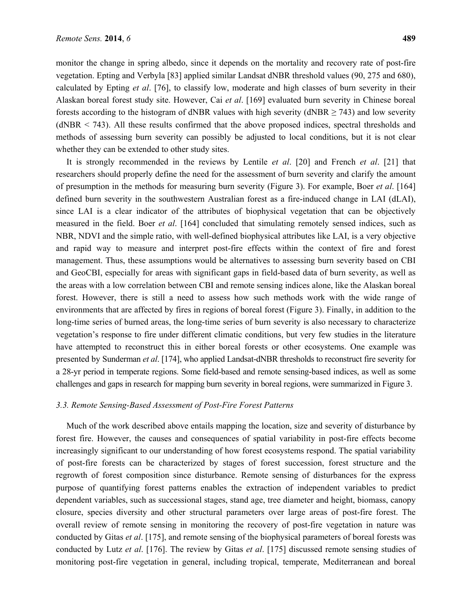monitor the change in spring albedo, since it depends on the mortality and recovery rate of post-fire vegetation. Epting and Verbyla [83] applied similar Landsat dNBR threshold values (90, 275 and 680), calculated by Epting *et al*. [76], to classify low, moderate and high classes of burn severity in their Alaskan boreal forest study site. However, Cai *et al*. [169] evaluated burn severity in Chinese boreal forests according to the histogram of dNBR values with high severity (dNBR  $\geq$  743) and low severity (dNBR < 743). All these results confirmed that the above proposed indices, spectral thresholds and methods of assessing burn severity can possibly be adjusted to local conditions, but it is not clear whether they can be extended to other study sites.

It is strongly recommended in the reviews by Lentile *et al*. [20] and French *et al*. [21] that researchers should properly define the need for the assessment of burn severity and clarify the amount of presumption in the methods for measuring burn severity (Figure 3). For example, Boer *et al*. [164] defined burn severity in the southwestern Australian forest as a fire-induced change in LAI (dLAI), since LAI is a clear indicator of the attributes of biophysical vegetation that can be objectively measured in the field. Boer *et al*. [164] concluded that simulating remotely sensed indices, such as NBR, NDVI and the simple ratio, with well-defined biophysical attributes like LAI, is a very objective and rapid way to measure and interpret post-fire effects within the context of fire and forest management. Thus, these assumptions would be alternatives to assessing burn severity based on CBI and GeoCBI, especially for areas with significant gaps in field-based data of burn severity, as well as the areas with a low correlation between CBI and remote sensing indices alone, like the Alaskan boreal forest. However, there is still a need to assess how such methods work with the wide range of environments that are affected by fires in regions of boreal forest (Figure 3). Finally, in addition to the long-time series of burned areas, the long-time series of burn severity is also necessary to characterize vegetation's response to fire under different climatic conditions, but very few studies in the literature have attempted to reconstruct this in either boreal forests or other ecosystems. One example was presented by Sunderman *et al*. [174], who applied Landsat-dNBR thresholds to reconstruct fire severity for a 28-yr period in temperate regions. Some field-based and remote sensing-based indices, as well as some challenges and gaps in research for mapping burn severity in boreal regions, were summarized in Figure 3.

#### *3.3. Remote Sensing-Based Assessment of Post-Fire Forest Patterns*

Much of the work described above entails mapping the location, size and severity of disturbance by forest fire. However, the causes and consequences of spatial variability in post-fire effects become increasingly significant to our understanding of how forest ecosystems respond. The spatial variability of post-fire forests can be characterized by stages of forest succession, forest structure and the regrowth of forest composition since disturbance. Remote sensing of disturbances for the express purpose of quantifying forest patterns enables the extraction of independent variables to predict dependent variables, such as successional stages, stand age, tree diameter and height, biomass, canopy closure, species diversity and other structural parameters over large areas of post-fire forest. The overall review of remote sensing in monitoring the recovery of post-fire vegetation in nature was conducted by Gitas *et al*. [175], and remote sensing of the biophysical parameters of boreal forests was conducted by Lutz *et al*. [176]. The review by Gitas *et al*. [175] discussed remote sensing studies of monitoring post-fire vegetation in general, including tropical, temperate, Mediterranean and boreal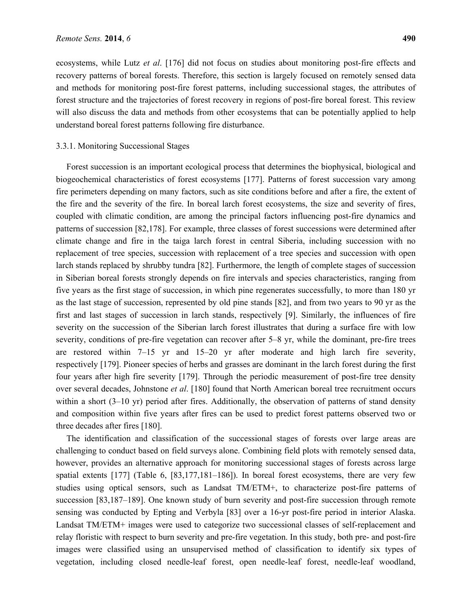ecosystems, while Lutz *et al*. [176] did not focus on studies about monitoring post-fire effects and recovery patterns of boreal forests. Therefore, this section is largely focused on remotely sensed data and methods for monitoring post-fire forest patterns, including successional stages, the attributes of forest structure and the trajectories of forest recovery in regions of post-fire boreal forest. This review will also discuss the data and methods from other ecosystems that can be potentially applied to help understand boreal forest patterns following fire disturbance.

#### 3.3.1. Monitoring Successional Stages

Forest succession is an important ecological process that determines the biophysical, biological and biogeochemical characteristics of forest ecosystems [177]. Patterns of forest succession vary among fire perimeters depending on many factors, such as site conditions before and after a fire, the extent of the fire and the severity of the fire. In boreal larch forest ecosystems, the size and severity of fires, coupled with climatic condition, are among the principal factors influencing post-fire dynamics and patterns of succession [82,178]. For example, three classes of forest successions were determined after climate change and fire in the taiga larch forest in central Siberia, including succession with no replacement of tree species, succession with replacement of a tree species and succession with open larch stands replaced by shrubby tundra [82]. Furthermore, the length of complete stages of succession in Siberian boreal forests strongly depends on fire intervals and species characteristics, ranging from five years as the first stage of succession, in which pine regenerates successfully, to more than 180 yr as the last stage of succession, represented by old pine stands [82], and from two years to 90 yr as the first and last stages of succession in larch stands, respectively [9]. Similarly, the influences of fire severity on the succession of the Siberian larch forest illustrates that during a surface fire with low severity, conditions of pre-fire vegetation can recover after 5–8 yr, while the dominant, pre-fire trees are restored within 7–15 yr and 15–20 yr after moderate and high larch fire severity, respectively [179]. Pioneer species of herbs and grasses are dominant in the larch forest during the first four years after high fire severity [179]. Through the periodic measurement of post-fire tree density over several decades, Johnstone *et al*. [180] found that North American boreal tree recruitment occurs within a short (3–10 yr) period after fires. Additionally, the observation of patterns of stand density and composition within five years after fires can be used to predict forest patterns observed two or three decades after fires [180].

The identification and classification of the successional stages of forests over large areas are challenging to conduct based on field surveys alone. Combining field plots with remotely sensed data, however, provides an alternative approach for monitoring successional stages of forests across large spatial extents [177] (Table 6, [83,177,181–186]). In boreal forest ecosystems, there are very few studies using optical sensors, such as Landsat TM/ETM+, to characterize post-fire patterns of succession [83,187–189]. One known study of burn severity and post-fire succession through remote sensing was conducted by Epting and Verbyla [83] over a 16-yr post-fire period in interior Alaska. Landsat TM/ETM+ images were used to categorize two successional classes of self-replacement and relay floristic with respect to burn severity and pre-fire vegetation. In this study, both pre- and post-fire images were classified using an unsupervised method of classification to identify six types of vegetation, including closed needle-leaf forest, open needle-leaf forest, needle-leaf woodland,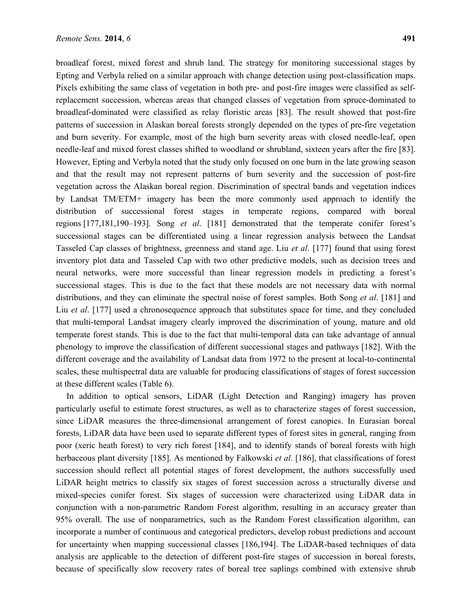broadleaf forest, mixed forest and shrub land. The strategy for monitoring successional stages by Epting and Verbyla relied on a similar approach with change detection using post-classification maps. Pixels exhibiting the same class of vegetation in both pre- and post-fire images were classified as selfreplacement succession, whereas areas that changed classes of vegetation from spruce-dominated to broadleaf-dominated were classified as relay floristic areas [83]. The result showed that post-fire patterns of succession in Alaskan boreal forests strongly depended on the types of pre-fire vegetation and burn severity. For example, most of the high burn severity areas with closed needle-leaf, open needle-leaf and mixed forest classes shifted to woodland or shrubland, sixteen years after the fire [83]. However, Epting and Verbyla noted that the study only focused on one burn in the late growing season and that the result may not represent patterns of burn severity and the succession of post-fire vegetation across the Alaskan boreal region. Discrimination of spectral bands and vegetation indices by Landsat TM/ETM+ imagery has been the more commonly used approach to identify the distribution of successional forest stages in temperate regions, compared with boreal regions [177,181,190–193]. Song *et al*. [181] demonstrated that the temperate conifer forest's successional stages can be differentiated using a linear regression analysis between the Landsat Tasseled Cap classes of brightness, greenness and stand age. Liu *et al*. [177] found that using forest inventory plot data and Tasseled Cap with two other predictive models, such as decision trees and neural networks, were more successful than linear regression models in predicting a forest's successional stages. This is due to the fact that these models are not necessary data with normal distributions, and they can eliminate the spectral noise of forest samples. Both Song *et al*. [181] and Liu *et al.* [177] used a chronosequence approach that substitutes space for time, and they concluded that multi-temporal Landsat imagery clearly improved the discrimination of young, mature and old temperate forest stands. This is due to the fact that multi-temporal data can take advantage of annual phenology to improve the classification of different successional stages and pathways [182]. With the different coverage and the availability of Landsat data from 1972 to the present at local-to-continental scales, these multispectral data are valuable for producing classifications of stages of forest succession at these different scales (Table 6).

In addition to optical sensors, LiDAR (Light Detection and Ranging) imagery has proven particularly useful to estimate forest structures, as well as to characterize stages of forest succession, since LiDAR measures the three-dimensional arrangement of forest canopies. In Eurasian boreal forests, LiDAR data have been used to separate different types of forest sites in general, ranging from poor (xeric heath forest) to very rich forest [184], and to identify stands of boreal forests with high herbaceous plant diversity [185]. As mentioned by Falkowski *et al*. [186], that classifications of forest succession should reflect all potential stages of forest development, the authors successfully used LiDAR height metrics to classify six stages of forest succession across a structurally diverse and mixed-species conifer forest. Six stages of succession were characterized using LiDAR data in conjunction with a non-parametric Random Forest algorithm, resulting in an accuracy greater than 95% overall. The use of nonparametrics, such as the Random Forest classification algorithm, can incorporate a number of continuous and categorical predictors, develop robust predictions and account for uncertainty when mapping successional classes [186,194]. The LiDAR-based techniques of data analysis are applicable to the detection of different post-fire stages of succession in boreal forests, because of specifically slow recovery rates of boreal tree saplings combined with extensive shrub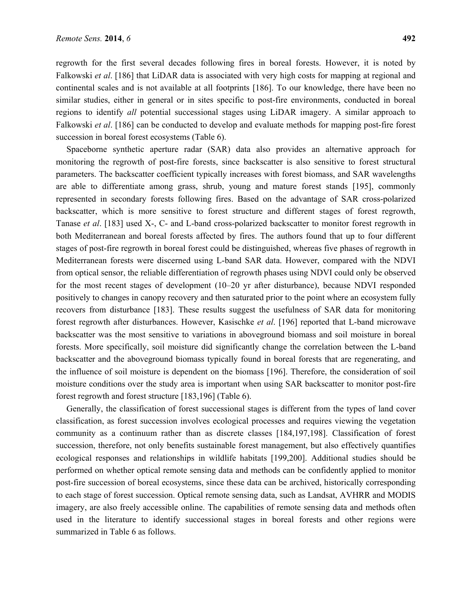regrowth for the first several decades following fires in boreal forests. However, it is noted by Falkowski *et al*. [186] that LiDAR data is associated with very high costs for mapping at regional and continental scales and is not available at all footprints [186]. To our knowledge, there have been no similar studies, either in general or in sites specific to post-fire environments, conducted in boreal regions to identify *all* potential successional stages using LiDAR imagery. A similar approach to Falkowski *et al*. [186] can be conducted to develop and evaluate methods for mapping post-fire forest succession in boreal forest ecosystems (Table 6).

Spaceborne synthetic aperture radar (SAR) data also provides an alternative approach for monitoring the regrowth of post-fire forests, since backscatter is also sensitive to forest structural parameters. The backscatter coefficient typically increases with forest biomass, and SAR wavelengths are able to differentiate among grass, shrub, young and mature forest stands [195], commonly represented in secondary forests following fires. Based on the advantage of SAR cross-polarized backscatter, which is more sensitive to forest structure and different stages of forest regrowth, Tanase *et al*. [183] used X-, C- and L-band cross-polarized backscatter to monitor forest regrowth in both Mediterranean and boreal forests affected by fires. The authors found that up to four different stages of post-fire regrowth in boreal forest could be distinguished, whereas five phases of regrowth in Mediterranean forests were discerned using L-band SAR data. However, compared with the NDVI from optical sensor, the reliable differentiation of regrowth phases using NDVI could only be observed for the most recent stages of development (10–20 yr after disturbance), because NDVI responded positively to changes in canopy recovery and then saturated prior to the point where an ecosystem fully recovers from disturbance [183]. These results suggest the usefulness of SAR data for monitoring forest regrowth after disturbances. However, Kasischke *et al*. [196] reported that L-band microwave backscatter was the most sensitive to variations in aboveground biomass and soil moisture in boreal forests. More specifically, soil moisture did significantly change the correlation between the L-band backscatter and the aboveground biomass typically found in boreal forests that are regenerating, and the influence of soil moisture is dependent on the biomass [196]. Therefore, the consideration of soil moisture conditions over the study area is important when using SAR backscatter to monitor post-fire forest regrowth and forest structure [183,196] (Table 6).

Generally, the classification of forest successional stages is different from the types of land cover classification, as forest succession involves ecological processes and requires viewing the vegetation community as a continuum rather than as discrete classes [184,197,198]. Classification of forest succession, therefore, not only benefits sustainable forest management, but also effectively quantifies ecological responses and relationships in wildlife habitats [199,200]. Additional studies should be performed on whether optical remote sensing data and methods can be confidently applied to monitor post-fire succession of boreal ecosystems, since these data can be archived, historically corresponding to each stage of forest succession. Optical remote sensing data, such as Landsat, AVHRR and MODIS imagery, are also freely accessible online. The capabilities of remote sensing data and methods often used in the literature to identify successional stages in boreal forests and other regions were summarized in Table 6 as follows.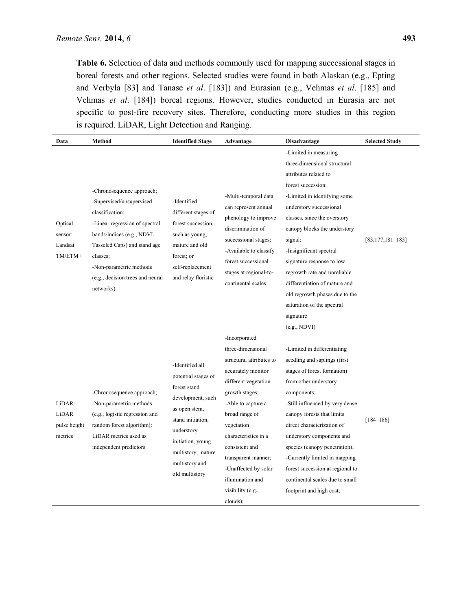**Table 6.** Selection of data and methods commonly used for mapping successional stages in boreal forests and other regions. Selected studies were found in both Alaskan (e.g., Epting and Verbyla [83] and Tanase *et al*. [183]) and Eurasian (e.g., Vehmas *et al*. [185] and Vehmas *et al*. [184]) boreal regions. However, studies conducted in Eurasia are not specific to post-fire recovery sites. Therefore, conducting more studies in this region is required. LiDAR, Light Detection and Ranging.

| Data         | <b>Method</b>                                         | <b>Identified Stage</b> | Advantage                | Disadvantage                     | <b>Selected Study</b>  |  |
|--------------|-------------------------------------------------------|-------------------------|--------------------------|----------------------------------|------------------------|--|
|              |                                                       |                         |                          | -Limited in measuring            |                        |  |
|              |                                                       | -Identified             |                          | three-dimensional structural     |                        |  |
|              |                                                       |                         |                          | attributes related to            |                        |  |
|              |                                                       |                         |                          | forest succession;               |                        |  |
|              | -Chronosequence approach;<br>-Supervised/unsupervised |                         | -Multi-temporal data     | -Limited in identifying some     |                        |  |
|              | classification;                                       | different stages of     | can represent annual     | understory successional          |                        |  |
| Optical      | -Linear regression of spectral                        | forest succession,      | phenology to improve     | classes, since the overstory     |                        |  |
| sensor:      | bands/indices (e.g., NDVI,                            | such as young,          | discrimination of        | canopy blocks the understory     |                        |  |
| Landsat      | Tasseled Caps) and stand age                          | mature and old          | successional stages;     | signal;                          | $[83, 177, 181 - 183]$ |  |
| TM/ETM+      | classes:                                              | forest; or              | -Available to classify   | -Insignificant spectral          |                        |  |
|              | -Non-parametric methods                               | self-replacement        | forest successional      | signature response to low        |                        |  |
|              | (e.g., decision trees and neural                      | and relay floristic     | stages at regional-to-   | regrowth rate and unreliable     |                        |  |
|              | networks)                                             |                         | continental scales       | differentiation of mature and    |                        |  |
|              |                                                       |                         |                          | old regrowth phases due to the   |                        |  |
|              |                                                       |                         |                          | saturation of the spectral       |                        |  |
|              |                                                       |                         |                          | signature                        |                        |  |
|              |                                                       |                         |                          | (e.g., NDVI)                     |                        |  |
|              |                                                       |                         | -Incorporated            |                                  |                        |  |
|              |                                                       |                         | three-dimensional        | -Limited in differentiating      |                        |  |
|              |                                                       | -Identified all         | structural attributes to | seedling and saplings (first     |                        |  |
|              |                                                       | potential stages of     | accurately monitor       | stages of forest formation)      |                        |  |
|              |                                                       | forest stand            | different vegetation     | from other understory            |                        |  |
|              | -Chronosequence approach;                             | development, such       | growth stages;           | components;                      |                        |  |
| LiDAR:       | -Non-parametric methods                               | as open stem,           | -Able to capture a       | -Still influenced by very dense  |                        |  |
| LiDAR        | (e.g., logistic regression and                        | stand initiation.       | broad range of           | canopy forests that limits       | $[184 - 186]$          |  |
| pulse height | random forest algorithm):                             | understory              | vegetation               | direct characterization of       |                        |  |
| metrics      | LiDAR metrics used as                                 | initiation, young       | characteristics in a     | understory components and        |                        |  |
|              | independent predictors                                | multistory, mature      | consistent and           | species (canopy penetration);    |                        |  |
|              |                                                       | multistory and          | transparent manner;      | -Currently limited in mapping    |                        |  |
|              |                                                       | old multistory          | -Unaffected by solar     | forest succession at regional to |                        |  |
|              |                                                       |                         | illumination and         | continental scales due to small  |                        |  |
|              |                                                       |                         | visibility (e.g.,        | footprint and high cost;         |                        |  |
|              |                                                       |                         | clouds);                 |                                  |                        |  |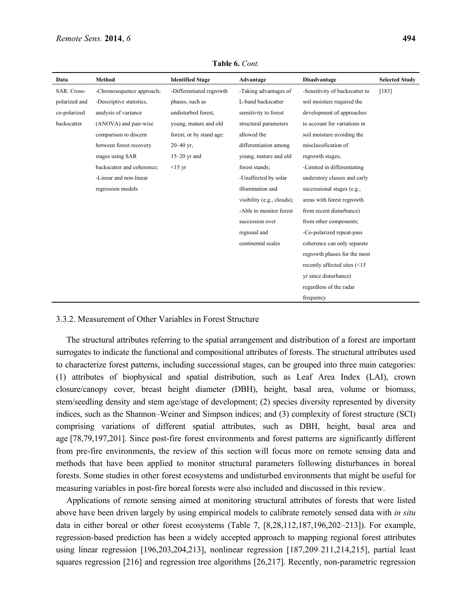| Data          | Method                     | <b>Identified Stage</b>  | Advantage                  | <b>Disadvantage</b>            | <b>Selected Study</b> |
|---------------|----------------------------|--------------------------|----------------------------|--------------------------------|-----------------------|
| SAR: Cross-   | -Chronosequence approach;  | -Differentiated regrowth | -Taking advantages of      | -Sensitivity of backscatter to | [183]                 |
| polarized and | -Descriptive statistics.   | phases, such as          | L-band backscatter         | soil moisture required the     |                       |
| co-polarized  | analysis of variance       | undisturbed forest.      | sensitivity to forest      | development of approaches      |                       |
| backscatter   | (ANOVA) and pair-wise      | young, mature and old    | structural parameters      | to account for variations in   |                       |
|               | comparison to discern      | forest; or by stand age: | allowed the                | soil moisture avoiding the     |                       |
|               | between forest recovery    | $20 - 40$ yr,            | differentiation among      | misclassification of           |                       |
|               | stages using SAR           | $15-20$ yr and           | young, mature and old      | regrowth stages;               |                       |
|               | backscatter and coherence; | $<15 \text{ yr}$         | forest stands;             | -Limited in differentiating    |                       |
|               | -Linear and non-linear     |                          | -Unaffected by solar       | understory classes and early   |                       |
|               | regression models          |                          | illumination and           | successional stages (e.g.,     |                       |
|               |                            |                          | visibility (e.g., clouds); | areas with forest regrowth     |                       |
|               |                            |                          | -Able to monitor forest    | from recent disturbance)       |                       |
|               |                            |                          | succession over            | from other components;         |                       |
|               |                            |                          | regional and               | -Co-polarized repeat-pass      |                       |
|               |                            |                          | continental scales         | coherence can only separate    |                       |
|               |                            |                          |                            | regrowth phases for the most   |                       |
|               |                            |                          |                            | recently affected sites (<15)  |                       |
|               |                            |                          |                            | yr since disturbance)          |                       |
|               |                            |                          |                            | regardless of the radar        |                       |
|               |                            |                          |                            | frequency                      |                       |

**Table 6.** *Cont.*

#### 3.3.2. Measurement of Other Variables in Forest Structure

The structural attributes referring to the spatial arrangement and distribution of a forest are important surrogates to indicate the functional and compositional attributes of forests. The structural attributes used to characterize forest patterns, including successional stages, can be grouped into three main categories: (1) attributes of biophysical and spatial distribution, such as Leaf Area Index (LAI), crown closure/canopy cover, breast height diameter (DBH), height, basal area, volume or biomass, stem/seedling density and stem age/stage of development; (2) species diversity represented by diversity indices, such as the Shannon–Weiner and Simpson indices; and (3) complexity of forest structure (SCI) comprising variations of different spatial attributes, such as DBH, height, basal area and age [78,79,197,201]. Since post-fire forest environments and forest patterns are significantly different from pre-fire environments, the review of this section will focus more on remote sensing data and methods that have been applied to monitor structural parameters following disturbances in boreal forests. Some studies in other forest ecosystems and undisturbed environments that might be useful for measuring variables in post-fire boreal forests were also included and discussed in this review.

Applications of remote sensing aimed at monitoring structural attributes of forests that were listed above have been driven largely by using empirical models to calibrate remotely sensed data with *in situ* data in either boreal or other forest ecosystems (Table 7, [8,28,112,187,196,202–213]). For example, regression-based prediction has been a widely accepted approach to mapping regional forest attributes using linear regression [196,203,204,213], nonlinear regression [187,209–211,214,215], partial least squares regression [216] and regression tree algorithms [26,217]. Recently, non-parametric regression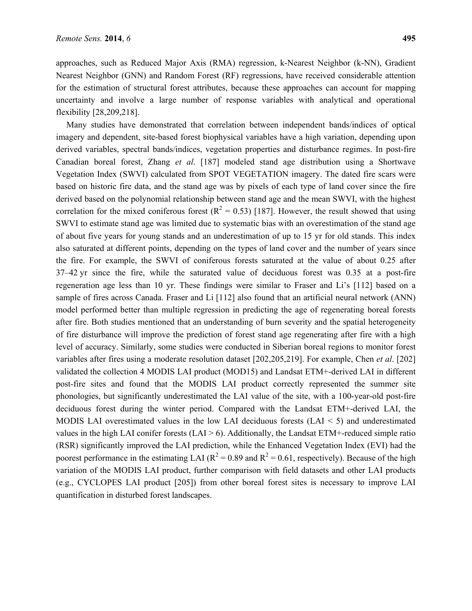approaches, such as Reduced Major Axis (RMA) regression, k-Nearest Neighbor (k-NN), Gradient Nearest Neighbor (GNN) and Random Forest (RF) regressions, have received considerable attention for the estimation of structural forest attributes, because these approaches can account for mapping uncertainty and involve a large number of response variables with analytical and operational flexibility [28,209,218].

Many studies have demonstrated that correlation between independent bands/indices of optical imagery and dependent, site-based forest biophysical variables have a high variation, depending upon derived variables, spectral bands/indices, vegetation properties and disturbance regimes. In post-fire Canadian boreal forest, Zhang *et al*. [187] modeled stand age distribution using a Shortwave Vegetation Index (SWVI) calculated from SPOT VEGETATION imagery. The dated fire scars were based on historic fire data, and the stand age was by pixels of each type of land cover since the fire derived based on the polynomial relationship between stand age and the mean SWVI, with the highest correlation for the mixed coniferous forest ( $R^2 = 0.53$ ) [187]. However, the result showed that using SWVI to estimate stand age was limited due to systematic bias with an overestimation of the stand age of about five years for young stands and an underestimation of up to 15 yr for old stands. This index also saturated at different points, depending on the types of land cover and the number of years since the fire. For example, the SWVI of coniferous forests saturated at the value of about 0.25 after 37–42 yr since the fire, while the saturated value of deciduous forest was 0.35 at a post-fire regeneration age less than 10 yr. These findings were similar to Fraser and Li's [112] based on a sample of fires across Canada. Fraser and Li [112] also found that an artificial neural network (ANN) model performed better than multiple regression in predicting the age of regenerating boreal forests after fire. Both studies mentioned that an understanding of burn severity and the spatial heterogeneity of fire disturbance will improve the prediction of forest stand age regenerating after fire with a high level of accuracy. Similarly, some studies were conducted in Siberian boreal regions to monitor forest variables after fires using a moderate resolution dataset [202,205,219]. For example, Chen *et al*. [202] validated the collection 4 MODIS LAI product (MOD15) and Landsat ETM+-derived LAI in different post-fire sites and found that the MODIS LAI product correctly represented the summer site phonologies, but significantly underestimated the LAI value of the site, with a 100-year-old post-fire deciduous forest during the winter period. Compared with the Landsat ETM+-derived LAI, the MODIS LAI overestimated values in the low LAI deciduous forests  $(LAI < 5)$  and underestimated values in the high LAI conifer forests  $(LAI > 6)$ . Additionally, the Landsat ETM+-reduced simple ratio (RSR) significantly improved the LAI prediction, while the Enhanced Vegetation Index (EVI) had the poorest performance in the estimating LAI ( $R^2 = 0.89$  and  $R^2 = 0.61$ , respectively). Because of the high variation of the MODIS LAI product, further comparison with field datasets and other LAI products (e.g., CYCLOPES LAI product [205]) from other boreal forest sites is necessary to improve LAI quantification in disturbed forest landscapes.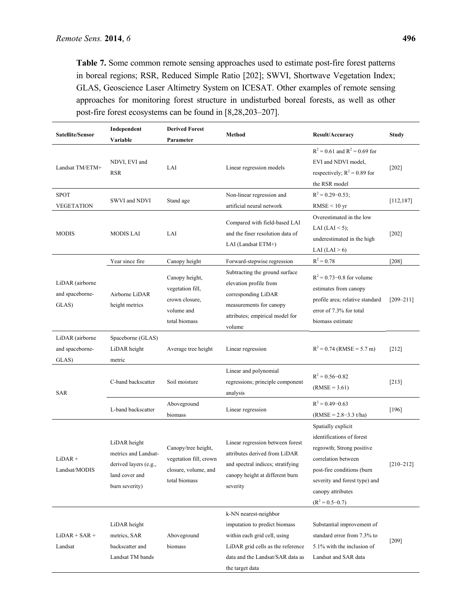**Table 7.** Some common remote sensing approaches used to estimate post-fire forest patterns in boreal regions; RSR, Reduced Simple Ratio [202]; SWVI, Shortwave Vegetation Index; GLAS, Geoscience Laser Altimetry System on ICESAT. Other examples of remote sensing approaches for monitoring forest structure in undisturbed boreal forests, as well as other post-fire forest ecosystems can be found in [8,28,203–207].

| Satellite/Sensor                            | Independent<br>Variable                                                                           | <b>Derived Forest</b><br>Parameter                                                     | Method                                                                                                                                                                             | Result/Accuracy                                                                                                                                                                                                | Study         |
|---------------------------------------------|---------------------------------------------------------------------------------------------------|----------------------------------------------------------------------------------------|------------------------------------------------------------------------------------------------------------------------------------------------------------------------------------|----------------------------------------------------------------------------------------------------------------------------------------------------------------------------------------------------------------|---------------|
| Landsat TM/ETM+                             | NDVI, EVI and<br><b>RSR</b>                                                                       | LAI                                                                                    | Linear regression models                                                                                                                                                           | $R^2 = 0.61$ and $R^2 = 0.69$ for<br>EVI and NDVI model,<br>respectively; $R^2 = 0.89$ for<br>the RSR model                                                                                                    | $[202]$       |
| <b>SPOT</b><br><b>VEGETATION</b>            | SWVI and NDVI                                                                                     | Stand age                                                                              | Non-linear regression and<br>artificial neural network                                                                                                                             | $R^2 = 0.29 - 0.53$ :<br>$RMSE < 10$ yr                                                                                                                                                                        | [112, 187]    |
| <b>MODIS</b>                                | <b>MODIS LAI</b>                                                                                  | LAI                                                                                    | Compared with field-based LAI<br>and the finer resolution data of<br>LAI (Landsat ETM+)                                                                                            | Overestimated in the low<br>LAI (LAI $<$ 5);<br>underestimated in the high<br>LAI $(LAI > 6)$                                                                                                                  | $[202]$       |
|                                             | Year since fire                                                                                   | Canopy height                                                                          | Forward-stepwise regression                                                                                                                                                        | $R^2 = 0.78$                                                                                                                                                                                                   | $[208]$       |
| LiDAR (airborne<br>and spaceborne-<br>GLAS) | Airborne LiDAR<br>height metrics                                                                  | Canopy height,<br>vegetation fill,<br>crown closure,<br>volume and<br>total biomass    | Subtracting the ground surface<br>elevation profile from<br>corresponding LiDAR<br>measurements for canopy<br>attributes; empirical model for<br>volume                            | $R^2 = 0.73 - 0.8$ for volume<br>estimates from canopy<br>profile area; relative standard<br>error of 7.3% for total<br>biomass estimate                                                                       | $[209 - 211]$ |
| LiDAR (airborne<br>and spaceborne-<br>GLAS) | Spaceborne (GLAS)<br>LiDAR height<br>metric                                                       | Average tree height                                                                    | Linear regression                                                                                                                                                                  | $R^2 = 0.74$ (RMSE = 5.7 m)                                                                                                                                                                                    | $[212]$       |
| <b>SAR</b>                                  | C-band backscatter                                                                                | Soil moisture                                                                          | Linear and polynomial<br>regressions; principle component<br>analysis                                                                                                              | $R^2 = 0.56 - 0.82$<br>$(RMSE = 3.61)$                                                                                                                                                                         | $[213]$       |
|                                             | L-band backscatter                                                                                | Aboveground<br>biomass                                                                 | Linear regression                                                                                                                                                                  | $R^2 = 0.49 - 0.63$<br>$(RMSE = 2.8 - 3.3 t/ha)$                                                                                                                                                               | [196]         |
| $LiDAR +$<br>Landsat/MODIS                  | LiDAR height<br>metrics and Landsat-<br>derived layers (e.g.,<br>land cover and<br>burn severity) | Canopy/tree height,<br>vegetation fill, crown<br>closure, volume, and<br>total biomass | Linear regression between forest<br>attributes derived from LiDAR<br>and spectral indices; stratifying<br>canopy height at different burn<br>severity                              | Spatially explicit<br>identifications of forest<br>regrowth; Strong positive<br>correlation between<br>post-fire conditions (burn<br>severity and forest type) and<br>canopy attributes<br>$(R^2 = 0.5 - 0.7)$ | $[210 - 212]$ |
| $LiDAR + SAR +$<br>Landsat                  | LiDAR height<br>metrics, SAR<br>backscatter and<br>Landsat TM bands                               | Aboveground<br>biomass                                                                 | k-NN nearest-neighbor<br>imputation to predict biomass<br>within each grid cell, using<br>LiDAR grid cells as the reference<br>data and the Landsat/SAR data as<br>the target data | Substantial improvement of<br>standard error from 7.3% to<br>5.1% with the inclusion of<br>Landsat and SAR data                                                                                                | $[209]$       |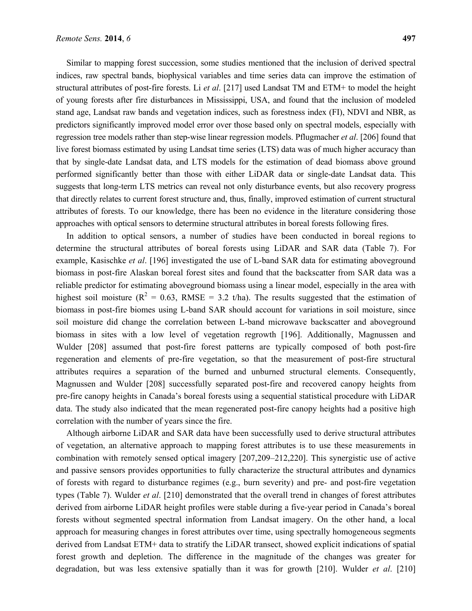Similar to mapping forest succession, some studies mentioned that the inclusion of derived spectral indices, raw spectral bands, biophysical variables and time series data can improve the estimation of structural attributes of post-fire forests. Li *et al*. [217] used Landsat TM and ETM+ to model the height of young forests after fire disturbances in Mississippi, USA, and found that the inclusion of modeled stand age, Landsat raw bands and vegetation indices, such as forestness index (FI), NDVI and NBR, as predictors significantly improved model error over those based only on spectral models, especially with regression tree models rather than step-wise linear regression models. Pflugmacher *et al*. [206] found that live forest biomass estimated by using Landsat time series (LTS) data was of much higher accuracy than that by single-date Landsat data, and LTS models for the estimation of dead biomass above ground performed significantly better than those with either LiDAR data or single-date Landsat data. This suggests that long-term LTS metrics can reveal not only disturbance events, but also recovery progress that directly relates to current forest structure and, thus, finally, improved estimation of current structural attributes of forests. To our knowledge, there has been no evidence in the literature considering those approaches with optical sensors to determine structural attributes in boreal forests following fires.

In addition to optical sensors, a number of studies have been conducted in boreal regions to determine the structural attributes of boreal forests using LiDAR and SAR data (Table 7). For example, Kasischke *et al*. [196] investigated the use of L-band SAR data for estimating aboveground biomass in post-fire Alaskan boreal forest sites and found that the backscatter from SAR data was a reliable predictor for estimating aboveground biomass using a linear model, especially in the area with highest soil moisture ( $R^2 = 0.63$ , RMSE = 3.2 t/ha). The results suggested that the estimation of biomass in post-fire biomes using L-band SAR should account for variations in soil moisture, since soil moisture did change the correlation between L-band microwave backscatter and aboveground biomass in sites with a low level of vegetation regrowth [196]. Additionally, Magnussen and Wulder [208] assumed that post-fire forest patterns are typically composed of both post-fire regeneration and elements of pre-fire vegetation, so that the measurement of post-fire structural attributes requires a separation of the burned and unburned structural elements. Consequently, Magnussen and Wulder [208] successfully separated post-fire and recovered canopy heights from pre-fire canopy heights in Canada's boreal forests using a sequential statistical procedure with LiDAR data. The study also indicated that the mean regenerated post-fire canopy heights had a positive high correlation with the number of years since the fire.

Although airborne LiDAR and SAR data have been successfully used to derive structural attributes of vegetation, an alternative approach to mapping forest attributes is to use these measurements in combination with remotely sensed optical imagery [207,209–212,220]. This synergistic use of active and passive sensors provides opportunities to fully characterize the structural attributes and dynamics of forests with regard to disturbance regimes (e.g., burn severity) and pre- and post-fire vegetation types (Table 7). Wulder *et al*. [210] demonstrated that the overall trend in changes of forest attributes derived from airborne LiDAR height profiles were stable during a five-year period in Canada's boreal forests without segmented spectral information from Landsat imagery. On the other hand, a local approach for measuring changes in forest attributes over time, using spectrally homogeneous segments derived from Landsat ETM+ data to stratify the LiDAR transect, showed explicit indications of spatial forest growth and depletion. The difference in the magnitude of the changes was greater for degradation, but was less extensive spatially than it was for growth [210]. Wulder *et al*. [210]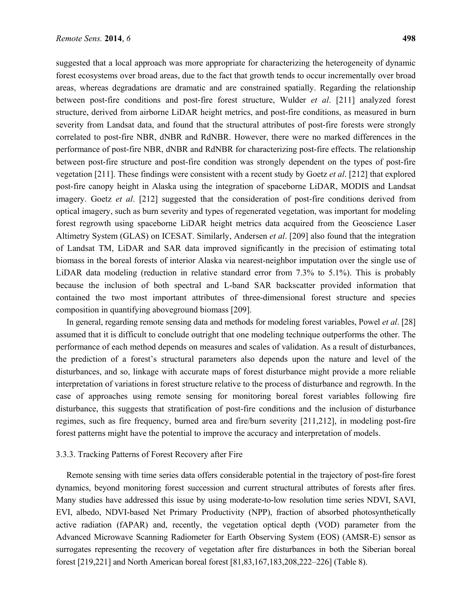suggested that a local approach was more appropriate for characterizing the heterogeneity of dynamic forest ecosystems over broad areas, due to the fact that growth tends to occur incrementally over broad areas, whereas degradations are dramatic and are constrained spatially. Regarding the relationship between post-fire conditions and post-fire forest structure, Wulder *et al*. [211] analyzed forest structure, derived from airborne LiDAR height metrics, and post-fire conditions, as measured in burn severity from Landsat data, and found that the structural attributes of post-fire forests were strongly correlated to post-fire NBR, dNBR and RdNBR. However, there were no marked differences in the performance of post-fire NBR, dNBR and RdNBR for characterizing post-fire effects. The relationship between post-fire structure and post-fire condition was strongly dependent on the types of post-fire vegetation [211]. These findings were consistent with a recent study by Goetz *et al*. [212] that explored post-fire canopy height in Alaska using the integration of spaceborne LiDAR, MODIS and Landsat imagery. Goetz *et al*. [212] suggested that the consideration of post-fire conditions derived from optical imagery, such as burn severity and types of regenerated vegetation, was important for modeling forest regrowth using spaceborne LiDAR height metrics data acquired from the Geoscience Laser Altimetry System (GLAS) on ICESAT. Similarly, Andersen *et al*. [209] also found that the integration of Landsat TM, LiDAR and SAR data improved significantly in the precision of estimating total biomass in the boreal forests of interior Alaska via nearest-neighbor imputation over the single use of LiDAR data modeling (reduction in relative standard error from 7.3% to 5.1%). This is probably because the inclusion of both spectral and L-band SAR backscatter provided information that contained the two most important attributes of three-dimensional forest structure and species composition in quantifying aboveground biomass [209].

In general, regarding remote sensing data and methods for modeling forest variables, Powel *et al*. [28] assumed that it is difficult to conclude outright that one modeling technique outperforms the other. The performance of each method depends on measures and scales of validation. As a result of disturbances, the prediction of a forest's structural parameters also depends upon the nature and level of the disturbances, and so, linkage with accurate maps of forest disturbance might provide a more reliable interpretation of variations in forest structure relative to the process of disturbance and regrowth. In the case of approaches using remote sensing for monitoring boreal forest variables following fire disturbance, this suggests that stratification of post-fire conditions and the inclusion of disturbance regimes, such as fire frequency, burned area and fire/burn severity [211,212], in modeling post-fire forest patterns might have the potential to improve the accuracy and interpretation of models.

# 3.3.3. Tracking Patterns of Forest Recovery after Fire

Remote sensing with time series data offers considerable potential in the trajectory of post-fire forest dynamics, beyond monitoring forest succession and current structural attributes of forests after fires. Many studies have addressed this issue by using moderate-to-low resolution time series NDVI, SAVI, EVI, albedo, NDVI-based Net Primary Productivity (NPP), fraction of absorbed photosynthetically active radiation (fAPAR) and, recently, the vegetation optical depth (VOD) parameter from the Advanced Microwave Scanning Radiometer for Earth Observing System (EOS) (AMSR-E) sensor as surrogates representing the recovery of vegetation after fire disturbances in both the Siberian boreal forest [219,221] and North American boreal forest [81,83,167,183,208,222–226] (Table 8).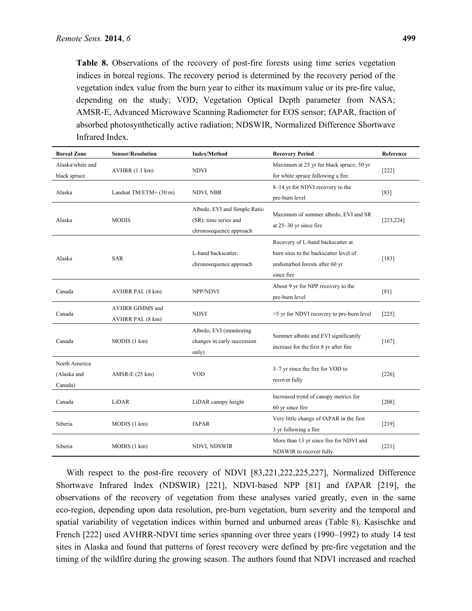**Table 8.** Observations of the recovery of post-fire forests using time series vegetation indices in boreal regions. The recovery period is determined by the recovery period of the vegetation index value from the burn year to either its maximum value or its pre-fire value, depending on the study; VOD, Vegetation Optical Depth parameter from NASA; AMSR-E, Advanced Microwave Scanning Radiometer for EOS sensor; fAPAR, fraction of absorbed photosynthetically active radiation; NDSWIR, Normalized Difference Shortwave Infrared Index.

| <b>Boreal Zone</b>                      | <b>Sensor/Resolution</b>                   | <b>Index/Method</b>                                                              | <b>Recovery Period</b>                                                                                                       | Reference  |
|-----------------------------------------|--------------------------------------------|----------------------------------------------------------------------------------|------------------------------------------------------------------------------------------------------------------------------|------------|
| Alaska/white and<br>black spruce        | AVHRR (1.1 km)                             | <b>NDVI</b>                                                                      | Maximum at 25 yr for black spruce; 50 yr<br>for white spruce following a fire                                                | $[222]$    |
| Alaska                                  | Landsat TM/ETM+ (30 m)                     | NDVI, NBR                                                                        | 8-14 yr for NDVI recovery to the<br>pre-burn level                                                                           | [83]       |
| Alaska                                  | <b>MODIS</b>                               | Albedo, EVI and Simple Ratio<br>(SR); time series and<br>chronosequence approach | Maximum of summer albedo, EVI and SR<br>at 25-30 yr since fire                                                               | [223, 224] |
| Alaska                                  | <b>SAR</b>                                 | L-band backscatter;<br>chronosequence approach                                   | Recovery of L-band backscatter at<br>burn sites to the backscatter level of<br>undisturbed forests after 60 yr<br>since fire | [183]      |
| Canada                                  | AVHRR PAL (8 km)                           | <b>NPP/NDVI</b>                                                                  | About 9 yr for NPP recovery to the<br>pre-burn level                                                                         | [81]       |
| Canada                                  | <b>AVHRR GIMMS</b> and<br>AVHRR PAL (8 km) | <b>NDVI</b>                                                                      | >5 yr for NDVI recovery to pre-burn level                                                                                    | $[225]$    |
| Canada                                  | MODIS(1 km)                                | Albedo, EVI (monitoring<br>changes in early succession<br>only)                  | Summer albedo and EVI significantly<br>increase for the first 8 yr after fire                                                | $[167]$    |
| North America<br>(Alaska and<br>Canada) | $AMSR-E (25 km)$                           | <b>VOD</b>                                                                       | 3–7 yr since the fire for VOD to<br>recover fully                                                                            | $[226]$    |
| Canada                                  | LiDAR                                      | LiDAR canopy height                                                              | Increased trend of canopy metrics for<br>60 yr since fire                                                                    | $[208]$    |
| Siberia                                 | MODIS(1 km)                                | fAPAR                                                                            | Very little change of fAPAR in the first<br>3 yr following a fire                                                            | $[219]$    |
| Siberia                                 | MODIS (1 km)                               | NDVI, NDSWIR                                                                     | More than 13 yr since fire for NDVI and<br>NDSWIR to recover fully                                                           | $[221]$    |

With respect to the post-fire recovery of NDVI [83,221,222,225,227], Normalized Difference Shortwave Infrared Index (NDSWIR) [221], NDVI-based NPP [81] and fAPAR [219], the observations of the recovery of vegetation from these analyses varied greatly, even in the same eco-region, depending upon data resolution, pre-burn vegetation, burn severity and the temporal and spatial variability of vegetation indices within burned and unburned areas (Table 8). Kasischke and French [222] used AVHRR-NDVI time series spanning over three years (1990–1992) to study 14 test sites in Alaska and found that patterns of forest recovery were defined by pre-fire vegetation and the timing of the wildfire during the growing season. The authors found that NDVI increased and reached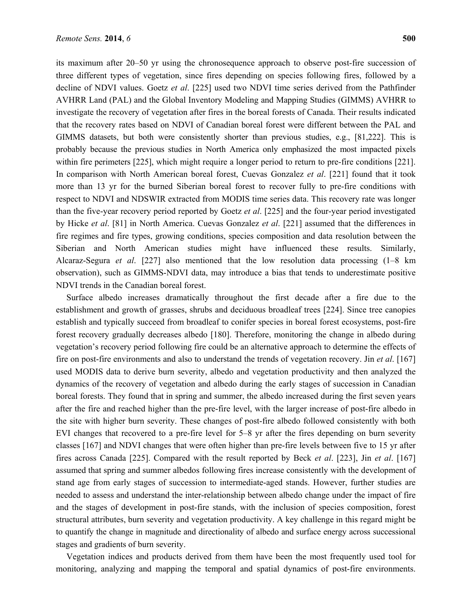its maximum after 20–50 yr using the chronosequence approach to observe post-fire succession of three different types of vegetation, since fires depending on species following fires, followed by a decline of NDVI values. Goetz *et al*. [225] used two NDVI time series derived from the Pathfinder AVHRR Land (PAL) and the Global Inventory Modeling and Mapping Studies (GIMMS) AVHRR to investigate the recovery of vegetation after fires in the boreal forests of Canada. Their results indicated that the recovery rates based on NDVI of Canadian boreal forest were different between the PAL and GIMMS datasets, but both were consistently shorter than previous studies, e.g., [81,222]. This is probably because the previous studies in North America only emphasized the most impacted pixels within fire perimeters [225], which might require a longer period to return to pre-fire conditions [221]. In comparison with North American boreal forest, Cuevas Gonzalez *et al*. [221] found that it took more than 13 yr for the burned Siberian boreal forest to recover fully to pre-fire conditions with respect to NDVI and NDSWIR extracted from MODIS time series data. This recovery rate was longer than the five-year recovery period reported by Goetz *et al*. [225] and the four-year period investigated by Hicke *et al*. [81] in North America. Cuevas Gonzalez *et al*. [221] assumed that the differences in fire regimes and fire types, growing conditions, species composition and data resolution between the Siberian and North American studies might have influenced these results. Similarly, Alcaraz-Segura *et al*. [227] also mentioned that the low resolution data processing (1–8 km observation), such as GIMMS-NDVI data, may introduce a bias that tends to underestimate positive NDVI trends in the Canadian boreal forest.

Surface albedo increases dramatically throughout the first decade after a fire due to the establishment and growth of grasses, shrubs and deciduous broadleaf trees [224]. Since tree canopies establish and typically succeed from broadleaf to conifer species in boreal forest ecosystems, post-fire forest recovery gradually decreases albedo [180]. Therefore, monitoring the change in albedo during vegetation's recovery period following fire could be an alternative approach to determine the effects of fire on post-fire environments and also to understand the trends of vegetation recovery. Jin *et al*. [167] used MODIS data to derive burn severity, albedo and vegetation productivity and then analyzed the dynamics of the recovery of vegetation and albedo during the early stages of succession in Canadian boreal forests. They found that in spring and summer, the albedo increased during the first seven years after the fire and reached higher than the pre-fire level, with the larger increase of post-fire albedo in the site with higher burn severity. These changes of post-fire albedo followed consistently with both EVI changes that recovered to a pre-fire level for 5–8 yr after the fires depending on burn severity classes [167] and NDVI changes that were often higher than pre-fire levels between five to 15 yr after fires across Canada [225]. Compared with the result reported by Beck *et al*. [223], Jin *et al*. [167] assumed that spring and summer albedos following fires increase consistently with the development of stand age from early stages of succession to intermediate-aged stands. However, further studies are needed to assess and understand the inter-relationship between albedo change under the impact of fire and the stages of development in post-fire stands, with the inclusion of species composition, forest structural attributes, burn severity and vegetation productivity. A key challenge in this regard might be to quantify the change in magnitude and directionality of albedo and surface energy across successional stages and gradients of burn severity.

Vegetation indices and products derived from them have been the most frequently used tool for monitoring, analyzing and mapping the temporal and spatial dynamics of post-fire environments.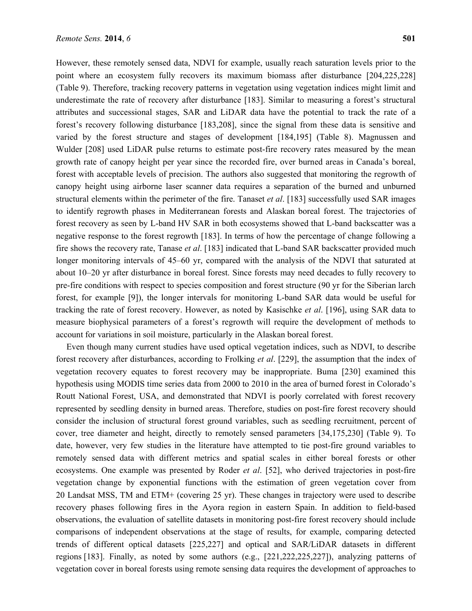However, these remotely sensed data, NDVI for example, usually reach saturation levels prior to the point where an ecosystem fully recovers its maximum biomass after disturbance [204,225,228] (Table 9). Therefore, tracking recovery patterns in vegetation using vegetation indices might limit and underestimate the rate of recovery after disturbance [183]. Similar to measuring a forest's structural attributes and successional stages, SAR and LiDAR data have the potential to track the rate of a forest's recovery following disturbance [183,208], since the signal from these data is sensitive and varied by the forest structure and stages of development [184,195] (Table 8). Magnussen and Wulder [208] used LiDAR pulse returns to estimate post-fire recovery rates measured by the mean growth rate of canopy height per year since the recorded fire, over burned areas in Canada's boreal, forest with acceptable levels of precision. The authors also suggested that monitoring the regrowth of canopy height using airborne laser scanner data requires a separation of the burned and unburned structural elements within the perimeter of the fire. Tanaset *et al*. [183] successfully used SAR images to identify regrowth phases in Mediterranean forests and Alaskan boreal forest. The trajectories of forest recovery as seen by L-band HV SAR in both ecosystems showed that L-band backscatter was a negative response to the forest regrowth [183]. In terms of how the percentage of change following a fire shows the recovery rate, Tanase *et al*. [183] indicated that L-band SAR backscatter provided much longer monitoring intervals of 45–60 yr, compared with the analysis of the NDVI that saturated at about 10–20 yr after disturbance in boreal forest. Since forests may need decades to fully recovery to pre-fire conditions with respect to species composition and forest structure (90 yr for the Siberian larch forest, for example [9]), the longer intervals for monitoring L-band SAR data would be useful for tracking the rate of forest recovery. However, as noted by Kasischke *et al*. [196], using SAR data to measure biophysical parameters of a forest's regrowth will require the development of methods to account for variations in soil moisture, particularly in the Alaskan boreal forest.

Even though many current studies have used optical vegetation indices, such as NDVI, to describe forest recovery after disturbances, according to Frolking *et al*. [229], the assumption that the index of vegetation recovery equates to forest recovery may be inappropriate. Buma [230] examined this hypothesis using MODIS time series data from 2000 to 2010 in the area of burned forest in Colorado's Routt National Forest, USA, and demonstrated that NDVI is poorly correlated with forest recovery represented by seedling density in burned areas. Therefore, studies on post-fire forest recovery should consider the inclusion of structural forest ground variables, such as seedling recruitment, percent of cover, tree diameter and height, directly to remotely sensed parameters [34,175,230] (Table 9). To date, however, very few studies in the literature have attempted to tie post-fire ground variables to remotely sensed data with different metrics and spatial scales in either boreal forests or other ecosystems. One example was presented by Roder *et al*. [52], who derived trajectories in post-fire vegetation change by exponential functions with the estimation of green vegetation cover from 20 Landsat MSS, TM and ETM+ (covering 25 yr). These changes in trajectory were used to describe recovery phases following fires in the Ayora region in eastern Spain. In addition to field-based observations, the evaluation of satellite datasets in monitoring post-fire forest recovery should include comparisons of independent observations at the stage of results, for example, comparing detected trends of different optical datasets [225,227] and optical and SAR/LiDAR datasets in different regions [183]. Finally, as noted by some authors (e.g., [221,222,225,227]), analyzing patterns of vegetation cover in boreal forests using remote sensing data requires the development of approaches to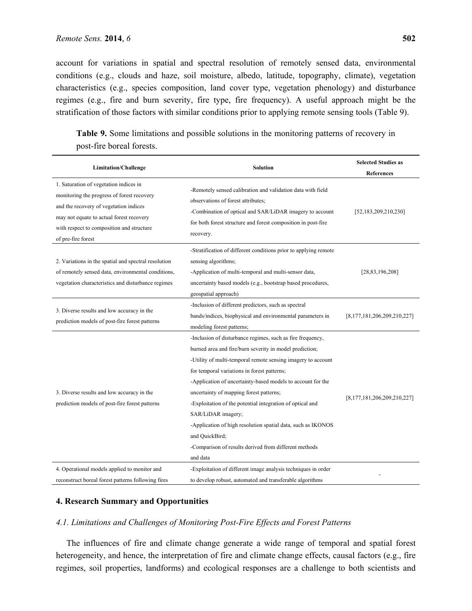account for variations in spatial and spectral resolution of remotely sensed data, environmental conditions (e.g., clouds and haze, soil moisture, albedo, latitude, topography, climate), vegetation characteristics (e.g., species composition, land cover type, vegetation phenology) and disturbance regimes (e.g., fire and burn severity, fire type, fire frequency). A useful approach might be the stratification of those factors with similar conditions prior to applying remote sensing tools (Table 9).

| <b>Limitation/Challenge</b>                                                                                                                                                                                                                   | <b>Solution</b>                                                                                                                                                                                                                                                                                                                                                                                                                                                                                                                                                                          | <b>Selected Studies as</b>  |
|-----------------------------------------------------------------------------------------------------------------------------------------------------------------------------------------------------------------------------------------------|------------------------------------------------------------------------------------------------------------------------------------------------------------------------------------------------------------------------------------------------------------------------------------------------------------------------------------------------------------------------------------------------------------------------------------------------------------------------------------------------------------------------------------------------------------------------------------------|-----------------------------|
|                                                                                                                                                                                                                                               |                                                                                                                                                                                                                                                                                                                                                                                                                                                                                                                                                                                          | <b>References</b>           |
| 1. Saturation of vegetation indices in<br>monitoring the progress of forest recovery<br>and the recovery of vegetation indices<br>may not equate to actual forest recovery<br>with respect to composition and structure<br>of pre-fire forest | -Remotely sensed calibration and validation data with field<br>observations of forest attributes;<br>-Combination of optical and SAR/LiDAR imagery to account<br>for both forest structure and forest composition in post-fire<br>recovery.                                                                                                                                                                                                                                                                                                                                              | [52, 183, 209, 210, 230]    |
| 2. Variations in the spatial and spectral resolution<br>of remotely sensed data, environmental conditions,<br>vegetation characteristics and disturbance regimes                                                                              | -Stratification of different conditions prior to applying remote<br>sensing algorithms;<br>-Application of multi-temporal and multi-sensor data,<br>uncertainty based models (e.g., bootstrap based procedures,<br>geospatial approach)                                                                                                                                                                                                                                                                                                                                                  | [28, 83, 196, 208]          |
| 3. Diverse results and low accuracy in the<br>prediction models of post-fire forest patterns                                                                                                                                                  | -Inclusion of different predictors, such as spectral<br>bands/indices, biophysical and environmental parameters in<br>modeling forest patterns;                                                                                                                                                                                                                                                                                                                                                                                                                                          | [8,177,181,206,209,210,227] |
| 3. Diverse results and low accuracy in the<br>prediction models of post-fire forest patterns                                                                                                                                                  | -Inclusion of disturbance regimes, such as fire frequency,<br>burned area and fire/burn severity in model prediction;<br>-Utility of multi-temporal remote sensing imagery to account<br>for temporal variations in forest patterns;<br>-Application of uncertainty-based models to account for the<br>uncertainty of mapping forest patterns;<br>-Exploitation of the potential integration of optical and<br>SAR/LiDAR imagery;<br>-Application of high resolution spatial data, such as IKONOS<br>and QuickBird;<br>-Comparison of results derived from different methods<br>and data | [8,177,181,206,209,210,227] |
| 4. Operational models applied to monitor and<br>reconstruct boreal forest patterns following fires                                                                                                                                            | -Exploitation of different image analysis techniques in order<br>to develop robust, automated and transferable algorithms                                                                                                                                                                                                                                                                                                                                                                                                                                                                |                             |

**Table 9.** Some limitations and possible solutions in the monitoring patterns of recovery in post-fire boreal forests.

# **4. Research Summary and Opportunities**

# *4.1. Limitations and Challenges of Monitoring Post-Fire Effects and Forest Patterns*

The influences of fire and climate change generate a wide range of temporal and spatial forest heterogeneity, and hence, the interpretation of fire and climate change effects, causal factors (e.g., fire regimes, soil properties, landforms) and ecological responses are a challenge to both scientists and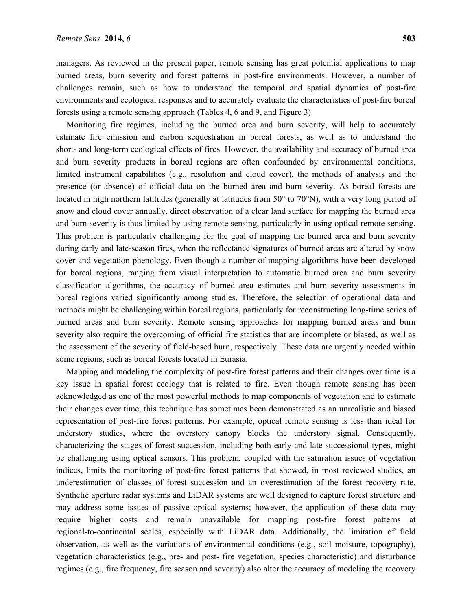managers. As reviewed in the present paper, remote sensing has great potential applications to map burned areas, burn severity and forest patterns in post-fire environments. However, a number of challenges remain, such as how to understand the temporal and spatial dynamics of post-fire environments and ecological responses and to accurately evaluate the characteristics of post-fire boreal forests using a remote sensing approach (Tables 4, 6 and 9, and Figure 3).

Monitoring fire regimes, including the burned area and burn severity, will help to accurately estimate fire emission and carbon sequestration in boreal forests, as well as to understand the short- and long-term ecological effects of fires. However, the availability and accuracy of burned area and burn severity products in boreal regions are often confounded by environmental conditions, limited instrument capabilities (e.g., resolution and cloud cover), the methods of analysis and the presence (or absence) of official data on the burned area and burn severity. As boreal forests are located in high northern latitudes (generally at latitudes from 50° to 70°N), with a very long period of snow and cloud cover annually, direct observation of a clear land surface for mapping the burned area and burn severity is thus limited by using remote sensing, particularly in using optical remote sensing. This problem is particularly challenging for the goal of mapping the burned area and burn severity during early and late-season fires, when the reflectance signatures of burned areas are altered by snow cover and vegetation phenology. Even though a number of mapping algorithms have been developed for boreal regions, ranging from visual interpretation to automatic burned area and burn severity classification algorithms, the accuracy of burned area estimates and burn severity assessments in boreal regions varied significantly among studies. Therefore, the selection of operational data and methods might be challenging within boreal regions, particularly for reconstructing long-time series of burned areas and burn severity. Remote sensing approaches for mapping burned areas and burn severity also require the overcoming of official fire statistics that are incomplete or biased, as well as the assessment of the severity of field-based burn, respectively. These data are urgently needed within some regions, such as boreal forests located in Eurasia.

Mapping and modeling the complexity of post-fire forest patterns and their changes over time is a key issue in spatial forest ecology that is related to fire. Even though remote sensing has been acknowledged as one of the most powerful methods to map components of vegetation and to estimate their changes over time, this technique has sometimes been demonstrated as an unrealistic and biased representation of post-fire forest patterns. For example, optical remote sensing is less than ideal for understory studies, where the overstory canopy blocks the understory signal. Consequently, characterizing the stages of forest succession, including both early and late successional types, might be challenging using optical sensors. This problem, coupled with the saturation issues of vegetation indices, limits the monitoring of post-fire forest patterns that showed, in most reviewed studies, an underestimation of classes of forest succession and an overestimation of the forest recovery rate. Synthetic aperture radar systems and LiDAR systems are well designed to capture forest structure and may address some issues of passive optical systems; however, the application of these data may require higher costs and remain unavailable for mapping post-fire forest patterns at regional-to-continental scales, especially with LiDAR data. Additionally, the limitation of field observation, as well as the variations of environmental conditions (e.g., soil moisture, topography), vegetation characteristics (e.g., pre- and post- fire vegetation, species characteristic) and disturbance regimes (e.g., fire frequency, fire season and severity) also alter the accuracy of modeling the recovery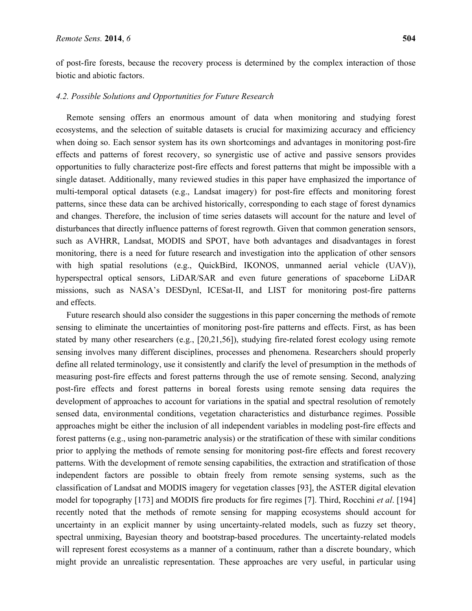of post-fire forests, because the recovery process is determined by the complex interaction of those biotic and abiotic factors.

#### *4.2. Possible Solutions and Opportunities for Future Research*

Remote sensing offers an enormous amount of data when monitoring and studying forest ecosystems, and the selection of suitable datasets is crucial for maximizing accuracy and efficiency when doing so. Each sensor system has its own shortcomings and advantages in monitoring post-fire effects and patterns of forest recovery, so synergistic use of active and passive sensors provides opportunities to fully characterize post-fire effects and forest patterns that might be impossible with a single dataset. Additionally, many reviewed studies in this paper have emphasized the importance of multi-temporal optical datasets (e.g., Landsat imagery) for post-fire effects and monitoring forest patterns, since these data can be archived historically, corresponding to each stage of forest dynamics and changes. Therefore, the inclusion of time series datasets will account for the nature and level of disturbances that directly influence patterns of forest regrowth. Given that common generation sensors, such as AVHRR, Landsat, MODIS and SPOT, have both advantages and disadvantages in forest monitoring, there is a need for future research and investigation into the application of other sensors with high spatial resolutions (e.g., QuickBird, IKONOS, unmanned aerial vehicle (UAV)), hyperspectral optical sensors, LiDAR/SAR and even future generations of spaceborne LiDAR missions, such as NASA's DESDynl, ICESat-II, and LIST for monitoring post-fire patterns and effects.

Future research should also consider the suggestions in this paper concerning the methods of remote sensing to eliminate the uncertainties of monitoring post-fire patterns and effects. First, as has been stated by many other researchers (e.g., [20,21,56]), studying fire-related forest ecology using remote sensing involves many different disciplines, processes and phenomena. Researchers should properly define all related terminology, use it consistently and clarify the level of presumption in the methods of measuring post-fire effects and forest patterns through the use of remote sensing. Second, analyzing post-fire effects and forest patterns in boreal forests using remote sensing data requires the development of approaches to account for variations in the spatial and spectral resolution of remotely sensed data, environmental conditions, vegetation characteristics and disturbance regimes. Possible approaches might be either the inclusion of all independent variables in modeling post-fire effects and forest patterns (e.g., using non-parametric analysis) or the stratification of these with similar conditions prior to applying the methods of remote sensing for monitoring post-fire effects and forest recovery patterns. With the development of remote sensing capabilities, the extraction and stratification of those independent factors are possible to obtain freely from remote sensing systems, such as the classification of Landsat and MODIS imagery for vegetation classes [93], the ASTER digital elevation model for topography [173] and MODIS fire products for fire regimes [7]. Third, Rocchini *et al*. [194] recently noted that the methods of remote sensing for mapping ecosystems should account for uncertainty in an explicit manner by using uncertainty-related models, such as fuzzy set theory, spectral unmixing, Bayesian theory and bootstrap-based procedures. The uncertainty-related models will represent forest ecosystems as a manner of a continuum, rather than a discrete boundary, which might provide an unrealistic representation. These approaches are very useful, in particular using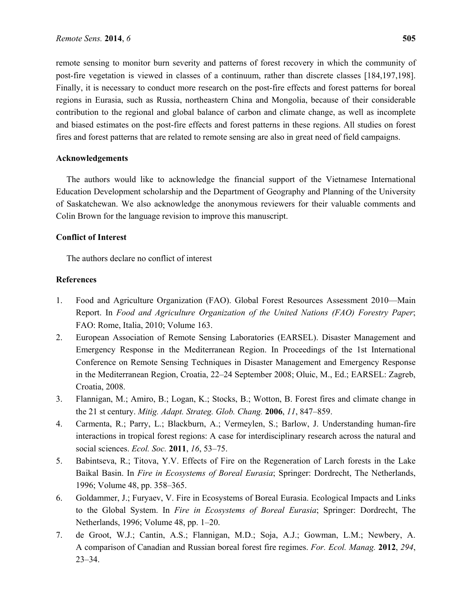remote sensing to monitor burn severity and patterns of forest recovery in which the community of post-fire vegetation is viewed in classes of a continuum, rather than discrete classes [184,197,198]. Finally, it is necessary to conduct more research on the post-fire effects and forest patterns for boreal regions in Eurasia, such as Russia, northeastern China and Mongolia, because of their considerable contribution to the regional and global balance of carbon and climate change, as well as incomplete and biased estimates on the post-fire effects and forest patterns in these regions. All studies on forest fires and forest patterns that are related to remote sensing are also in great need of field campaigns.

# **Acknowledgements**

The authors would like to acknowledge the financial support of the Vietnamese International Education Development scholarship and the Department of Geography and Planning of the University of Saskatchewan. We also acknowledge the anonymous reviewers for their valuable comments and Colin Brown for the language revision to improve this manuscript.

# **Conflict of Interest**

The authors declare no conflict of interest

# **References**

- 1. Food and Agriculture Organization (FAO). Global Forest Resources Assessment 2010—Main Report. In *Food and Agriculture Organization of the United Nations (FAO) Forestry Paper*; FAO: Rome, Italia, 2010; Volume 163.
- 2. European Association of Remote Sensing Laboratories (EARSEL). Disaster Management and Emergency Response in the Mediterranean Region. In Proceedings of the 1st International Conference on Remote Sensing Techniques in Disaster Management and Emergency Response in the Mediterranean Region, Croatia, 22–24 September 2008; Oluic, M., Ed.; EARSEL: Zagreb, Croatia, 2008.
- 3. Flannigan, M.; Amiro, B.; Logan, K.; Stocks, B.; Wotton, B. Forest fires and climate change in the 21 st century. *Mitig. Adapt. Strateg. Glob. Chang.* **2006**, *11*, 847–859.
- 4. Carmenta, R.; Parry, L.; Blackburn, A.; Vermeylen, S.; Barlow, J. Understanding human-fire interactions in tropical forest regions: A case for interdisciplinary research across the natural and social sciences. *Ecol. Soc.* **2011**, *16*, 53–75.
- 5. Babintseva, R.; Titova, Y.V. Effects of Fire on the Regeneration of Larch forests in the Lake Baikal Basin. In *Fire in Ecosystems of Boreal Eurasia*; Springer: Dordrecht, The Netherlands, 1996; Volume 48, pp. 358–365.
- 6. Goldammer, J.; Furyaev, V. Fire in Ecosystems of Boreal Eurasia. Ecological Impacts and Links to the Global System. In *Fire in Ecosystems of Boreal Eurasia*; Springer: Dordrecht, The Netherlands, 1996; Volume 48, pp. 1–20.
- 7. de Groot, W.J.; Cantin, A.S.; Flannigan, M.D.; Soja, A.J.; Gowman, L.M.; Newbery, A. A comparison of Canadian and Russian boreal forest fire regimes. *For. Ecol. Manag.* **2012**, *294*, 23–34.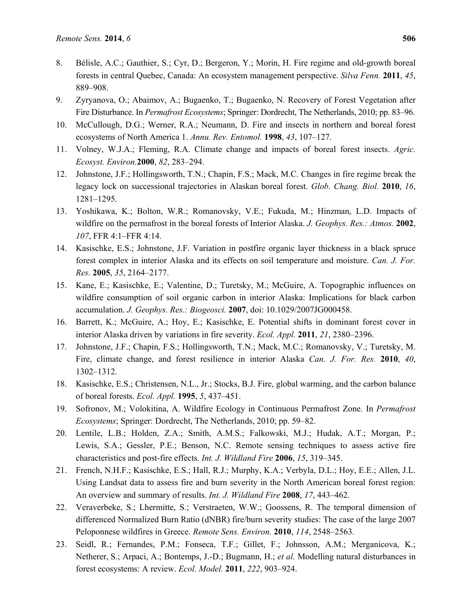- 8. Bélisle, A.C.; Gauthier, S.; Cyr, D.; Bergeron, Y.; Morin, H. Fire regime and old-growth boreal forests in central Quebec, Canada: An ecosystem management perspective. *Silva Fenn.* **2011**, *45*, 889–908.
- 9. Zyryanova, O.; Abaimov, A.; Bugaenko, T.; Bugaenko, N. Recovery of Forest Vegetation after Fire Disturbance. In *Permafrost Ecosystems*; Springer: Dordrecht, The Netherlands, 2010; pp. 83–96.
- 10. McCullough, D.G.; Werner, R.A.; Neumann, D. Fire and insects in northern and boreal forest ecosystems of North America 1. *Annu. Rev. Entomol.* **1998**, *43*, 107–127.
- 11. Volney, W.J.A.; Fleming, R.A. Climate change and impacts of boreal forest insects. *Agric. Ecosyst. Environ.***2000**, *82*, 283–294.
- 12. Johnstone, J.F.; Hollingsworth, T.N.; Chapin, F.S.; Mack, M.C. Changes in fire regime break the legacy lock on successional trajectories in Alaskan boreal forest. *Glob. Chang. Biol.* **2010**, *16*, 1281–1295.
- 13. Yoshikawa, K.; Bolton, W.R.; Romanovsky, V.E.; Fukuda, M.; Hinzman, L.D. Impacts of wildfire on the permafrost in the boreal forests of Interior Alaska. *J. Geophys. Res.: Atmos.* **2002**, *107*, FFR 4:1–FFR 4:14.
- 14. Kasischke, E.S.; Johnstone, J.F. Variation in postfire organic layer thickness in a black spruce forest complex in interior Alaska and its effects on soil temperature and moisture. *Can. J. For. Res.* **2005**, *35*, 2164–2177.
- 15. Kane, E.; Kasischke, E.; Valentine, D.; Turetsky, M.; McGuire, A. Topographic influences on wildfire consumption of soil organic carbon in interior Alaska: Implications for black carbon accumulation. *J. Geophys. Res.: Biogeosci.* **2007**, doi: 10.1029/2007JG000458.
- 16. Barrett, K.; McGuire, A.; Hoy, E.; Kasischke, E. Potential shifts in dominant forest cover in interior Alaska driven by variations in fire severity. *Ecol. Appl.* **2011**, *21*, 2380–2396.
- 17. Johnstone, J.F.; Chapin, F.S.; Hollingsworth, T.N.; Mack, M.C.; Romanovsky, V.; Turetsky, M. Fire, climate change, and forest resilience in interior Alaska *Can. J. For. Res.* **2010**, *40*, 1302–1312.
- 18. Kasischke, E.S.; Christensen, N.L., Jr.; Stocks, B.J. Fire, global warming, and the carbon balance of boreal forests. *Ecol. Appl.* **1995**, *5*, 437–451.
- 19. Sofronov, M.; Volokitina, A. Wildfire Ecology in Continuous Permafrost Zone. In *Permafrost Ecosystems*; Springer: Dordrecht, The Netherlands, 2010; pp. 59–82.
- 20. Lentile, L.B.; Holden, Z.A.; Smith, A.M.S.; Falkowski, M.J.; Hudak, A.T.; Morgan, P.; Lewis, S.A.; Gessler, P.E.; Benson, N.C. Remote sensing techniques to assess active fire characteristics and post-fire effects. *Int. J. Wildland Fire* **2006**, *15*, 319–345.
- 21. French, N.H.F.; Kasischke, E.S.; Hall, R.J.; Murphy, K.A.; Verbyla, D.L.; Hoy, E.E.; Allen, J.L. Using Landsat data to assess fire and burn severity in the North American boreal forest region: An overview and summary of results. *Int. J. Wildland Fire* **2008**, *17*, 443–462.
- 22. Veraverbeke, S.; Lhermitte, S.; Verstraeten, W.W.; Goossens, R. The temporal dimension of differenced Normalized Burn Ratio (dNBR) fire/burn severity studies: The case of the large 2007 Peloponnese wildfires in Greece. *Remote Sens. Environ.* **2010**, *114*, 2548–2563.
- 23. Seidl, R.; Fernandes, P.M.; Fonseca, T.F.; Gillet, F.; Johnsson, A.M.; Merganicova, K.; Netherer, S.; Arpaci, A.; Bontemps, J.-D.; Bugmann, H.; *et al.* Modelling natural disturbances in forest ecosystems: A review. *Ecol. Model.* **2011**, *222*, 903–924.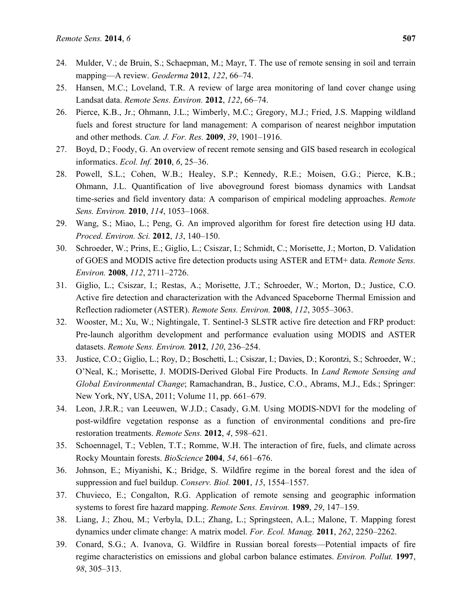- 24. Mulder, V.; de Bruin, S.; Schaepman, M.; Mayr, T. The use of remote sensing in soil and terrain mapping—A review. *Geoderma* **2012**, *122*, 66–74.
- 25. Hansen, M.C.; Loveland, T.R. A review of large area monitoring of land cover change using Landsat data. *Remote Sens. Environ.* **2012**, *122*, 66–74.
- 26. Pierce, K.B., Jr.; Ohmann, J.L.; Wimberly, M.C.; Gregory, M.J.; Fried, J.S. Mapping wildland fuels and forest structure for land management: A comparison of nearest neighbor imputation and other methods. *Can. J. For. Res.* **2009**, *39*, 1901–1916.
- 27. Boyd, D.; Foody, G. An overview of recent remote sensing and GIS based research in ecological informatics. *Ecol. Inf.* **2010**, *6*, 25–36.
- 28. Powell, S.L.; Cohen, W.B.; Healey, S.P.; Kennedy, R.E.; Moisen, G.G.; Pierce, K.B.; Ohmann, J.L. Quantification of live aboveground forest biomass dynamics with Landsat time-series and field inventory data: A comparison of empirical modeling approaches. *Remote Sens. Environ.* **2010**, *114*, 1053–1068.
- 29. Wang, S.; Miao, L.; Peng, G. An improved algorithm for forest fire detection using HJ data. *Proced. Environ. Sci.* **2012**, *13*, 140–150.
- 30. Schroeder, W.; Prins, E.; Giglio, L.; Csiszar, I.; Schmidt, C.; Morisette, J.; Morton, D. Validation of GOES and MODIS active fire detection products using ASTER and ETM+ data. *Remote Sens. Environ.* **2008**, *112*, 2711–2726.
- 31. Giglio, L.; Csiszar, I.; Restas, A.; Morisette, J.T.; Schroeder, W.; Morton, D.; Justice, C.O. Active fire detection and characterization with the Advanced Spaceborne Thermal Emission and Reflection radiometer (ASTER). *Remote Sens. Environ.* **2008**, *112*, 3055–3063.
- 32. Wooster, M.; Xu, W.; Nightingale, T. Sentinel-3 SLSTR active fire detection and FRP product: Pre-launch algorithm development and performance evaluation using MODIS and ASTER datasets. *Remote Sens. Environ.* **2012**, *120*, 236–254.
- 33. Justice, C.O.; Giglio, L.; Roy, D.; Boschetti, L.; Csiszar, I.; Davies, D.; Korontzi, S.; Schroeder, W.; O'Neal, K.; Morisette, J. MODIS-Derived Global Fire Products. In *Land Remote Sensing and Global Environmental Change*; Ramachandran, B., Justice, C.O., Abrams, M.J., Eds.; Springer: New York, NY, USA, 2011; Volume 11, pp. 661–679.
- 34. Leon, J.R.R.; van Leeuwen, W.J.D.; Casady, G.M. Using MODIS-NDVI for the modeling of post-wildfire vegetation response as a function of environmental conditions and pre-fire restoration treatments. *Remote Sens.* **2012**, *4*, 598–621.
- 35. Schoennagel, T.; Veblen, T.T.; Romme, W.H. The interaction of fire, fuels, and climate across Rocky Mountain forests. *BioScience* **2004**, *54*, 661–676.
- 36. Johnson, E.; Miyanishi, K.; Bridge, S. Wildfire regime in the boreal forest and the idea of suppression and fuel buildup. *Conserv. Biol.* **2001**, *15*, 1554–1557.
- 37. Chuvieco, E.; Congalton, R.G. Application of remote sensing and geographic information systems to forest fire hazard mapping. *Remote Sens. Environ.* **1989**, *29*, 147–159.
- 38. Liang, J.; Zhou, M.; Verbyla, D.L.; Zhang, L.; Springsteen, A.L.; Malone, T. Mapping forest dynamics under climate change: A matrix model. *For. Ecol. Manag.* **2011**, *262*, 2250–2262.
- 39. Conard, S.G.; A. Ivanova, G. Wildfire in Russian boreal forests—Potential impacts of fire regime characteristics on emissions and global carbon balance estimates. *Environ. Pollut.* **1997**, *98*, 305–313.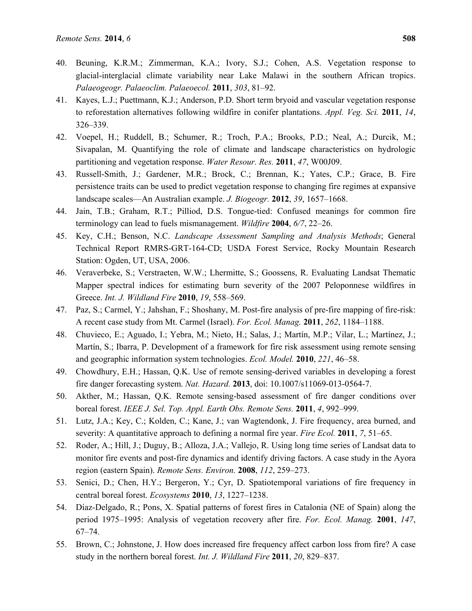- 40. Beuning, K.R.M.; Zimmerman, K.A.; Ivory, S.J.; Cohen, A.S. Vegetation response to glacial-interglacial climate variability near Lake Malawi in the southern African tropics. *Palaeogeogr. Palaeoclim. Palaeoecol.* **2011**, *303*, 81–92.
- 41. Kayes, L.J.; Puettmann, K.J.; Anderson, P.D. Short term bryoid and vascular vegetation response to reforestation alternatives following wildfire in conifer plantations. *Appl. Veg. Sci.* **2011**, *14*, 326–339.
- 42. Voepel, H.; Ruddell, B.; Schumer, R.; Troch, P.A.; Brooks, P.D.; Neal, A.; Durcik, M.; Sivapalan, M. Quantifying the role of climate and landscape characteristics on hydrologic partitioning and vegetation response. *Water Resour. Res.* **2011**, *47*, W00J09.
- 43. Russell-Smith, J.; Gardener, M.R.; Brock, C.; Brennan, K.; Yates, C.P.; Grace, B. Fire persistence traits can be used to predict vegetation response to changing fire regimes at expansive landscape scales—An Australian example. *J. Biogeogr.* **2012**, *39*, 1657–1668.
- 44. Jain, T.B.; Graham, R.T.; Pilliod, D.S. Tongue-tied: Confused meanings for common fire terminology can lead to fuels mismanagement. *Wildfire* **2004**, *6/7*, 22–26.
- 45. Key, C.H.; Benson, N.C. *Landscape Assessment Sampling and Analysis Methods*; General Technical Report RMRS-GRT-164-CD; USDA Forest Service, Rocky Mountain Research Station: Ogden, UT, USA, 2006.
- 46. Veraverbeke, S.; Verstraeten, W.W.; Lhermitte, S.; Goossens, R. Evaluating Landsat Thematic Mapper spectral indices for estimating burn severity of the 2007 Peloponnese wildfires in Greece. *Int. J. Wildland Fire* **2010**, *19*, 558–569.
- 47. Paz, S.; Carmel, Y.; Jahshan, F.; Shoshany, M. Post-fire analysis of pre-fire mapping of fire-risk: A recent case study from Mt. Carmel (Israel). *For. Ecol. Manag.* **2011**, *262*, 1184–1188.
- 48. Chuvieco, E.; Aguado, I.; Yebra, M.; Nieto, H.; Salas, J.; Martín, M.P.; Vilar, L.; Martínez, J.; Martín, S.; Ibarra, P. Development of a framework for fire risk assessment using remote sensing and geographic information system technologies. *Ecol. Model.* **2010**, *221*, 46–58.
- 49. Chowdhury, E.H.; Hassan, Q.K. Use of remote sensing-derived variables in developing a forest fire danger forecasting system. *Nat. Hazard.* **2013**, doi: 10.1007/s11069-013-0564-7.
- 50. Akther, M.; Hassan, Q.K. Remote sensing-based assessment of fire danger conditions over boreal forest. *IEEE J. Sel. Top. Appl. Earth Obs. Remote Sens.* **2011**, *4*, 992–999.
- 51. Lutz, J.A.; Key, C.; Kolden, C.; Kane, J.; van Wagtendonk, J. Fire frequency, area burned, and severity: A quantitative approach to defining a normal fire year. *Fire Ecol.* **2011**, *7*, 51–65.
- 52. Roder, A.; Hill, J.; Duguy, B.; Alloza, J.A.; Vallejo, R. Using long time series of Landsat data to monitor fire events and post-fire dynamics and identify driving factors. A case study in the Ayora region (eastern Spain). *Remote Sens. Environ.* **2008**, *112*, 259–273.
- 53. Senici, D.; Chen, H.Y.; Bergeron, Y.; Cyr, D. Spatiotemporal variations of fire frequency in central boreal forest. *Ecosystems* **2010**, *13*, 1227–1238.
- 54. Díaz-Delgado, R.; Pons, X. Spatial patterns of forest fires in Catalonia (NE of Spain) along the period 1975–1995: Analysis of vegetation recovery after fire. *For. Ecol. Manag.* **2001**, *147*, 67–74.
- 55. Brown, C.; Johnstone, J. How does increased fire frequency affect carbon loss from fire? A case study in the northern boreal forest. *Int. J. Wildland Fire* **2011**, *20*, 829–837.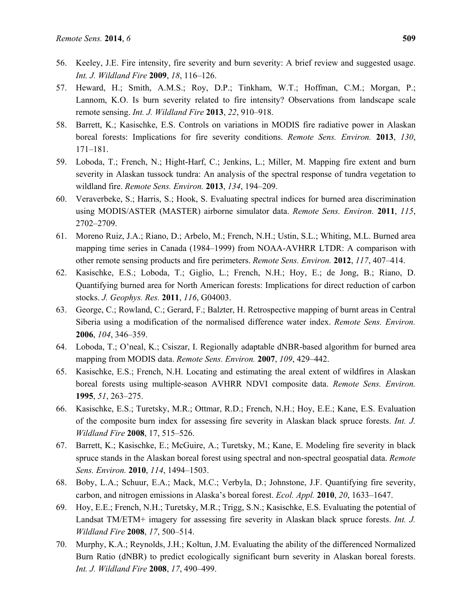- 56. Keeley, J.E. Fire intensity, fire severity and burn severity: A brief review and suggested usage. *Int. J. Wildland Fire* **2009**, *18*, 116–126.
- 57. Heward, H.; Smith, A.M.S.; Roy, D.P.; Tinkham, W.T.; Hoffman, C.M.; Morgan, P.; Lannom, K.O. Is burn severity related to fire intensity? Observations from landscape scale remote sensing. *Int. J. Wildland Fire* **2013**, *22*, 910–918.
- 58. Barrett, K.; Kasischke, E.S. Controls on variations in MODIS fire radiative power in Alaskan boreal forests: Implications for fire severity conditions. *Remote Sens. Environ.* **2013**, *130*, 171–181.
- 59. Loboda, T.; French, N.; Hight-Harf, C.; Jenkins, L.; Miller, M. Mapping fire extent and burn severity in Alaskan tussock tundra: An analysis of the spectral response of tundra vegetation to wildland fire. *Remote Sens. Environ.* **2013**, *134*, 194–209.
- 60. Veraverbeke, S.; Harris, S.; Hook, S. Evaluating spectral indices for burned area discrimination using MODIS/ASTER (MASTER) airborne simulator data. *Remote Sens. Environ.* **2011**, *115*, 2702–2709.
- 61. Moreno Ruiz, J.A.; Riano, D.; Arbelo, M.; French, N.H.; Ustin, S.L.; Whiting, M.L. Burned area mapping time series in Canada (1984–1999) from NOAA-AVHRR LTDR: A comparison with other remote sensing products and fire perimeters. *Remote Sens. Environ.* **2012**, *117*, 407–414.
- 62. Kasischke, E.S.; Loboda, T.; Giglio, L.; French, N.H.; Hoy, E.; de Jong, B.; Riano, D. Quantifying burned area for North American forests: Implications for direct reduction of carbon stocks. *J. Geophys. Res.* **2011**, *116*, G04003.
- 63. George, C.; Rowland, C.; Gerard, F.; Balzter, H. Retrospective mapping of burnt areas in Central Siberia using a modification of the normalised difference water index. *Remote Sens. Environ.*  **2006**, *104*, 346–359.
- 64. Loboda, T.; O'neal, K.; Csiszar, I. Regionally adaptable dNBR-based algorithm for burned area mapping from MODIS data. *Remote Sens. Environ.* **2007**, *109*, 429–442.
- 65. Kasischke, E.S.; French, N.H. Locating and estimating the areal extent of wildfires in Alaskan boreal forests using multiple-season AVHRR NDVI composite data. *Remote Sens. Environ.*  **1995**, *51*, 263–275.
- 66. Kasischke, E.S.; Turetsky, M.R.; Ottmar, R.D.; French, N.H.; Hoy, E.E.; Kane, E.S. Evaluation of the composite burn index for assessing fire severity in Alaskan black spruce forests. *Int. J. Wildland Fire* **2008**, 17, 515–526.
- 67. Barrett, K.; Kasischke, E.; McGuire, A.; Turetsky, M.; Kane, E. Modeling fire severity in black spruce stands in the Alaskan boreal forest using spectral and non-spectral geospatial data. *Remote Sens. Environ.* **2010**, *114*, 1494–1503.
- 68. Boby, L.A.; Schuur, E.A.; Mack, M.C.; Verbyla, D.; Johnstone, J.F. Quantifying fire severity, carbon, and nitrogen emissions in Alaska's boreal forest. *Ecol. Appl.* **2010**, *20*, 1633–1647.
- 69. Hoy, E.E.; French, N.H.; Turetsky, M.R.; Trigg, S.N.; Kasischke, E.S. Evaluating the potential of Landsat TM/ETM+ imagery for assessing fire severity in Alaskan black spruce forests. *Int. J. Wildland Fire* **2008**, *17*, 500–514.
- 70. Murphy, K.A.; Reynolds, J.H.; Koltun, J.M. Evaluating the ability of the differenced Normalized Burn Ratio (dNBR) to predict ecologically significant burn severity in Alaskan boreal forests. *Int. J. Wildland Fire* **2008**, *17*, 490–499.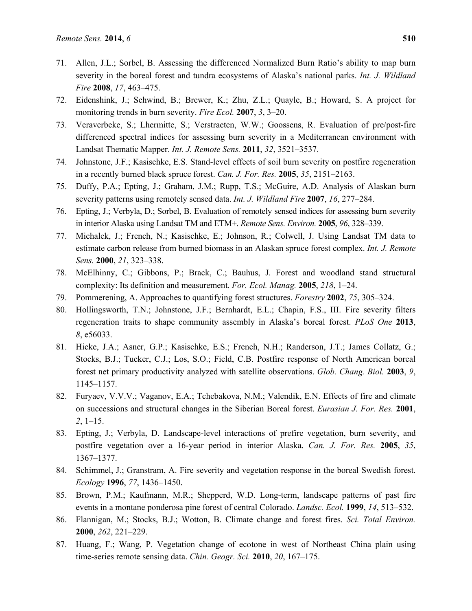- 71. Allen, J.L.; Sorbel, B. Assessing the differenced Normalized Burn Ratio's ability to map burn severity in the boreal forest and tundra ecosystems of Alaska's national parks. *Int. J. Wildland Fire* **2008**, *17*, 463–475.
- 72. Eidenshink, J.; Schwind, B.; Brewer, K.; Zhu, Z.L.; Quayle, B.; Howard, S. A project for monitoring trends in burn severity. *Fire Ecol.* **2007**, *3*, 3–20.
- 73. Veraverbeke, S.; Lhermitte, S.; Verstraeten, W.W.; Goossens, R. Evaluation of pre/post-fire differenced spectral indices for assessing burn severity in a Mediterranean environment with Landsat Thematic Mapper. *Int. J. Remote Sens.* **2011**, *32*, 3521–3537.
- 74. Johnstone, J.F.; Kasischke, E.S. Stand-level effects of soil burn severity on postfire regeneration in a recently burned black spruce forest. *Can. J. For. Res.* **2005**, *35*, 2151–2163.
- 75. Duffy, P.A.; Epting, J.; Graham, J.M.; Rupp, T.S.; McGuire, A.D. Analysis of Alaskan burn severity patterns using remotely sensed data. *Int. J. Wildland Fire* **2007**, *16*, 277–284.
- 76. Epting, J.; Verbyla, D.; Sorbel, B. Evaluation of remotely sensed indices for assessing burn severity in interior Alaska using Landsat TM and ETM+. *Remote Sens. Environ.* **2005**, *96*, 328–339.
- 77. Michalek, J.; French, N.; Kasischke, E.; Johnson, R.; Colwell, J. Using Landsat TM data to estimate carbon release from burned biomass in an Alaskan spruce forest complex. *Int. J. Remote Sens.* **2000**, *21*, 323–338.
- 78. McElhinny, C.; Gibbons, P.; Brack, C.; Bauhus, J. Forest and woodland stand structural complexity: Its definition and measurement. *For. Ecol. Manag.* **2005**, *218*, 1–24.
- 79. Pommerening, A. Approaches to quantifying forest structures. *Forestry* **2002**, *75*, 305–324.
- 80. Hollingsworth, T.N.; Johnstone, J.F.; Bernhardt, E.L.; Chapin, F.S., III. Fire severity filters regeneration traits to shape community assembly in Alaska's boreal forest. *PLoS One* **2013**, *8*, e56033.
- 81. Hicke, J.A.; Asner, G.P.; Kasischke, E.S.; French, N.H.; Randerson, J.T.; James Collatz, G.; Stocks, B.J.; Tucker, C.J.; Los, S.O.; Field, C.B. Postfire response of North American boreal forest net primary productivity analyzed with satellite observations. *Glob. Chang. Biol.* **2003**, *9*, 1145–1157.
- 82. Furyaev, V.V.V.; Vaganov, E.A.; Tchebakova, N.M.; Valendik, E.N. Effects of fire and climate on successions and structural changes in the Siberian Boreal forest. *Eurasian J. For. Res.* **2001**, *2*, 1–15.
- 83. Epting, J.; Verbyla, D. Landscape-level interactions of prefire vegetation, burn severity, and postfire vegetation over a 16-year period in interior Alaska. *Can. J. For. Res.* **2005**, *35*, 1367–1377.
- 84. Schimmel, J.; Granstram, A. Fire severity and vegetation response in the boreal Swedish forest. *Ecology* **1996**, *77*, 1436–1450.
- 85. Brown, P.M.; Kaufmann, M.R.; Shepperd, W.D. Long-term, landscape patterns of past fire events in a montane ponderosa pine forest of central Colorado. *Landsc. Ecol.* **1999**, *14*, 513–532.
- 86. Flannigan, M.; Stocks, B.J.; Wotton, B. Climate change and forest fires. *Sci. Total Environ.*  **2000**, *262*, 221–229.
- 87. Huang, F.; Wang, P. Vegetation change of ecotone in west of Northeast China plain using time-series remote sensing data. *Chin. Geogr. Sci.* **2010**, *20*, 167–175.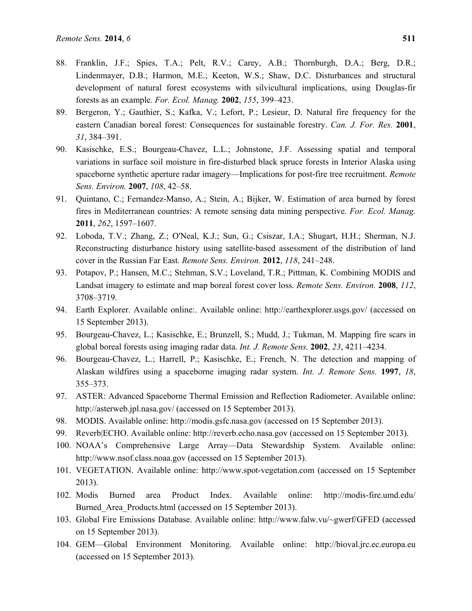- 88. Franklin, J.F.; Spies, T.A.; Pelt, R.V.; Carey, A.B.; Thornburgh, D.A.; Berg, D.R.; Lindenmayer, D.B.; Harmon, M.E.; Keeton, W.S.; Shaw, D.C. Disturbances and structural development of natural forest ecosystems with silvicultural implications, using Douglas-fir forests as an example. *For. Ecol. Manag.* **2002**, *155*, 399–423.
- 89. Bergeron, Y.; Gauthier, S.; Kafka, V.; Lefort, P.; Lesieur, D. Natural fire frequency for the eastern Canadian boreal forest: Consequences for sustainable forestry. *Can. J. For. Res.* **2001**, *31*, 384–391.
- 90. Kasischke, E.S.; Bourgeau-Chavez, L.L.; Johnstone, J.F. Assessing spatial and temporal variations in surface soil moisture in fire-disturbed black spruce forests in Interior Alaska using spaceborne synthetic aperture radar imagery—Implications for post-fire tree recruitment. *Remote Sens. Environ.* **2007**, *108*, 42–58.
- 91. Quintano, C.; Fernandez-Manso, A.; Stein, A.; Bijker, W. Estimation of area burned by forest fires in Mediterranean countries: A remote sensing data mining perspective. *For. Ecol. Manag.*  **2011**, *262*, 1597–1607.
- 92. Loboda, T.V.; Zhang, Z.; O'Neal, K.J.; Sun, G.; Csiszar, I.A.; Shugart, H.H.; Sherman, N.J. Reconstructing disturbance history using satellite-based assessment of the distribution of land cover in the Russian Far East. *Remote Sens. Environ.* **2012**, *118*, 241–248.
- 93. Potapov, P.; Hansen, M.C.; Stehman, S.V.; Loveland, T.R.; Pittman, K. Combining MODIS and Landsat imagery to estimate and map boreal forest cover loss. *Remote Sens. Environ.* **2008**, *112*, 3708–3719.
- 94. Earth Explorer. Available online:. Available online: http://earthexplorer.usgs.gov/ (accessed on 15 September 2013).
- 95. Bourgeau-Chavez, L.; Kasischke, E.; Brunzell, S.; Mudd, J.; Tukman, M. Mapping fire scars in global boreal forests using imaging radar data. *Int. J. Remote Sens.* **2002**, *23*, 4211–4234.
- 96. Bourgeau-Chavez, L.; Harrell, P.; Kasischke, E.; French, N. The detection and mapping of Alaskan wildfires using a spaceborne imaging radar system. *Int. J. Remote Sens.* **1997**, *18*, 355–373.
- 97. ASTER: Advanced Spaceborne Thermal Emission and Reflection Radiometer. Available online: http://asterweb.jpl.nasa.gov/ (accessed on 15 September 2013).
- 98. MODIS. Available online: http://modis.gsfc.nasa.gov (accessed on 15 September 2013).
- 99. Reverb|ECHO. Available online: http://reverb.echo.nasa.gov (accessed on 15 September 2013).
- 100. NOAA's Comprehensive Large Array—Data Stewardship System. Available online: http://www.nsof.class.noaa.gov (accessed on 15 September 2013).
- 101. VEGETATION. Available online: http://www.spot-vegetation.com (accessed on 15 September 2013).
- 102. Modis Burned area Product Index. Available online: http://modis-fire.umd.edu/ Burned Area Products.html (accessed on 15 September 2013).
- 103. Global Fire Emissions Database. Available online: http://www.falw.vu/~gwerf/GFED (accessed on 15 September 2013).
- 104. GEM—Global Environment Monitoring. Available online: http://bioval.jrc.ec.europa.eu (accessed on 15 September 2013).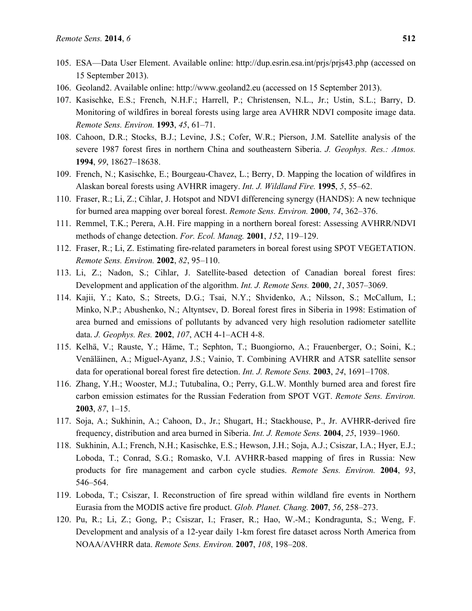- 105. ESA—Data User Element. Available online: http://dup.esrin.esa.int/prjs/prjs43.php (accessed on 15 September 2013).
- 106. Geoland2. Available online: http://www.geoland2.eu (accessed on 15 September 2013).
- 107. Kasischke, E.S.; French, N.H.F.; Harrell, P.; Christensen, N.L., Jr.; Ustin, S.L.; Barry, D. Monitoring of wildfires in boreal forests using large area AVHRR NDVI composite image data. *Remote Sens. Environ.* **1993**, *45*, 61–71.
- 108. Cahoon, D.R.; Stocks, B.J.; Levine, J.S.; Cofer, W.R.; Pierson, J.M. Satellite analysis of the severe 1987 forest fires in northern China and southeastern Siberia. *J. Geophys. Res.: Atmos.*  **1994**, *99*, 18627–18638.
- 109. French, N.; Kasischke, E.; Bourgeau-Chavez, L.; Berry, D. Mapping the location of wildfires in Alaskan boreal forests using AVHRR imagery. *Int. J. Wildland Fire.* **1995**, *5*, 55–62.
- 110. Fraser, R.; Li, Z.; Cihlar, J. Hotspot and NDVI differencing synergy (HANDS): A new technique for burned area mapping over boreal forest. *Remote Sens. Environ.* **2000**, *74*, 362–376.
- 111. Remmel, T.K.; Perera, A.H. Fire mapping in a northern boreal forest: Assessing AVHRR/NDVI methods of change detection. *For. Ecol. Manag.* **2001**, *152*, 119–129.
- 112. Fraser, R.; Li, Z. Estimating fire-related parameters in boreal forest using SPOT VEGETATION. *Remote Sens. Environ.* **2002**, *82*, 95–110.
- 113. Li, Z.; Nadon, S.; Cihlar, J. Satellite-based detection of Canadian boreal forest fires: Development and application of the algorithm. *Int. J. Remote Sens.* **2000**, *21*, 3057–3069.
- 114. Kajii, Y.; Kato, S.; Streets, D.G.; Tsai, N.Y.; Shvidenko, A.; Nilsson, S.; McCallum, I.; Minko, N.P.; Abushenko, N.; Altyntsev, D. Boreal forest fires in Siberia in 1998: Estimation of area burned and emissions of pollutants by advanced very high resolution radiometer satellite data. *J. Geophys. Res.* **2002**, *107*, ACH 4-1–ACH 4-8.
- 115. Kelhä, V.; Rauste, Y.; Häme, T.; Sephton, T.; Buongiorno, A.; Frauenberger, O.; Soini, K.; Venäläinen, A.; Miguel-Ayanz, J.S.; Vainio, T. Combining AVHRR and ATSR satellite sensor data for operational boreal forest fire detection. *Int. J. Remote Sens.* **2003**, *24*, 1691–1708.
- 116. Zhang, Y.H.; Wooster, M.J.; Tutubalina, O.; Perry, G.L.W. Monthly burned area and forest fire carbon emission estimates for the Russian Federation from SPOT VGT. *Remote Sens. Environ.*  **2003**, *87*, 1–15.
- 117. Soja, A.; Sukhinin, A.; Cahoon, D., Jr.; Shugart, H.; Stackhouse, P., Jr. AVHRR-derived fire frequency, distribution and area burned in Siberia. *Int. J. Remote Sens.* **2004**, *25*, 1939–1960.
- 118. Sukhinin, A.I.; French, N.H.; Kasischke, E.S.; Hewson, J.H.; Soja, A.J.; Csiszar, I.A.; Hyer, E.J.; Loboda, T.; Conrad, S.G.; Romasko, V.I. AVHRR-based mapping of fires in Russia: New products for fire management and carbon cycle studies. *Remote Sens. Environ.* **2004**, *93*, 546–564.
- 119. Loboda, T.; Csiszar, I. Reconstruction of fire spread within wildland fire events in Northern Eurasia from the MODIS active fire product. *Glob. Planet. Chang.* **2007**, *56*, 258–273.
- 120. Pu, R.; Li, Z.; Gong, P.; Csiszar, I.; Fraser, R.; Hao, W.-M.; Kondragunta, S.; Weng, F. Development and analysis of a 12-year daily 1-km forest fire dataset across North America from NOAA/AVHRR data. *Remote Sens. Environ.* **2007**, *108*, 198–208.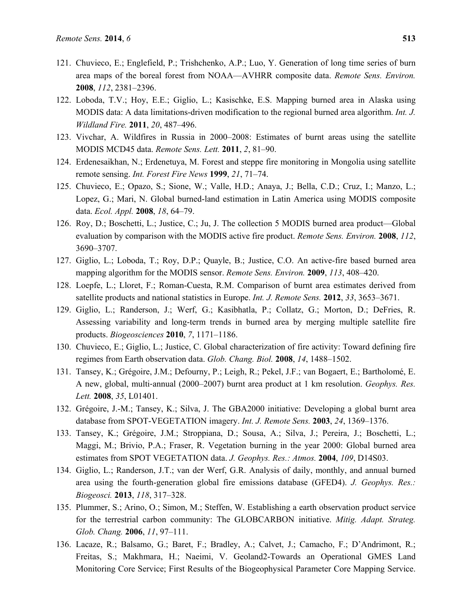- 121. Chuvieco, E.; Englefield, P.; Trishchenko, A.P.; Luo, Y. Generation of long time series of burn area maps of the boreal forest from NOAA—AVHRR composite data. *Remote Sens. Environ.*  **2008**, *112*, 2381–2396.
- 122. Loboda, T.V.; Hoy, E.E.; Giglio, L.; Kasischke, E.S. Mapping burned area in Alaska using MODIS data: A data limitations-driven modification to the regional burned area algorithm. *Int. J. Wildland Fire.* **2011**, *20*, 487–496.
- 123. Vivchar, A. Wildfires in Russia in 2000–2008: Estimates of burnt areas using the satellite MODIS MCD45 data. *Remote Sens. Lett.* **2011**, *2*, 81–90.
- 124. Erdenesaikhan, N.; Erdenetuya, M. Forest and steppe fire monitoring in Mongolia using satellite remote sensing. *Int. Forest Fire News* **1999**, *21*, 71–74.
- 125. Chuvieco, E.; Opazo, S.; Sione, W.; Valle, H.D.; Anaya, J.; Bella, C.D.; Cruz, I.; Manzo, L.; Lopez, G.; Mari, N. Global burned-land estimation in Latin America using MODIS composite data. *Ecol. Appl.* **2008**, *18*, 64–79.
- 126. Roy, D.; Boschetti, L.; Justice, C.; Ju, J. The collection 5 MODIS burned area product—Global evaluation by comparison with the MODIS active fire product. *Remote Sens. Environ.* **2008**, *112*, 3690–3707.
- 127. Giglio, L.; Loboda, T.; Roy, D.P.; Quayle, B.; Justice, C.O. An active-fire based burned area mapping algorithm for the MODIS sensor. *Remote Sens. Environ.* **2009**, *113*, 408–420.
- 128. Loepfe, L.; Lloret, F.; Roman-Cuesta, R.M. Comparison of burnt area estimates derived from satellite products and national statistics in Europe. *Int. J. Remote Sens.* **2012**, *33*, 3653–3671.
- 129. Giglio, L.; Randerson, J.; Werf, G.; Kasibhatla, P.; Collatz, G.; Morton, D.; DeFries, R. Assessing variability and long-term trends in burned area by merging multiple satellite fire products. *Biogeosciences* **2010**, *7*, 1171–1186.
- 130. Chuvieco, E.; Giglio, L.; Justice, C. Global characterization of fire activity: Toward defining fire regimes from Earth observation data. *Glob. Chang. Biol.* **2008**, *14*, 1488–1502.
- 131. Tansey, K.; Grégoire, J.M.; Defourny, P.; Leigh, R.; Pekel, J.F.; van Bogaert, E.; Bartholomé, E. A new, global, multi‐annual (2000–2007) burnt area product at 1 km resolution. *Geophys. Res. Lett.* **2008**, *35*, L01401.
- 132. Grégoire, J.-M.; Tansey, K.; Silva, J. The GBA2000 initiative: Developing a global burnt area database from SPOT-VEGETATION imagery. *Int. J. Remote Sens.* **2003**, *24*, 1369–1376.
- 133. Tansey, K.; Grégoire, J.M.; Stroppiana, D.; Sousa, A.; Silva, J.; Pereira, J.; Boschetti, L.; Maggi, M.; Brivio, P.A.; Fraser, R. Vegetation burning in the year 2000: Global burned area estimates from SPOT VEGETATION data. *J. Geophys. Res.: Atmos.* **2004**, *109*, D14S03.
- 134. Giglio, L.; Randerson, J.T.; van der Werf, G.R. Analysis of daily, monthly, and annual burned area using the fourth-generation global fire emissions database (GFED4). *J. Geophys. Res.: Biogeosci.* **2013**, *118*, 317–328.
- 135. Plummer, S.; Arino, O.; Simon, M.; Steffen, W. Establishing a earth observation product service for the terrestrial carbon community: The GLOBCARBON initiative. *Mitig. Adapt. Strateg. Glob. Chang.* **2006**, *11*, 97–111.
- 136. Lacaze, R.; Balsamo, G.; Baret, F.; Bradley, A.; Calvet, J.; Camacho, F.; D'Andrimont, R.; Freitas, S.; Makhmara, H.; Naeimi, V. Geoland2-Towards an Operational GMES Land Monitoring Core Service; First Results of the Biogeophysical Parameter Core Mapping Service.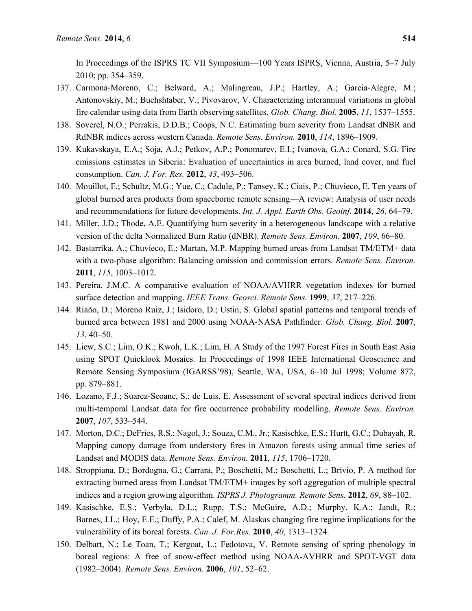In Proceedings of the ISPRS TC VII Symposium—100 Years ISPRS, Vienna, Austria, 5–7 July 2010; pp. 354–359.

- 137. Carmona‐Moreno, C.; Belward, A.; Malingreau, J.P.; Hartley, A.; Garcia‐Alegre, M.; Antonovskiy, M.; Buchshtaber, V.; Pivovarov, V. Characterizing interannual variations in global fire calendar using data from Earth observing satellites. *Glob. Chang. Biol.* **2005**, *11*, 1537–1555.
- 138. Soverel, N.O.; Perrakis, D.D.B.; Coops, N.C. Estimating burn severity from Landsat dNBR and RdNBR indices across western Canada. *Remote Sens. Environ.* **2010**, *114*, 1896–1909.
- 139. Kukavskaya, E.A.; Soja, A.J.; Petkov, A.P.; Ponomarev, E.I.; Ivanova, G.A.; Conard, S.G. Fire emissions estimates in Siberia: Evaluation of uncertainties in area burned, land cover, and fuel consumption. *Can. J. For. Res.* **2012**, *43*, 493–506.
- 140. Mouillot, F.; Schultz, M.G.; Yue, C.; Cadule, P.; Tansey, K.; Ciais, P.; Chuvieco, E. Ten years of global burned area products from spaceborne remote sensing—A review: Analysis of user needs and recommendations for future developments. *Int. J. Appl. Earth Obs. Geoinf.* **2014**, *26*, 64–79.
- 141. Miller, J.D.; Thode, A.E. Quantifying burn severity in a heterogeneous landscape with a relative version of the delta Normalized Burn Ratio (dNBR). *Remote Sens. Environ.* **2007**, *109*, 66–80.
- 142. Bastarrika, A.; Chuvieco, E.; Martan, M.P. Mapping burned areas from Landsat TM/ETM+ data with a two-phase algorithm: Balancing omission and commission errors. *Remote Sens. Environ.*  **2011**, *115*, 1003–1012.
- 143. Pereira, J.M.C. A comparative evaluation of NOAA/AVHRR vegetation indexes for burned surface detection and mapping. *IEEE Trans. Geosci. Remote Sens.* **1999**, *37*, 217–226.
- 144. Riaño, D.; Moreno Ruiz, J.; Isidoro, D.; Ustin, S. Global spatial patterns and temporal trends of burned area between 1981 and 2000 using NOAA‐NASA Pathfinder. *Glob. Chang. Biol.* **2007**, *13*, 40–50.
- 145. Liew, S.C.; Lim, O.K.; Kwoh, L.K.; Lim, H. A Study of the 1997 Forest Fires in South East Asia using SPOT Quicklook Mosaics. In Proceedings of 1998 IEEE International Geoscience and Remote Sensing Symposium (IGARSS'98), Seattle, WA, USA, 6–10 Jul 1998; Volume 872, pp. 879–881.
- 146. Lozano, F.J.; Suarez-Seoane, S.; de Luis, E. Assessment of several spectral indices derived from multi-temporal Landsat data for fire occurrence probability modelling. *Remote Sens. Environ.*  **2007**, *107*, 533–544.
- 147. Morton, D.C.; DeFries, R.S.; Nagol, J.; Souza, C.M., Jr.; Kasischke, E.S.; Hurtt, G.C.; Dubayah, R. Mapping canopy damage from understory fires in Amazon forests using annual time series of Landsat and MODIS data. *Remote Sens. Environ.* **2011**, *115*, 1706–1720.
- 148. Stroppiana, D.; Bordogna, G.; Carrara, P.; Boschetti, M.; Boschetti, L.; Brivio, P. A method for extracting burned areas from Landsat TM/ETM+ images by soft aggregation of multiple spectral indices and a region growing algorithm. *ISPRS J. Photogramm. Remote Sens.* **2012**, *69*, 88–102.
- 149. Kasischke, E.S.; Verbyla, D.L.; Rupp, T.S.; McGuire, A.D.; Murphy, K.A.; Jandt, R.; Barnes, J.L.; Hoy, E.E.; Duffy, P.A.; Calef, M. Alaskas changing fire regime implications for the vulnerability of its boreal forests. *Can. J. For.Res.* **2010**, *40*, 1313–1324.
- 150. Delbart, N.; Le Toan, T.; Kergoat, L.; Fedotova, V. Remote sensing of spring phenology in boreal regions: A free of snow-effect method using NOAA-AVHRR and SPOT-VGT data (1982–2004). *Remote Sens. Environ.* **2006**, *101*, 52–62.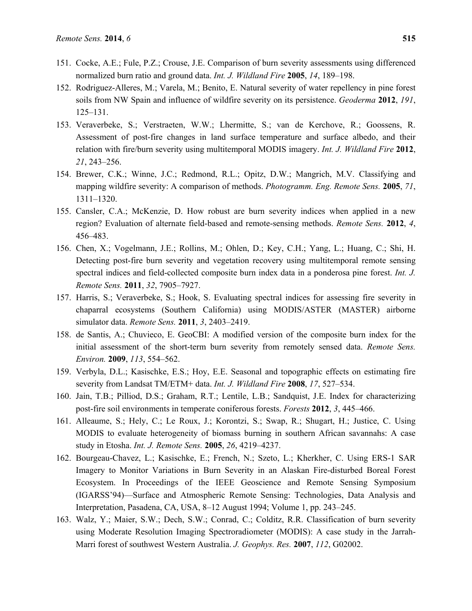- 151. Cocke, A.E.; Fule, P.Z.; Crouse, J.E. Comparison of burn severity assessments using differenced normalized burn ratio and ground data. *Int. J. Wildland Fire* **2005**, *14*, 189–198.
- 152. Rodriguez-Alleres, M.; Varela, M.; Benito, E. Natural severity of water repellency in pine forest soils from NW Spain and influence of wildfire severity on its persistence. *Geoderma* **2012**, *191*, 125–131.
- 153. Veraverbeke, S.; Verstraeten, W.W.; Lhermitte, S.; van de Kerchove, R.; Goossens, R. Assessment of post-fire changes in land surface temperature and surface albedo, and their relation with fire/burn severity using multitemporal MODIS imagery. *Int. J. Wildland Fire* **2012**, *21*, 243–256.
- 154. Brewer, C.K.; Winne, J.C.; Redmond, R.L.; Opitz, D.W.; Mangrich, M.V. Classifying and mapping wildfire severity: A comparison of methods. *Photogramm. Eng. Remote Sens.* **2005**, *71*, 1311–1320.
- 155. Cansler, C.A.; McKenzie, D. How robust are burn severity indices when applied in a new region? Evaluation of alternate field-based and remote-sensing methods. *Remote Sens.* **2012**, *4*, 456–483.
- 156. Chen, X.; Vogelmann, J.E.; Rollins, M.; Ohlen, D.; Key, C.H.; Yang, L.; Huang, C.; Shi, H. Detecting post-fire burn severity and vegetation recovery using multitemporal remote sensing spectral indices and field-collected composite burn index data in a ponderosa pine forest. *Int. J. Remote Sens.* **2011**, *32*, 7905–7927.
- 157. Harris, S.; Veraverbeke, S.; Hook, S. Evaluating spectral indices for assessing fire severity in chaparral ecosystems (Southern California) using MODIS/ASTER (MASTER) airborne simulator data. *Remote Sens.* **2011**, *3*, 2403–2419.
- 158. de Santis, A.; Chuvieco, E. GeoCBI: A modified version of the composite burn index for the initial assessment of the short-term burn severity from remotely sensed data. *Remote Sens. Environ.* **2009**, *113*, 554–562.
- 159. Verbyla, D.L.; Kasischke, E.S.; Hoy, E.E. Seasonal and topographic effects on estimating fire severity from Landsat TM/ETM+ data. *Int. J. Wildland Fire* **2008**, *17*, 527–534.
- 160. Jain, T.B.; Pilliod, D.S.; Graham, R.T.; Lentile, L.B.; Sandquist, J.E. Index for characterizing post-fire soil environments in temperate coniferous forests. *Forests* **2012**, *3*, 445–466.
- 161. Alleaume, S.; Hely, C.; Le Roux, J.; Korontzi, S.; Swap, R.; Shugart, H.; Justice, C. Using MODIS to evaluate heterogeneity of biomass burning in southern African savannahs: A case study in Etosha. *Int. J. Remote Sens.* **2005**, *26*, 4219–4237.
- 162. Bourgeau-Chavez, L.; Kasischke, E.; French, N.; Szeto, L.; Kherkher, C. Using ERS-1 SAR Imagery to Monitor Variations in Burn Severity in an Alaskan Fire-disturbed Boreal Forest Ecosystem. In Proceedings of the IEEE Geoscience and Remote Sensing Symposium (IGARSS'94)—Surface and Atmospheric Remote Sensing: Technologies, Data Analysis and Interpretation, Pasadena, CA, USA, 8–12 August 1994; Volume 1, pp. 243–245.
- 163. Walz, Y.; Maier, S.W.; Dech, S.W.; Conrad, C.; Colditz, R.R. Classification of burn severity using Moderate Resolution Imaging Spectroradiometer (MODIS): A case study in the Jarrah-Marri forest of southwest Western Australia. *J. Geophys. Res.* **2007**, *112*, G02002.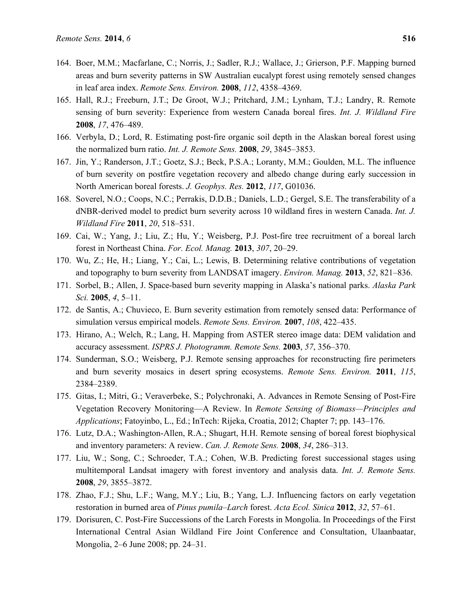- 164. Boer, M.M.; Macfarlane, C.; Norris, J.; Sadler, R.J.; Wallace, J.; Grierson, P.F. Mapping burned areas and burn severity patterns in SW Australian eucalypt forest using remotely sensed changes in leaf area index. *Remote Sens. Environ.* **2008**, *112*, 4358–4369.
- 165. Hall, R.J.; Freeburn, J.T.; De Groot, W.J.; Pritchard, J.M.; Lynham, T.J.; Landry, R. Remote sensing of burn severity: Experience from western Canada boreal fires. *Int. J. Wildland Fire*  **2008**, *17*, 476–489.
- 166. Verbyla, D.; Lord, R. Estimating post‐fire organic soil depth in the Alaskan boreal forest using the normalized burn ratio. *Int. J. Remote Sens.* **2008**, *29*, 3845–3853.
- 167. Jin, Y.; Randerson, J.T.; Goetz, S.J.; Beck, P.S.A.; Loranty, M.M.; Goulden, M.L. The influence of burn severity on postfire vegetation recovery and albedo change during early succession in North American boreal forests. *J. Geophys. Res.* **2012**, *117*, G01036.
- 168. Soverel, N.O.; Coops, N.C.; Perrakis, D.D.B.; Daniels, L.D.; Gergel, S.E. The transferability of a dNBR-derived model to predict burn severity across 10 wildland fires in western Canada. *Int. J. Wildland Fire* **2011**, *20*, 518–531.
- 169. Cai, W.; Yang, J.; Liu, Z.; Hu, Y.; Weisberg, P.J. Post-fire tree recruitment of a boreal larch forest in Northeast China. *For. Ecol. Manag.* **2013**, *307*, 20–29.
- 170. Wu, Z.; He, H.; Liang, Y.; Cai, L.; Lewis, B. Determining relative contributions of vegetation and topography to burn severity from LANDSAT imagery. *Environ. Manag.* **2013**, *52*, 821–836.
- 171. Sorbel, B.; Allen, J. Space-based burn severity mapping in Alaska's national parks. *Alaska Park Sci.* **2005**, *4*, 5–11.
- 172. de Santis, A.; Chuvieco, E. Burn severity estimation from remotely sensed data: Performance of simulation versus empirical models. *Remote Sens. Environ.* **2007**, *108*, 422–435.
- 173. Hirano, A.; Welch, R.; Lang, H. Mapping from ASTER stereo image data: DEM validation and accuracy assessment. *ISPRS J. Photogramm. Remote Sens.* **2003**, *57*, 356–370.
- 174. Sunderman, S.O.; Weisberg, P.J. Remote sensing approaches for reconstructing fire perimeters and burn severity mosaics in desert spring ecosystems. *Remote Sens. Environ.* **2011**, *115*, 2384–2389.
- 175. Gitas, I.; Mitri, G.; Veraverbeke, S.; Polychronaki, A. Advances in Remote Sensing of Post-Fire Vegetation Recovery Monitoring—A Review. In *Remote Sensing of Biomass—Principles and Applications*; Fatoyinbo, L., Ed.; InTech: Rijeka, Croatia, 2012; Chapter 7; pp. 143–176.
- 176. Lutz, D.A.; Washington-Allen, R.A.; Shugart, H.H. Remote sensing of boreal forest biophysical and inventory parameters: A review. *Can. J. Remote Sens.* **2008**, *34*, 286–313.
- 177. Liu, W.; Song, C.; Schroeder, T.A.; Cohen, W.B. Predicting forest successional stages using multitemporal Landsat imagery with forest inventory and analysis data. *Int. J. Remote Sens.*  **2008**, *29*, 3855–3872.
- 178. Zhao, F.J.; Shu, L.F.; Wang, M.Y.; Liu, B.; Yang, L.J. Influencing factors on early vegetation restoration in burned area of *Pinus pumila*–*Larch* forest. *Acta Ecol. Sinica* **2012**, *32*, 57–61.
- 179. Dorisuren, C. Post-Fire Successions of the Larch Forests in Mongolia. In Proceedings of the First International Central Asian Wildland Fire Joint Conference and Consultation, Ulaanbaatar, Mongolia, 2–6 June 2008; pp. 24–31.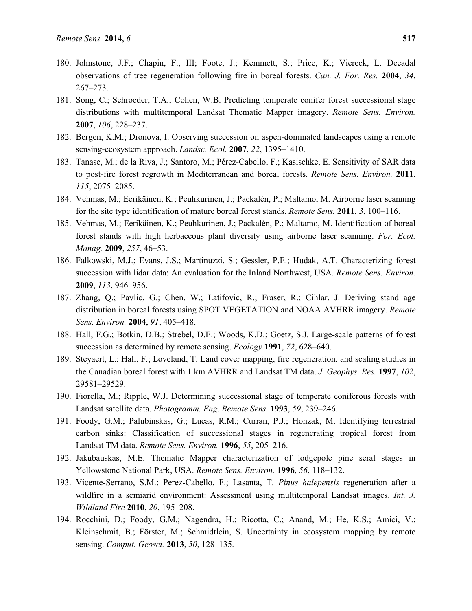- 180. Johnstone, J.F.; Chapin, F., III; Foote, J.; Kemmett, S.; Price, K.; Viereck, L. Decadal observations of tree regeneration following fire in boreal forests. *Can. J. For. Res.* **2004**, *34*, 267–273.
- 181. Song, C.; Schroeder, T.A.; Cohen, W.B. Predicting temperate conifer forest successional stage distributions with multitemporal Landsat Thematic Mapper imagery. *Remote Sens. Environ.*  **2007**, *106*, 228–237.
- 182. Bergen, K.M.; Dronova, I. Observing succession on aspen-dominated landscapes using a remote sensing-ecosystem approach. *Landsc. Ecol.* **2007**, *22*, 1395–1410.
- 183. Tanase, M.; de la Riva, J.; Santoro, M.; Pérez-Cabello, F.; Kasischke, E. Sensitivity of SAR data to post-fire forest regrowth in Mediterranean and boreal forests. *Remote Sens. Environ.* **2011**, *115*, 2075–2085.
- 184. Vehmas, M.; Eerikäinen, K.; Peuhkurinen, J.; Packalén, P.; Maltamo, M. Airborne laser scanning for the site type identification of mature boreal forest stands. *Remote Sens.* **2011**, *3*, 100–116.
- 185. Vehmas, M.; Eerikäinen, K.; Peuhkurinen, J.; Packalén, P.; Maltamo, M. Identification of boreal forest stands with high herbaceous plant diversity using airborne laser scanning. *For. Ecol. Manag.* **2009**, *257*, 46–53.
- 186. Falkowski, M.J.; Evans, J.S.; Martinuzzi, S.; Gessler, P.E.; Hudak, A.T. Characterizing forest succession with lidar data: An evaluation for the Inland Northwest, USA. *Remote Sens. Environ.*  **2009**, *113*, 946–956.
- 187. Zhang, Q.; Pavlic, G.; Chen, W.; Latifovic, R.; Fraser, R.; Cihlar, J. Deriving stand age distribution in boreal forests using SPOT VEGETATION and NOAA AVHRR imagery. *Remote Sens. Environ.* **2004**, *91*, 405–418.
- 188. Hall, F.G.; Botkin, D.B.; Strebel, D.E.; Woods, K.D.; Goetz, S.J. Large-scale patterns of forest succession as determined by remote sensing. *Ecology* **1991**, *72*, 628–640.
- 189. Steyaert, L.; Hall, F.; Loveland, T. Land cover mapping, fire regeneration, and scaling studies in the Canadian boreal forest with 1 km AVHRR and Landsat TM data. *J. Geophys. Res.* **1997**, *102*, 29581–29529.
- 190. Fiorella, M.; Ripple, W.J. Determining successional stage of temperate coniferous forests with Landsat satellite data. *Photogramm. Eng. Remote Sens.* **1993**, *59*, 239–246.
- 191. Foody, G.M.; Palubinskas, G.; Lucas, R.M.; Curran, P.J.; Honzak, M. Identifying terrestrial carbon sinks: Classification of successional stages in regenerating tropical forest from Landsat TM data. *Remote Sens. Environ.* **1996**, *55*, 205–216.
- 192. Jakubauskas, M.E. Thematic Mapper characterization of lodgepole pine seral stages in Yellowstone National Park, USA. *Remote Sens. Environ.* **1996**, *56*, 118–132.
- 193. Vicente-Serrano, S.M.; Perez-Cabello, F.; Lasanta, T. *Pinus halepensis* regeneration after a wildfire in a semiarid environment: Assessment using multitemporal Landsat images. *Int. J. Wildland Fire* **2010**, *20*, 195–208.
- 194. Rocchini, D.; Foody, G.M.; Nagendra, H.; Ricotta, C.; Anand, M.; He, K.S.; Amici, V.; Kleinschmit, B.; Förster, M.; Schmidtlein, S. Uncertainty in ecosystem mapping by remote sensing. *Comput. Geosci.* **2013**, *50*, 128–135.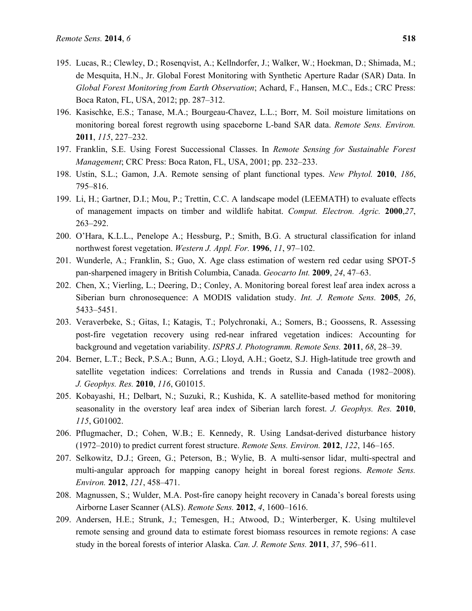- 195. Lucas, R.; Clewley, D.; Rosenqvist, A.; Kellndorfer, J.; Walker, W.; Hoekman, D.; Shimada, M.; de Mesquita, H.N., Jr. Global Forest Monitoring with Synthetic Aperture Radar (SAR) Data. In *Global Forest Monitoring from Earth Observation*; Achard, F., Hansen, M.C., Eds.; CRC Press: Boca Raton, FL, USA, 2012; pp. 287–312.
- 196. Kasischke, E.S.; Tanase, M.A.; Bourgeau-Chavez, L.L.; Borr, M. Soil moisture limitations on monitoring boreal forest regrowth using spaceborne L-band SAR data. *Remote Sens. Environ.*  **2011**, *115*, 227–232.
- 197. Franklin, S.E. Using Forest Successional Classes. In *Remote Sensing for Sustainable Forest Management*; CRC Press: Boca Raton, FL, USA, 2001; pp. 232–233.
- 198. Ustin, S.L.; Gamon, J.A. Remote sensing of plant functional types. *New Phytol.* **2010**, *186*, 795–816.
- 199. Li, H.; Gartner, D.I.; Mou, P.; Trettin, C.C. A landscape model (LEEMATH) to evaluate effects of management impacts on timber and wildlife habitat. *Comput. Electron. Agric.* **2000**,*27*, 263–292.
- 200. O'Hara, K.L.L., Penelope A.; Hessburg, P.; Smith, B.G. A structural classification for inland northwest forest vegetation. *Western J. Appl. For.* **1996**, *11*, 97–102.
- 201. Wunderle, A.; Franklin, S.; Guo, X. Age class estimation of western red cedar using SPOT-5 pan-sharpened imagery in British Columbia, Canada. *Geocarto Int.* **2009**, *24*, 47–63.
- 202. Chen, X.; Vierling, L.; Deering, D.; Conley, A. Monitoring boreal forest leaf area index across a Siberian burn chronosequence: A MODIS validation study. *Int. J. Remote Sens.* **2005**, *26*, 5433–5451.
- 203. Veraverbeke, S.; Gitas, I.; Katagis, T.; Polychronaki, A.; Somers, B.; Goossens, R. Assessing post-fire vegetation recovery using red-near infrared vegetation indices: Accounting for background and vegetation variability. *ISPRS J. Photogramm. Remote Sens.* **2011**, *68*, 28–39.
- 204. Berner, L.T.; Beck, P.S.A.; Bunn, A.G.; Lloyd, A.H.; Goetz, S.J. High-latitude tree growth and satellite vegetation indices: Correlations and trends in Russia and Canada (1982–2008). *J. Geophys. Res.* **2010**, *116*, G01015.
- 205. Kobayashi, H.; Delbart, N.; Suzuki, R.; Kushida, K. A satellite-based method for monitoring seasonality in the overstory leaf area index of Siberian larch forest. *J. Geophys. Res.* **2010**, *115*, G01002.
- 206. Pflugmacher, D.; Cohen, W.B.; E. Kennedy, R. Using Landsat-derived disturbance history (1972–2010) to predict current forest structure. *Remote Sens. Environ.* **2012**, *122*, 146–165.
- 207. Selkowitz, D.J.; Green, G.; Peterson, B.; Wylie, B. A multi-sensor lidar, multi-spectral and multi-angular approach for mapping canopy height in boreal forest regions. *Remote Sens. Environ.* **2012**, *121*, 458–471.
- 208. Magnussen, S.; Wulder, M.A. Post-fire canopy height recovery in Canada's boreal forests using Airborne Laser Scanner (ALS). *Remote Sens.* **2012**, *4*, 1600–1616.
- 209. Andersen, H.E.; Strunk, J.; Temesgen, H.; Atwood, D.; Winterberger, K. Using multilevel remote sensing and ground data to estimate forest biomass resources in remote regions: A case study in the boreal forests of interior Alaska. *Can. J. Remote Sens.* **2011**, *37*, 596–611.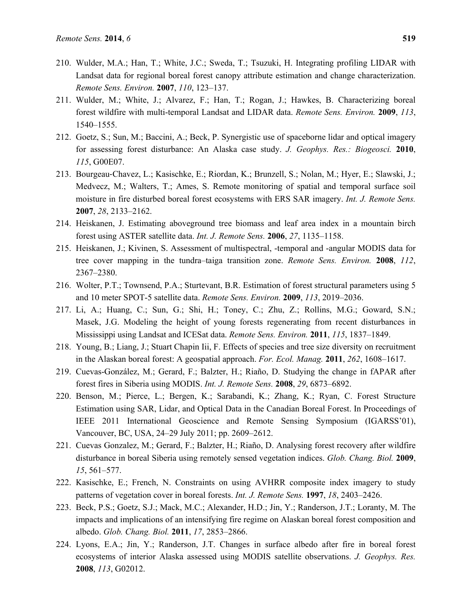- 210. Wulder, M.A.; Han, T.; White, J.C.; Sweda, T.; Tsuzuki, H. Integrating profiling LIDAR with Landsat data for regional boreal forest canopy attribute estimation and change characterization. *Remote Sens. Environ.* **2007**, *110*, 123–137.
- 211. Wulder, M.; White, J.; Alvarez, F.; Han, T.; Rogan, J.; Hawkes, B. Characterizing boreal forest wildfire with multi-temporal Landsat and LIDAR data. *Remote Sens. Environ.* **2009**, *113*, 1540–1555.
- 212. Goetz, S.; Sun, M.; Baccini, A.; Beck, P. Synergistic use of spaceborne lidar and optical imagery for assessing forest disturbance: An Alaska case study. *J. Geophys. Res.: Biogeosci.* **2010**, *115*, G00E07.
- 213. Bourgeau‐Chavez, L.; Kasischke, E.; Riordan, K.; Brunzell, S.; Nolan, M.; Hyer, E.; Slawski, J.; Medvecz, M.; Walters, T.; Ames, S. Remote monitoring of spatial and temporal surface soil moisture in fire disturbed boreal forest ecosystems with ERS SAR imagery. *Int. J. Remote Sens.*  **2007**, *28*, 2133–2162.
- 214. Heiskanen, J. Estimating aboveground tree biomass and leaf area index in a mountain birch forest using ASTER satellite data. *Int. J. Remote Sens.* **2006**, *27*, 1135–1158.
- 215. Heiskanen, J.; Kivinen, S. Assessment of multispectral, -temporal and -angular MODIS data for tree cover mapping in the tundra–taiga transition zone. *Remote Sens. Environ.* **2008**, *112*, 2367–2380.
- 216. Wolter, P.T.; Townsend, P.A.; Sturtevant, B.R. Estimation of forest structural parameters using 5 and 10 meter SPOT-5 satellite data. *Remote Sens. Environ.* **2009**, *113*, 2019–2036.
- 217. Li, A.; Huang, C.; Sun, G.; Shi, H.; Toney, C.; Zhu, Z.; Rollins, M.G.; Goward, S.N.; Masek, J.G. Modeling the height of young forests regenerating from recent disturbances in Mississippi using Landsat and ICESat data. *Remote Sens. Environ.* **2011**, *115*, 1837–1849.
- 218. Young, B.; Liang, J.; Stuart Chapin Iii, F. Effects of species and tree size diversity on recruitment in the Alaskan boreal forest: A geospatial approach. *For. Ecol. Manag.* **2011**, *262*, 1608–1617.
- 219. Cuevas-González, M.; Gerard, F.; Balzter, H.; Riaño, D. Studying the change in fAPAR after forest fires in Siberia using MODIS. *Int. J. Remote Sens.* **2008**, *29*, 6873–6892.
- 220. Benson, M.; Pierce, L.; Bergen, K.; Sarabandi, K.; Zhang, K.; Ryan, C. Forest Structure Estimation using SAR, Lidar, and Optical Data in the Canadian Boreal Forest. In Proceedings of IEEE 2011 International Geoscience and Remote Sensing Symposium (IGARSS'01), Vancouver, BC, USA, 24–29 July 2011; pp. 2609–2612.
- 221. Cuevas Gonzalez, M.; Gerard, F.; Balzter, H.; Riaño, D. Analysing forest recovery after wildfire disturbance in boreal Siberia using remotely sensed vegetation indices. *Glob. Chang. Biol.* **2009**, *15*, 561–577.
- 222. Kasischke, E.; French, N. Constraints on using AVHRR composite index imagery to study patterns of vegetation cover in boreal forests. *Int. J. Remote Sens.* **1997**, *18*, 2403–2426.
- 223. Beck, P.S.; Goetz, S.J.; Mack, M.C.; Alexander, H.D.; Jin, Y.; Randerson, J.T.; Loranty, M. The impacts and implications of an intensifying fire regime on Alaskan boreal forest composition and albedo. *Glob. Chang. Biol.* **2011**, *17*, 2853–2866.
- 224. Lyons, E.A.; Jin, Y.; Randerson, J.T. Changes in surface albedo after fire in boreal forest ecosystems of interior Alaska assessed using MODIS satellite observations. *J. Geophys. Res.*  **2008**, *113*, G02012.